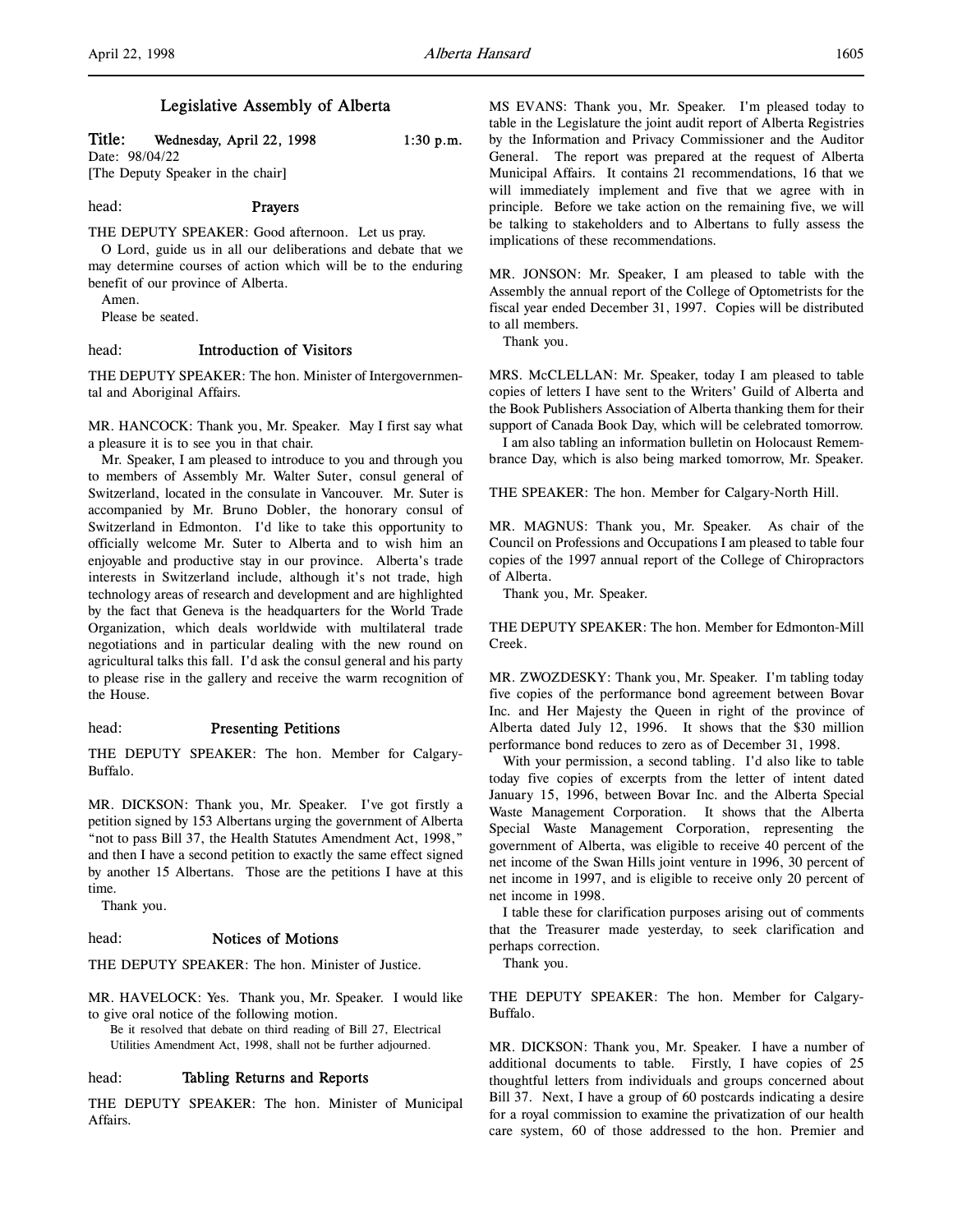# Legislative Assembly of Alberta

Title: Wednesday, April 22, 1998 1:30 p.m.

Date: 98/04/22 [The Deputy Speaker in the chair]

head: Prayers

THE DEPUTY SPEAKER: Good afternoon. Let us pray. O Lord, guide us in all our deliberations and debate that we

may determine courses of action which will be to the enduring benefit of our province of Alberta.

Amen.

Please be seated.

# head: Introduction of Visitors

THE DEPUTY SPEAKER: The hon. Minister of Intergovernmental and Aboriginal Affairs.

MR. HANCOCK: Thank you, Mr. Speaker. May I first say what a pleasure it is to see you in that chair.

Mr. Speaker, I am pleased to introduce to you and through you to members of Assembly Mr. Walter Suter, consul general of Switzerland, located in the consulate in Vancouver. Mr. Suter is accompanied by Mr. Bruno Dobler, the honorary consul of Switzerland in Edmonton. I'd like to take this opportunity to officially welcome Mr. Suter to Alberta and to wish him an enjoyable and productive stay in our province. Alberta's trade interests in Switzerland include, although it's not trade, high technology areas of research and development and are highlighted by the fact that Geneva is the headquarters for the World Trade Organization, which deals worldwide with multilateral trade negotiations and in particular dealing with the new round on agricultural talks this fall. I'd ask the consul general and his party to please rise in the gallery and receive the warm recognition of the House.

# head: Presenting Petitions

THE DEPUTY SPEAKER: The hon. Member for Calgary-Buffalo.

MR. DICKSON: Thank you, Mr. Speaker. I've got firstly a petition signed by 153 Albertans urging the government of Alberta "not to pass Bill 37, the Health Statutes Amendment Act, 1998," and then I have a second petition to exactly the same effect signed by another 15 Albertans. Those are the petitions I have at this time.

Thank you.

# head: Notices of Motions

THE DEPUTY SPEAKER: The hon. Minister of Justice.

MR. HAVELOCK: Yes. Thank you, Mr. Speaker. I would like to give oral notice of the following motion.

Be it resolved that debate on third reading of Bill 27, Electrical Utilities Amendment Act, 1998, shall not be further adjourned.

## head: Tabling Returns and Reports

THE DEPUTY SPEAKER: The hon. Minister of Municipal Affairs.

MS EVANS: Thank you, Mr. Speaker. I'm pleased today to table in the Legislature the joint audit report of Alberta Registries by the Information and Privacy Commissioner and the Auditor General. The report was prepared at the request of Alberta Municipal Affairs. It contains 21 recommendations, 16 that we will immediately implement and five that we agree with in principle. Before we take action on the remaining five, we will be talking to stakeholders and to Albertans to fully assess the implications of these recommendations.

MR. JONSON: Mr. Speaker, I am pleased to table with the Assembly the annual report of the College of Optometrists for the fiscal year ended December 31, 1997. Copies will be distributed to all members.

Thank you.

MRS. McCLELLAN: Mr. Speaker, today I am pleased to table copies of letters I have sent to the Writers' Guild of Alberta and the Book Publishers Association of Alberta thanking them for their support of Canada Book Day, which will be celebrated tomorrow.

I am also tabling an information bulletin on Holocaust Remembrance Day, which is also being marked tomorrow, Mr. Speaker.

THE SPEAKER: The hon. Member for Calgary-North Hill.

MR. MAGNUS: Thank you, Mr. Speaker. As chair of the Council on Professions and Occupations I am pleased to table four copies of the 1997 annual report of the College of Chiropractors of Alberta.

Thank you, Mr. Speaker.

THE DEPUTY SPEAKER: The hon. Member for Edmonton-Mill Creek.

MR. ZWOZDESKY: Thank you, Mr. Speaker. I'm tabling today five copies of the performance bond agreement between Bovar Inc. and Her Majesty the Queen in right of the province of Alberta dated July 12, 1996. It shows that the \$30 million performance bond reduces to zero as of December 31, 1998.

With your permission, a second tabling. I'd also like to table today five copies of excerpts from the letter of intent dated January 15, 1996, between Bovar Inc. and the Alberta Special Waste Management Corporation. It shows that the Alberta Special Waste Management Corporation, representing the government of Alberta, was eligible to receive 40 percent of the net income of the Swan Hills joint venture in 1996, 30 percent of net income in 1997, and is eligible to receive only 20 percent of net income in 1998.

I table these for clarification purposes arising out of comments that the Treasurer made yesterday, to seek clarification and perhaps correction.

Thank you.

THE DEPUTY SPEAKER: The hon. Member for Calgary-Buffalo.

MR. DICKSON: Thank you, Mr. Speaker. I have a number of additional documents to table. Firstly, I have copies of 25 thoughtful letters from individuals and groups concerned about Bill 37. Next, I have a group of 60 postcards indicating a desire for a royal commission to examine the privatization of our health care system, 60 of those addressed to the hon. Premier and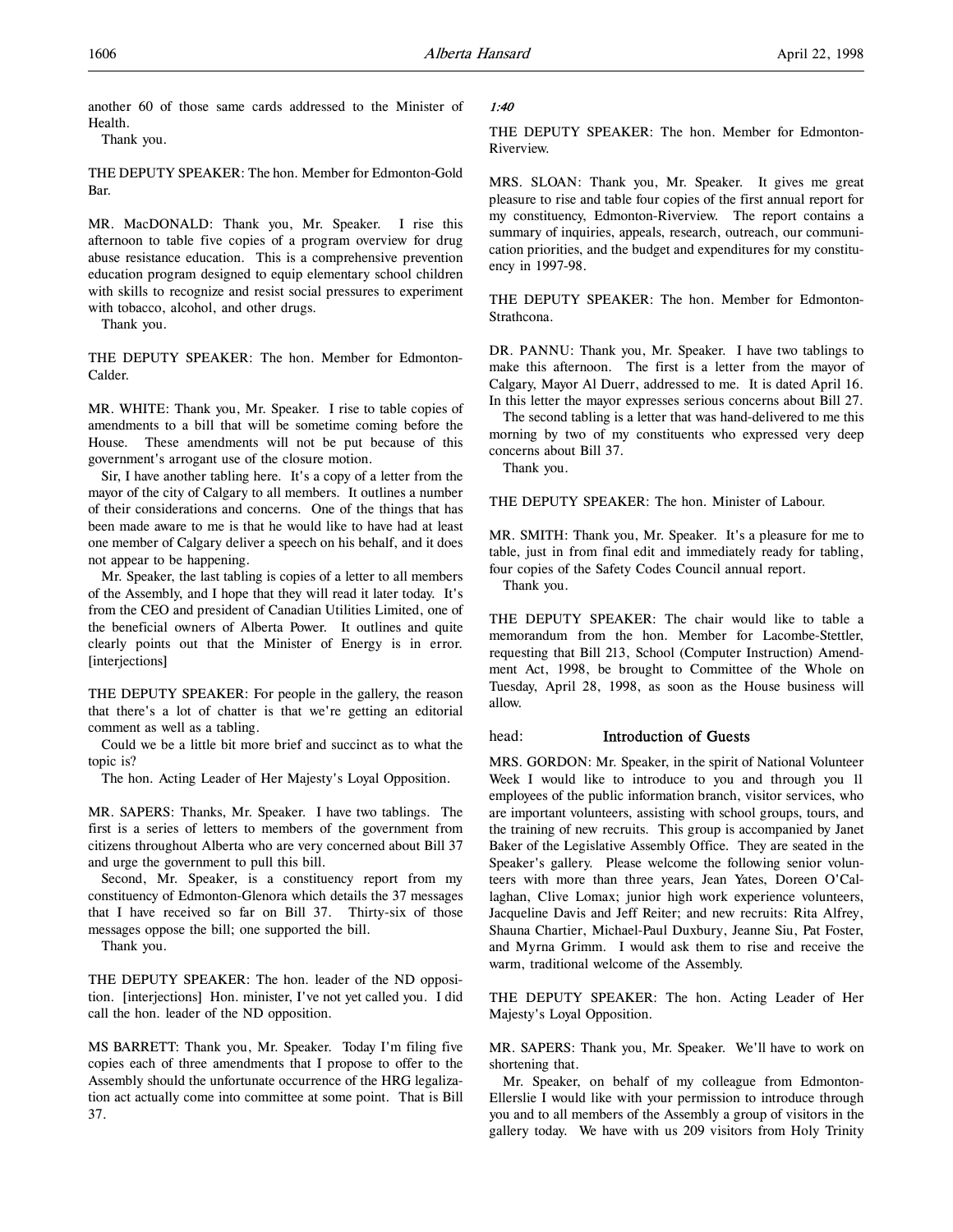another 60 of those same cards addressed to the Minister of Health.

Thank you.

THE DEPUTY SPEAKER: The hon. Member for Edmonton-Gold Bar.

MR. MacDONALD: Thank you, Mr. Speaker. I rise this afternoon to table five copies of a program overview for drug abuse resistance education. This is a comprehensive prevention education program designed to equip elementary school children with skills to recognize and resist social pressures to experiment with tobacco, alcohol, and other drugs.

Thank you.

THE DEPUTY SPEAKER: The hon. Member for Edmonton-Calder.

MR. WHITE: Thank you, Mr. Speaker. I rise to table copies of amendments to a bill that will be sometime coming before the House. These amendments will not be put because of this government's arrogant use of the closure motion.

Sir, I have another tabling here. It's a copy of a letter from the mayor of the city of Calgary to all members. It outlines a number of their considerations and concerns. One of the things that has been made aware to me is that he would like to have had at least one member of Calgary deliver a speech on his behalf, and it does not appear to be happening.

Mr. Speaker, the last tabling is copies of a letter to all members of the Assembly, and I hope that they will read it later today. It's from the CEO and president of Canadian Utilities Limited, one of the beneficial owners of Alberta Power. It outlines and quite clearly points out that the Minister of Energy is in error. [interjections]

THE DEPUTY SPEAKER: For people in the gallery, the reason that there's a lot of chatter is that we're getting an editorial comment as well as a tabling.

Could we be a little bit more brief and succinct as to what the topic is?

The hon. Acting Leader of Her Majesty's Loyal Opposition.

MR. SAPERS: Thanks, Mr. Speaker. I have two tablings. The first is a series of letters to members of the government from citizens throughout Alberta who are very concerned about Bill 37 and urge the government to pull this bill.

Second, Mr. Speaker, is a constituency report from my constituency of Edmonton-Glenora which details the 37 messages that I have received so far on Bill 37. Thirty-six of those messages oppose the bill; one supported the bill.

Thank you.

THE DEPUTY SPEAKER: The hon. leader of the ND opposition. [interjections] Hon. minister, I've not yet called you. I did call the hon. leader of the ND opposition.

MS BARRETT: Thank you, Mr. Speaker. Today I'm filing five copies each of three amendments that I propose to offer to the Assembly should the unfortunate occurrence of the HRG legalization act actually come into committee at some point. That is Bill 37.

# 1:40

THE DEPUTY SPEAKER: The hon. Member for Edmonton-Riverview.

MRS. SLOAN: Thank you, Mr. Speaker. It gives me great pleasure to rise and table four copies of the first annual report for my constituency, Edmonton-Riverview. The report contains a summary of inquiries, appeals, research, outreach, our communication priorities, and the budget and expenditures for my constituency in 1997-98.

THE DEPUTY SPEAKER: The hon. Member for Edmonton-Strathcona.

DR. PANNU: Thank you, Mr. Speaker. I have two tablings to make this afternoon. The first is a letter from the mayor of Calgary, Mayor Al Duerr, addressed to me. It is dated April 16. In this letter the mayor expresses serious concerns about Bill 27.

The second tabling is a letter that was hand-delivered to me this morning by two of my constituents who expressed very deep concerns about Bill 37.

Thank you.

THE DEPUTY SPEAKER: The hon. Minister of Labour.

MR. SMITH: Thank you, Mr. Speaker. It's a pleasure for me to table, just in from final edit and immediately ready for tabling, four copies of the Safety Codes Council annual report.

Thank you.

THE DEPUTY SPEAKER: The chair would like to table a memorandum from the hon. Member for Lacombe-Stettler, requesting that Bill 213, School (Computer Instruction) Amendment Act, 1998, be brought to Committee of the Whole on Tuesday, April 28, 1998, as soon as the House business will allow.

# head: Introduction of Guests

MRS. GORDON: Mr. Speaker, in the spirit of National Volunteer Week I would like to introduce to you and through you 11 employees of the public information branch, visitor services, who are important volunteers, assisting with school groups, tours, and the training of new recruits. This group is accompanied by Janet Baker of the Legislative Assembly Office. They are seated in the Speaker's gallery. Please welcome the following senior volunteers with more than three years, Jean Yates, Doreen O'Callaghan, Clive Lomax; junior high work experience volunteers, Jacqueline Davis and Jeff Reiter; and new recruits: Rita Alfrey, Shauna Chartier, Michael-Paul Duxbury, Jeanne Siu, Pat Foster, and Myrna Grimm. I would ask them to rise and receive the warm, traditional welcome of the Assembly.

THE DEPUTY SPEAKER: The hon. Acting Leader of Her Majesty's Loyal Opposition.

MR. SAPERS: Thank you, Mr. Speaker. We'll have to work on shortening that.

Mr. Speaker, on behalf of my colleague from Edmonton-Ellerslie I would like with your permission to introduce through you and to all members of the Assembly a group of visitors in the gallery today. We have with us 209 visitors from Holy Trinity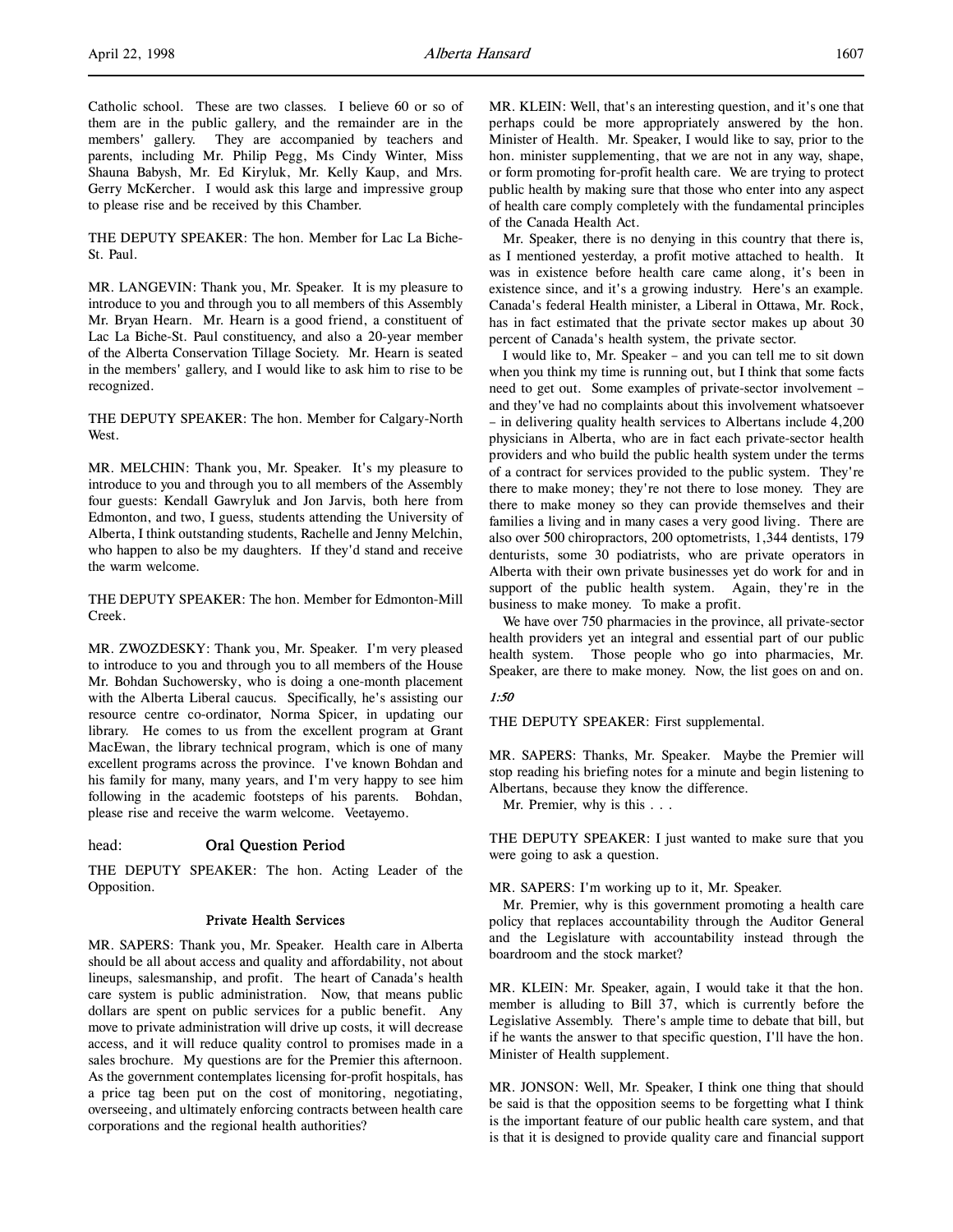Catholic school. These are two classes. I believe 60 or so of them are in the public gallery, and the remainder are in the members' gallery. They are accompanied by teachers and parents, including Mr. Philip Pegg, Ms Cindy Winter, Miss Shauna Babysh, Mr. Ed Kiryluk, Mr. Kelly Kaup, and Mrs. Gerry McKercher. I would ask this large and impressive group to please rise and be received by this Chamber.

THE DEPUTY SPEAKER: The hon. Member for Lac La Biche-St. Paul.

MR. LANGEVIN: Thank you, Mr. Speaker. It is my pleasure to introduce to you and through you to all members of this Assembly Mr. Bryan Hearn. Mr. Hearn is a good friend, a constituent of Lac La Biche-St. Paul constituency, and also a 20-year member of the Alberta Conservation Tillage Society. Mr. Hearn is seated in the members' gallery, and I would like to ask him to rise to be recognized.

THE DEPUTY SPEAKER: The hon. Member for Calgary-North West.

MR. MELCHIN: Thank you, Mr. Speaker. It's my pleasure to introduce to you and through you to all members of the Assembly four guests: Kendall Gawryluk and Jon Jarvis, both here from Edmonton, and two, I guess, students attending the University of Alberta, I think outstanding students, Rachelle and Jenny Melchin, who happen to also be my daughters. If they'd stand and receive the warm welcome.

THE DEPUTY SPEAKER: The hon. Member for Edmonton-Mill Creek.

MR. ZWOZDESKY: Thank you, Mr. Speaker. I'm very pleased to introduce to you and through you to all members of the House Mr. Bohdan Suchowersky, who is doing a one-month placement with the Alberta Liberal caucus. Specifically, he's assisting our resource centre co-ordinator, Norma Spicer, in updating our library. He comes to us from the excellent program at Grant MacEwan, the library technical program, which is one of many excellent programs across the province. I've known Bohdan and his family for many, many years, and I'm very happy to see him following in the academic footsteps of his parents. Bohdan, please rise and receive the warm welcome. Veetayemo.

## head: Oral Question Period

THE DEPUTY SPEAKER: The hon. Acting Leader of the Opposition.

## Private Health Services

MR. SAPERS: Thank you, Mr. Speaker. Health care in Alberta should be all about access and quality and affordability, not about lineups, salesmanship, and profit. The heart of Canada's health care system is public administration. Now, that means public dollars are spent on public services for a public benefit. Any move to private administration will drive up costs, it will decrease access, and it will reduce quality control to promises made in a sales brochure. My questions are for the Premier this afternoon. As the government contemplates licensing for-profit hospitals, has a price tag been put on the cost of monitoring, negotiating, overseeing, and ultimately enforcing contracts between health care corporations and the regional health authorities?

MR. KLEIN: Well, that's an interesting question, and it's one that perhaps could be more appropriately answered by the hon. Minister of Health. Mr. Speaker, I would like to say, prior to the hon. minister supplementing, that we are not in any way, shape, or form promoting for-profit health care. We are trying to protect public health by making sure that those who enter into any aspect of health care comply completely with the fundamental principles of the Canada Health Act.

Mr. Speaker, there is no denying in this country that there is, as I mentioned yesterday, a profit motive attached to health. It was in existence before health care came along, it's been in existence since, and it's a growing industry. Here's an example. Canada's federal Health minister, a Liberal in Ottawa, Mr. Rock, has in fact estimated that the private sector makes up about 30 percent of Canada's health system, the private sector.

I would like to, Mr. Speaker – and you can tell me to sit down when you think my time is running out, but I think that some facts need to get out. Some examples of private-sector involvement – and they've had no complaints about this involvement whatsoever – in delivering quality health services to Albertans include 4,200 physicians in Alberta, who are in fact each private-sector health providers and who build the public health system under the terms of a contract for services provided to the public system. They're there to make money; they're not there to lose money. They are there to make money so they can provide themselves and their families a living and in many cases a very good living. There are also over 500 chiropractors, 200 optometrists, 1,344 dentists, 179 denturists, some 30 podiatrists, who are private operators in Alberta with their own private businesses yet do work for and in support of the public health system. Again, they're in the business to make money. To make a profit.

We have over 750 pharmacies in the province, all private-sector health providers yet an integral and essential part of our public health system. Those people who go into pharmacies, Mr. Speaker, are there to make money. Now, the list goes on and on.

# 1:50

THE DEPUTY SPEAKER: First supplemental.

MR. SAPERS: Thanks, Mr. Speaker. Maybe the Premier will stop reading his briefing notes for a minute and begin listening to Albertans, because they know the difference.

Mr. Premier, why is this . . .

THE DEPUTY SPEAKER: I just wanted to make sure that you were going to ask a question.

MR. SAPERS: I'm working up to it, Mr. Speaker.

Mr. Premier, why is this government promoting a health care policy that replaces accountability through the Auditor General and the Legislature with accountability instead through the boardroom and the stock market?

MR. KLEIN: Mr. Speaker, again, I would take it that the hon. member is alluding to Bill 37, which is currently before the Legislative Assembly. There's ample time to debate that bill, but if he wants the answer to that specific question, I'll have the hon. Minister of Health supplement.

MR. JONSON: Well, Mr. Speaker, I think one thing that should be said is that the opposition seems to be forgetting what I think is the important feature of our public health care system, and that is that it is designed to provide quality care and financial support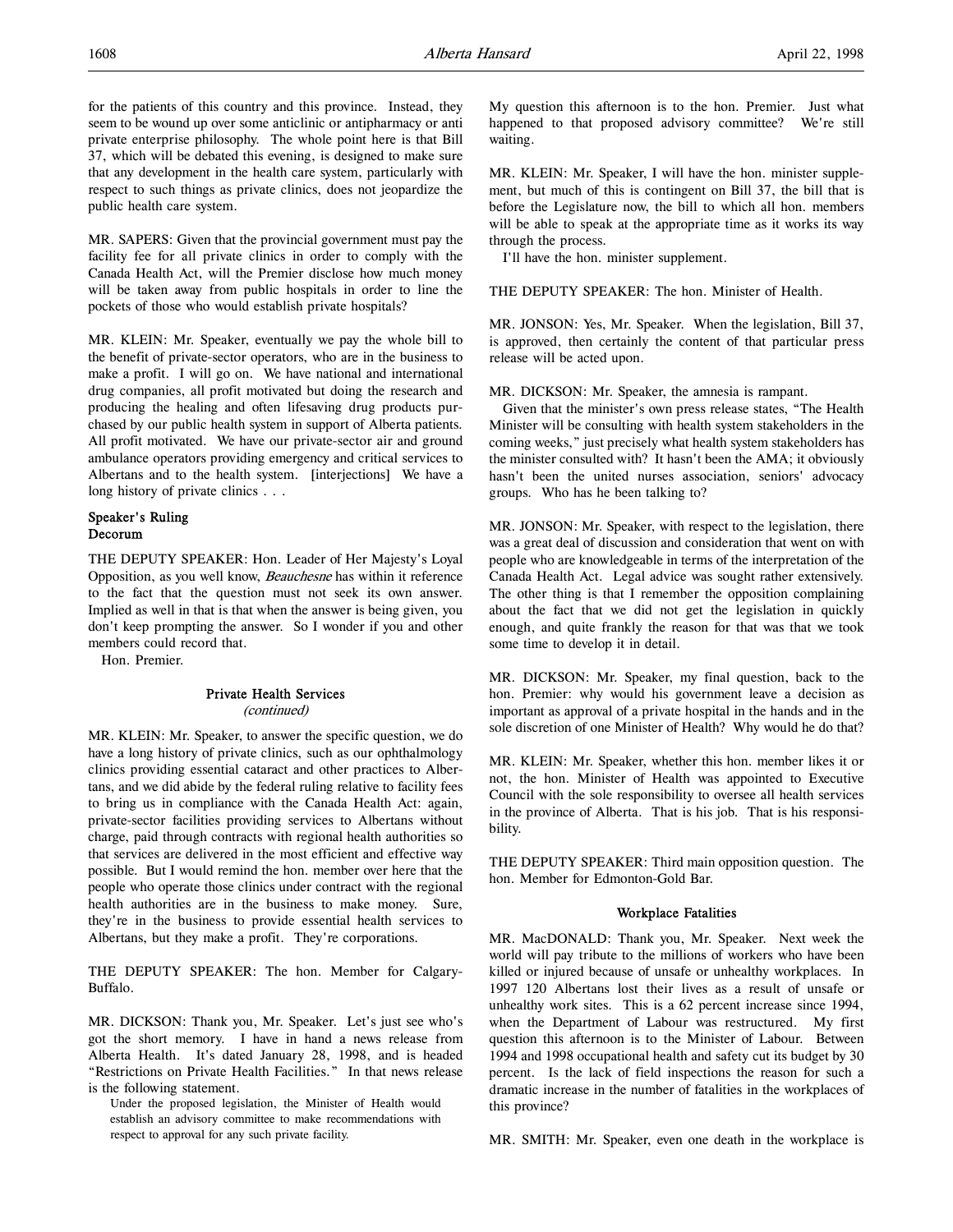for the patients of this country and this province. Instead, they seem to be wound up over some anticlinic or antipharmacy or anti private enterprise philosophy. The whole point here is that Bill 37, which will be debated this evening, is designed to make sure that any development in the health care system, particularly with respect to such things as private clinics, does not jeopardize the public health care system.

MR. SAPERS: Given that the provincial government must pay the facility fee for all private clinics in order to comply with the Canada Health Act, will the Premier disclose how much money will be taken away from public hospitals in order to line the pockets of those who would establish private hospitals?

MR. KLEIN: Mr. Speaker, eventually we pay the whole bill to the benefit of private-sector operators, who are in the business to make a profit. I will go on. We have national and international drug companies, all profit motivated but doing the research and producing the healing and often lifesaving drug products purchased by our public health system in support of Alberta patients. All profit motivated. We have our private-sector air and ground ambulance operators providing emergency and critical services to Albertans and to the health system. [interjections] We have a long history of private clinics . . .

# Speaker's Ruling Decorum

THE DEPUTY SPEAKER: Hon. Leader of Her Majesty's Loyal Opposition, as you well know, Beauchesne has within it reference to the fact that the question must not seek its own answer. Implied as well in that is that when the answer is being given, you don't keep prompting the answer. So I wonder if you and other members could record that.

Hon. Premier.

# Private Health Services (continued)

MR. KLEIN: Mr. Speaker, to answer the specific question, we do have a long history of private clinics, such as our ophthalmology clinics providing essential cataract and other practices to Albertans, and we did abide by the federal ruling relative to facility fees to bring us in compliance with the Canada Health Act: again, private-sector facilities providing services to Albertans without charge, paid through contracts with regional health authorities so that services are delivered in the most efficient and effective way possible. But I would remind the hon. member over here that the people who operate those clinics under contract with the regional health authorities are in the business to make money. Sure, they're in the business to provide essential health services to Albertans, but they make a profit. They're corporations.

THE DEPUTY SPEAKER: The hon. Member for Calgary-Buffalo.

MR. DICKSON: Thank you, Mr. Speaker. Let's just see who's got the short memory. I have in hand a news release from Alberta Health. It's dated January 28, 1998, and is headed "Restrictions on Private Health Facilities." In that news release is the following statement.

Under the proposed legislation, the Minister of Health would establish an advisory committee to make recommendations with respect to approval for any such private facility.

My question this afternoon is to the hon. Premier. Just what happened to that proposed advisory committee? We're still waiting.

MR. KLEIN: Mr. Speaker, I will have the hon. minister supplement, but much of this is contingent on Bill 37, the bill that is before the Legislature now, the bill to which all hon. members will be able to speak at the appropriate time as it works its way through the process.

I'll have the hon. minister supplement.

THE DEPUTY SPEAKER: The hon. Minister of Health.

MR. JONSON: Yes, Mr. Speaker. When the legislation, Bill 37, is approved, then certainly the content of that particular press release will be acted upon.

MR. DICKSON: Mr. Speaker, the amnesia is rampant.

Given that the minister's own press release states, "The Health Minister will be consulting with health system stakeholders in the coming weeks," just precisely what health system stakeholders has the minister consulted with? It hasn't been the AMA; it obviously hasn't been the united nurses association, seniors' advocacy groups. Who has he been talking to?

MR. JONSON: Mr. Speaker, with respect to the legislation, there was a great deal of discussion and consideration that went on with people who are knowledgeable in terms of the interpretation of the Canada Health Act. Legal advice was sought rather extensively. The other thing is that I remember the opposition complaining about the fact that we did not get the legislation in quickly enough, and quite frankly the reason for that was that we took some time to develop it in detail.

MR. DICKSON: Mr. Speaker, my final question, back to the hon. Premier: why would his government leave a decision as important as approval of a private hospital in the hands and in the sole discretion of one Minister of Health? Why would he do that?

MR. KLEIN: Mr. Speaker, whether this hon. member likes it or not, the hon. Minister of Health was appointed to Executive Council with the sole responsibility to oversee all health services in the province of Alberta. That is his job. That is his responsibility.

THE DEPUTY SPEAKER: Third main opposition question. The hon. Member for Edmonton-Gold Bar.

# Workplace Fatalities

MR. MacDONALD: Thank you, Mr. Speaker. Next week the world will pay tribute to the millions of workers who have been killed or injured because of unsafe or unhealthy workplaces. In 1997 120 Albertans lost their lives as a result of unsafe or unhealthy work sites. This is a 62 percent increase since 1994, when the Department of Labour was restructured. My first question this afternoon is to the Minister of Labour. Between 1994 and 1998 occupational health and safety cut its budget by 30 percent. Is the lack of field inspections the reason for such a dramatic increase in the number of fatalities in the workplaces of this province?

MR. SMITH: Mr. Speaker, even one death in the workplace is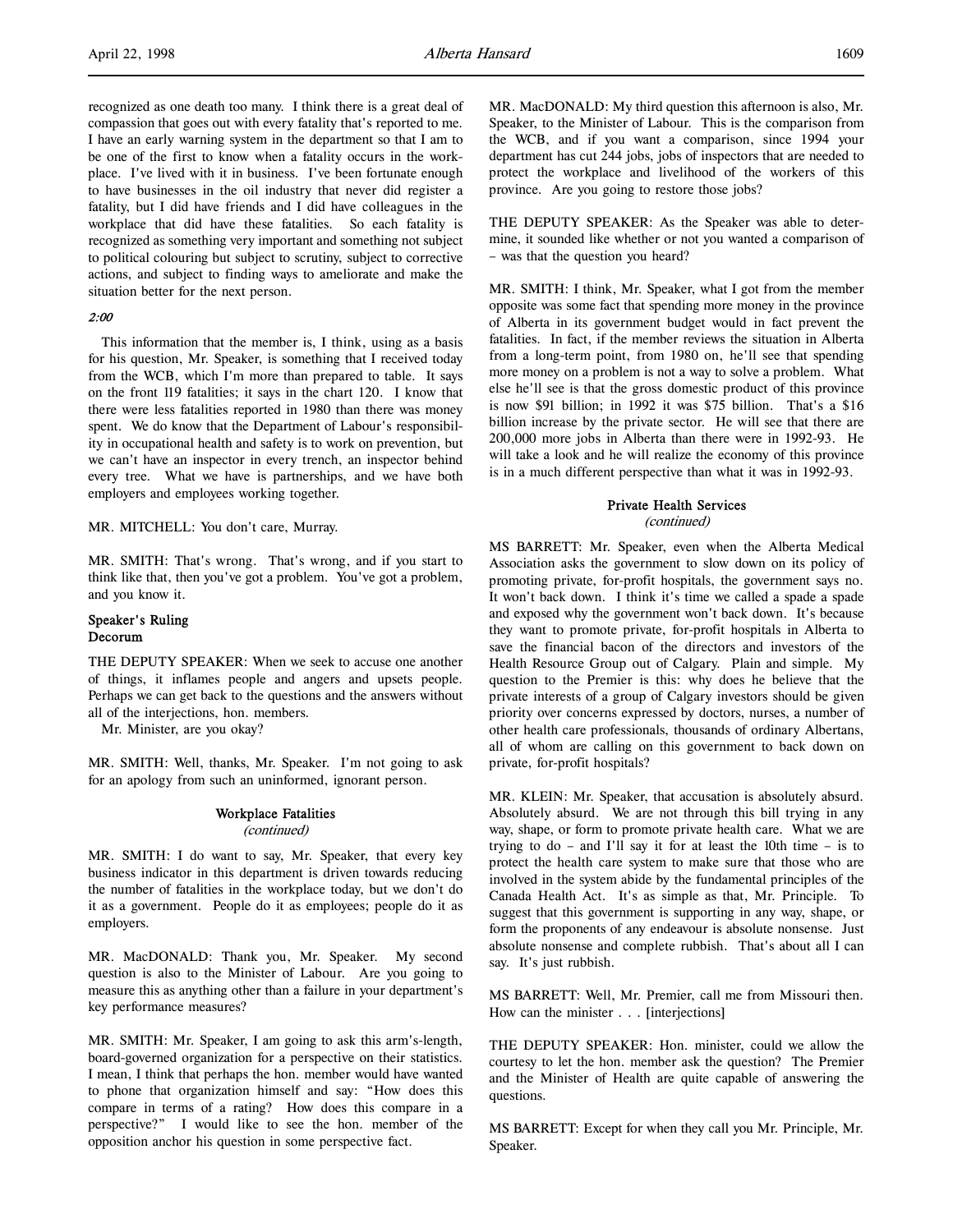recognized as one death too many. I think there is a great deal of compassion that goes out with every fatality that's reported to me. I have an early warning system in the department so that I am to be one of the first to know when a fatality occurs in the workplace. I've lived with it in business. I've been fortunate enough to have businesses in the oil industry that never did register a fatality, but I did have friends and I did have colleagues in the workplace that did have these fatalities. So each fatality is recognized as something very important and something not subject to political colouring but subject to scrutiny, subject to corrective actions, and subject to finding ways to ameliorate and make the situation better for the next person.

## 2:00

This information that the member is, I think, using as a basis for his question, Mr. Speaker, is something that I received today from the WCB, which I'm more than prepared to table. It says on the front 119 fatalities; it says in the chart 120. I know that there were less fatalities reported in 1980 than there was money spent. We do know that the Department of Labour's responsibility in occupational health and safety is to work on prevention, but we can't have an inspector in every trench, an inspector behind every tree. What we have is partnerships, and we have both employers and employees working together.

## MR. MITCHELL: You don't care, Murray.

MR. SMITH: That's wrong. That's wrong, and if you start to think like that, then you've got a problem. You've got a problem, and you know it.

## Speaker's Ruling Decorum

THE DEPUTY SPEAKER: When we seek to accuse one another of things, it inflames people and angers and upsets people. Perhaps we can get back to the questions and the answers without all of the interjections, hon. members.

Mr. Minister, are you okay?

MR. SMITH: Well, thanks, Mr. Speaker. I'm not going to ask for an apology from such an uninformed, ignorant person.

# Workplace Fatalities

(continued)

MR. SMITH: I do want to say, Mr. Speaker, that every key business indicator in this department is driven towards reducing the number of fatalities in the workplace today, but we don't do it as a government. People do it as employees; people do it as employers.

MR. MacDONALD: Thank you, Mr. Speaker. My second question is also to the Minister of Labour. Are you going to measure this as anything other than a failure in your department's key performance measures?

MR. SMITH: Mr. Speaker, I am going to ask this arm's-length, board-governed organization for a perspective on their statistics. I mean, I think that perhaps the hon. member would have wanted to phone that organization himself and say: "How does this compare in terms of a rating? How does this compare in a perspective?" I would like to see the hon. member of the opposition anchor his question in some perspective fact.

MR. MacDONALD: My third question this afternoon is also, Mr. Speaker, to the Minister of Labour. This is the comparison from the WCB, and if you want a comparison, since 1994 your department has cut 244 jobs, jobs of inspectors that are needed to protect the workplace and livelihood of the workers of this province. Are you going to restore those jobs?

THE DEPUTY SPEAKER: As the Speaker was able to determine, it sounded like whether or not you wanted a comparison of – was that the question you heard?

MR. SMITH: I think, Mr. Speaker, what I got from the member opposite was some fact that spending more money in the province of Alberta in its government budget would in fact prevent the fatalities. In fact, if the member reviews the situation in Alberta from a long-term point, from 1980 on, he'll see that spending more money on a problem is not a way to solve a problem. What else he'll see is that the gross domestic product of this province is now \$91 billion; in 1992 it was \$75 billion. That's a \$16 billion increase by the private sector. He will see that there are 200,000 more jobs in Alberta than there were in 1992-93. He will take a look and he will realize the economy of this province is in a much different perspective than what it was in 1992-93.

# Private Health Services (continued)

MS BARRETT: Mr. Speaker, even when the Alberta Medical Association asks the government to slow down on its policy of promoting private, for-profit hospitals, the government says no. It won't back down. I think it's time we called a spade a spade and exposed why the government won't back down. It's because they want to promote private, for-profit hospitals in Alberta to save the financial bacon of the directors and investors of the Health Resource Group out of Calgary. Plain and simple. My question to the Premier is this: why does he believe that the private interests of a group of Calgary investors should be given priority over concerns expressed by doctors, nurses, a number of other health care professionals, thousands of ordinary Albertans, all of whom are calling on this government to back down on private, for-profit hospitals?

MR. KLEIN: Mr. Speaker, that accusation is absolutely absurd. Absolutely absurd. We are not through this bill trying in any way, shape, or form to promote private health care. What we are trying to do – and I'll say it for at least the 10th time – is to protect the health care system to make sure that those who are involved in the system abide by the fundamental principles of the Canada Health Act. It's as simple as that, Mr. Principle. To suggest that this government is supporting in any way, shape, or form the proponents of any endeavour is absolute nonsense. Just absolute nonsense and complete rubbish. That's about all I can say. It's just rubbish.

MS BARRETT: Well, Mr. Premier, call me from Missouri then. How can the minister . . . [interjections]

THE DEPUTY SPEAKER: Hon. minister, could we allow the courtesy to let the hon. member ask the question? The Premier and the Minister of Health are quite capable of answering the questions.

MS BARRETT: Except for when they call you Mr. Principle, Mr. Speaker.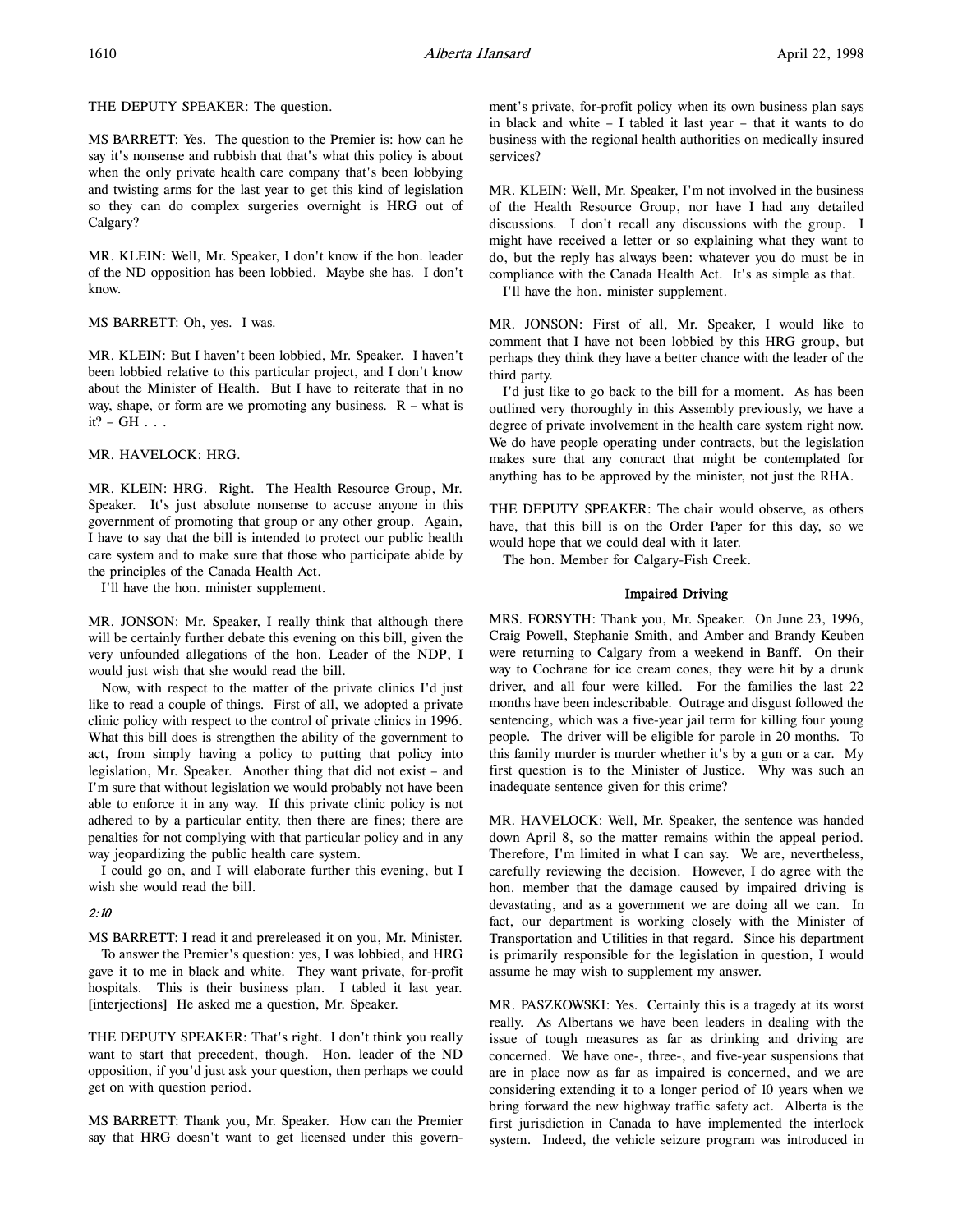THE DEPUTY SPEAKER: The question.

MS BARRETT: Yes. The question to the Premier is: how can he say it's nonsense and rubbish that that's what this policy is about when the only private health care company that's been lobbying and twisting arms for the last year to get this kind of legislation so they can do complex surgeries overnight is HRG out of Calgary?

MR. KLEIN: Well, Mr. Speaker, I don't know if the hon. leader of the ND opposition has been lobbied. Maybe she has. I don't know.

MS BARRETT: Oh, yes. I was.

MR. KLEIN: But I haven't been lobbied, Mr. Speaker. I haven't been lobbied relative to this particular project, and I don't know about the Minister of Health. But I have to reiterate that in no way, shape, or form are we promoting any business.  $R - what$  is  $it? - GH \ldots$ 

# MR. HAVELOCK: HRG.

MR. KLEIN: HRG. Right. The Health Resource Group, Mr. Speaker. It's just absolute nonsense to accuse anyone in this government of promoting that group or any other group. Again, I have to say that the bill is intended to protect our public health care system and to make sure that those who participate abide by the principles of the Canada Health Act.

I'll have the hon. minister supplement.

MR. JONSON: Mr. Speaker, I really think that although there will be certainly further debate this evening on this bill, given the very unfounded allegations of the hon. Leader of the NDP, I would just wish that she would read the bill.

Now, with respect to the matter of the private clinics I'd just like to read a couple of things. First of all, we adopted a private clinic policy with respect to the control of private clinics in 1996. What this bill does is strengthen the ability of the government to act, from simply having a policy to putting that policy into legislation, Mr. Speaker. Another thing that did not exist – and I'm sure that without legislation we would probably not have been able to enforce it in any way. If this private clinic policy is not adhered to by a particular entity, then there are fines; there are penalties for not complying with that particular policy and in any way jeopardizing the public health care system.

I could go on, and I will elaborate further this evening, but I wish she would read the bill.

# $2:10$

MS BARRETT: I read it and prereleased it on you, Mr. Minister. To answer the Premier's question: yes, I was lobbied, and HRG gave it to me in black and white. They want private, for-profit hospitals. This is their business plan. I tabled it last year. [interjections] He asked me a question, Mr. Speaker.

THE DEPUTY SPEAKER: That's right. I don't think you really want to start that precedent, though. Hon. leader of the ND opposition, if you'd just ask your question, then perhaps we could get on with question period.

MS BARRETT: Thank you, Mr. Speaker. How can the Premier say that HRG doesn't want to get licensed under this government's private, for-profit policy when its own business plan says in black and white – I tabled it last year – that it wants to do business with the regional health authorities on medically insured services?

MR. KLEIN: Well, Mr. Speaker, I'm not involved in the business of the Health Resource Group, nor have I had any detailed discussions. I don't recall any discussions with the group. I might have received a letter or so explaining what they want to do, but the reply has always been: whatever you do must be in compliance with the Canada Health Act. It's as simple as that.

I'll have the hon. minister supplement.

MR. JONSON: First of all, Mr. Speaker, I would like to comment that I have not been lobbied by this HRG group, but perhaps they think they have a better chance with the leader of the third party.

I'd just like to go back to the bill for a moment. As has been outlined very thoroughly in this Assembly previously, we have a degree of private involvement in the health care system right now. We do have people operating under contracts, but the legislation makes sure that any contract that might be contemplated for anything has to be approved by the minister, not just the RHA.

THE DEPUTY SPEAKER: The chair would observe, as others have, that this bill is on the Order Paper for this day, so we would hope that we could deal with it later.

The hon. Member for Calgary-Fish Creek.

# Impaired Driving

MRS. FORSYTH: Thank you, Mr. Speaker. On June 23, 1996, Craig Powell, Stephanie Smith, and Amber and Brandy Keuben were returning to Calgary from a weekend in Banff. On their way to Cochrane for ice cream cones, they were hit by a drunk driver, and all four were killed. For the families the last 22 months have been indescribable. Outrage and disgust followed the sentencing, which was a five-year jail term for killing four young people. The driver will be eligible for parole in 20 months. To this family murder is murder whether it's by a gun or a car. My first question is to the Minister of Justice. Why was such an inadequate sentence given for this crime?

MR. HAVELOCK: Well, Mr. Speaker, the sentence was handed down April 8, so the matter remains within the appeal period. Therefore, I'm limited in what I can say. We are, nevertheless, carefully reviewing the decision. However, I do agree with the hon. member that the damage caused by impaired driving is devastating, and as a government we are doing all we can. In fact, our department is working closely with the Minister of Transportation and Utilities in that regard. Since his department is primarily responsible for the legislation in question, I would assume he may wish to supplement my answer.

MR. PASZKOWSKI: Yes. Certainly this is a tragedy at its worst really. As Albertans we have been leaders in dealing with the issue of tough measures as far as drinking and driving are concerned. We have one-, three-, and five-year suspensions that are in place now as far as impaired is concerned, and we are considering extending it to a longer period of 10 years when we bring forward the new highway traffic safety act. Alberta is the first jurisdiction in Canada to have implemented the interlock system. Indeed, the vehicle seizure program was introduced in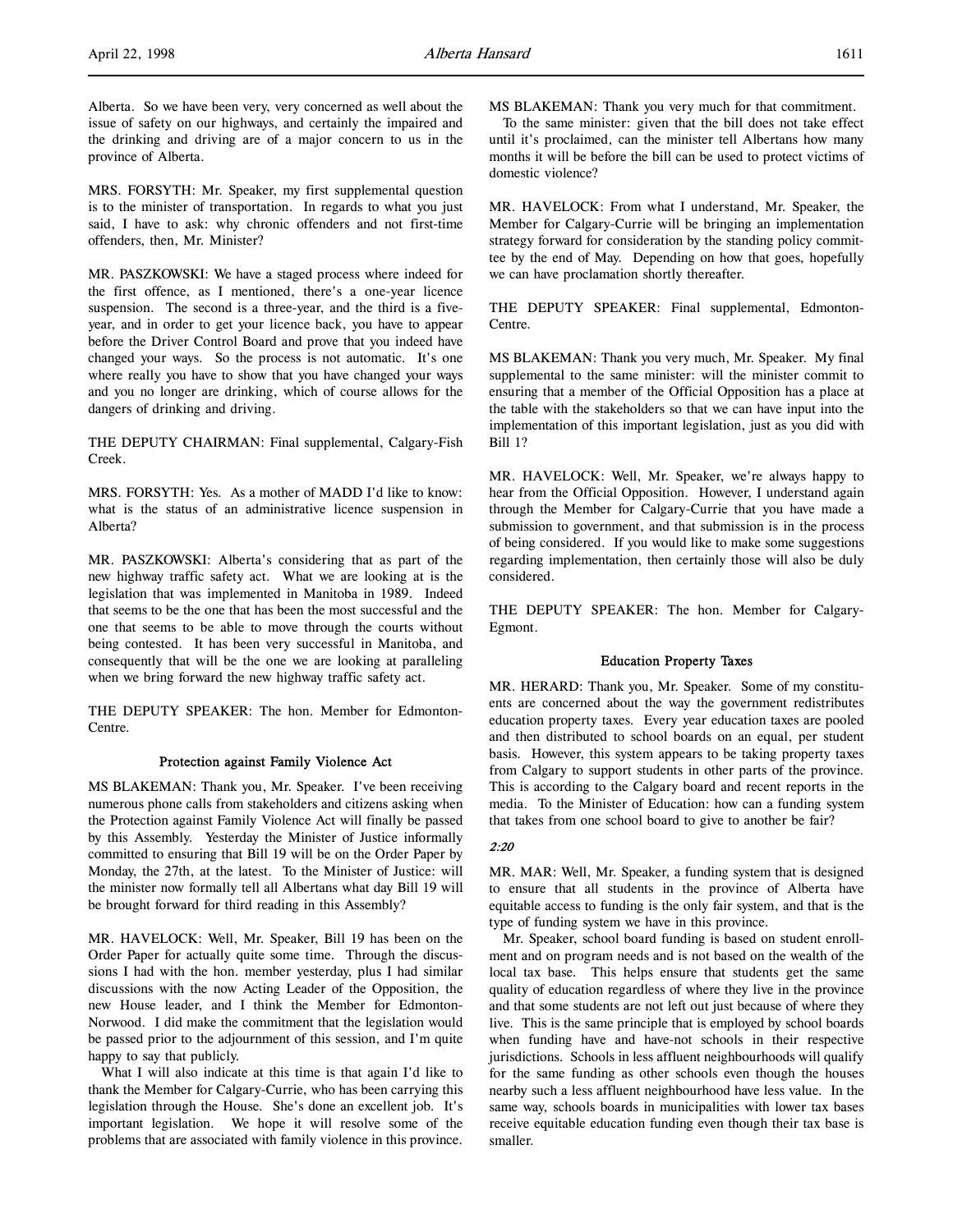MRS. FORSYTH: Mr. Speaker, my first supplemental question is to the minister of transportation. In regards to what you just said, I have to ask: why chronic offenders and not first-time offenders, then, Mr. Minister?

MR. PASZKOWSKI: We have a staged process where indeed for the first offence, as I mentioned, there's a one-year licence suspension. The second is a three-year, and the third is a fiveyear, and in order to get your licence back, you have to appear before the Driver Control Board and prove that you indeed have changed your ways. So the process is not automatic. It's one where really you have to show that you have changed your ways and you no longer are drinking, which of course allows for the dangers of drinking and driving.

THE DEPUTY CHAIRMAN: Final supplemental, Calgary-Fish Creek.

MRS. FORSYTH: Yes. As a mother of MADD I'd like to know: what is the status of an administrative licence suspension in Alberta?

MR. PASZKOWSKI: Alberta's considering that as part of the new highway traffic safety act. What we are looking at is the legislation that was implemented in Manitoba in 1989. Indeed that seems to be the one that has been the most successful and the one that seems to be able to move through the courts without being contested. It has been very successful in Manitoba, and consequently that will be the one we are looking at paralleling when we bring forward the new highway traffic safety act.

THE DEPUTY SPEAKER: The hon. Member for Edmonton-Centre.

# Protection against Family Violence Act

MS BLAKEMAN: Thank you, Mr. Speaker. I've been receiving numerous phone calls from stakeholders and citizens asking when the Protection against Family Violence Act will finally be passed by this Assembly. Yesterday the Minister of Justice informally committed to ensuring that Bill 19 will be on the Order Paper by Monday, the 27th, at the latest. To the Minister of Justice: will the minister now formally tell all Albertans what day Bill 19 will be brought forward for third reading in this Assembly?

MR. HAVELOCK: Well, Mr. Speaker, Bill 19 has been on the Order Paper for actually quite some time. Through the discussions I had with the hon. member yesterday, plus I had similar discussions with the now Acting Leader of the Opposition, the new House leader, and I think the Member for Edmonton-Norwood. I did make the commitment that the legislation would be passed prior to the adjournment of this session, and I'm quite happy to say that publicly.

What I will also indicate at this time is that again I'd like to thank the Member for Calgary-Currie, who has been carrying this legislation through the House. She's done an excellent job. It's important legislation. We hope it will resolve some of the problems that are associated with family violence in this province.

MS BLAKEMAN: Thank you very much for that commitment.

To the same minister: given that the bill does not take effect until it's proclaimed, can the minister tell Albertans how many months it will be before the bill can be used to protect victims of domestic violence?

MR. HAVELOCK: From what I understand, Mr. Speaker, the Member for Calgary-Currie will be bringing an implementation strategy forward for consideration by the standing policy committee by the end of May. Depending on how that goes, hopefully we can have proclamation shortly thereafter.

THE DEPUTY SPEAKER: Final supplemental, Edmonton-Centre.

MS BLAKEMAN: Thank you very much, Mr. Speaker. My final supplemental to the same minister: will the minister commit to ensuring that a member of the Official Opposition has a place at the table with the stakeholders so that we can have input into the implementation of this important legislation, just as you did with Bill 1?

MR. HAVELOCK: Well, Mr. Speaker, we're always happy to hear from the Official Opposition. However, I understand again through the Member for Calgary-Currie that you have made a submission to government, and that submission is in the process of being considered. If you would like to make some suggestions regarding implementation, then certainly those will also be duly considered.

THE DEPUTY SPEAKER: The hon. Member for Calgary-Egmont.

## Education Property Taxes

MR. HERARD: Thank you, Mr. Speaker. Some of my constituents are concerned about the way the government redistributes education property taxes. Every year education taxes are pooled and then distributed to school boards on an equal, per student basis. However, this system appears to be taking property taxes from Calgary to support students in other parts of the province. This is according to the Calgary board and recent reports in the media. To the Minister of Education: how can a funding system that takes from one school board to give to another be fair?

# 2:20

MR. MAR: Well, Mr. Speaker, a funding system that is designed to ensure that all students in the province of Alberta have equitable access to funding is the only fair system, and that is the type of funding system we have in this province.

Mr. Speaker, school board funding is based on student enrollment and on program needs and is not based on the wealth of the local tax base. This helps ensure that students get the same quality of education regardless of where they live in the province and that some students are not left out just because of where they live. This is the same principle that is employed by school boards when funding have and have-not schools in their respective jurisdictions. Schools in less affluent neighbourhoods will qualify for the same funding as other schools even though the houses nearby such a less affluent neighbourhood have less value. In the same way, schools boards in municipalities with lower tax bases receive equitable education funding even though their tax base is smaller.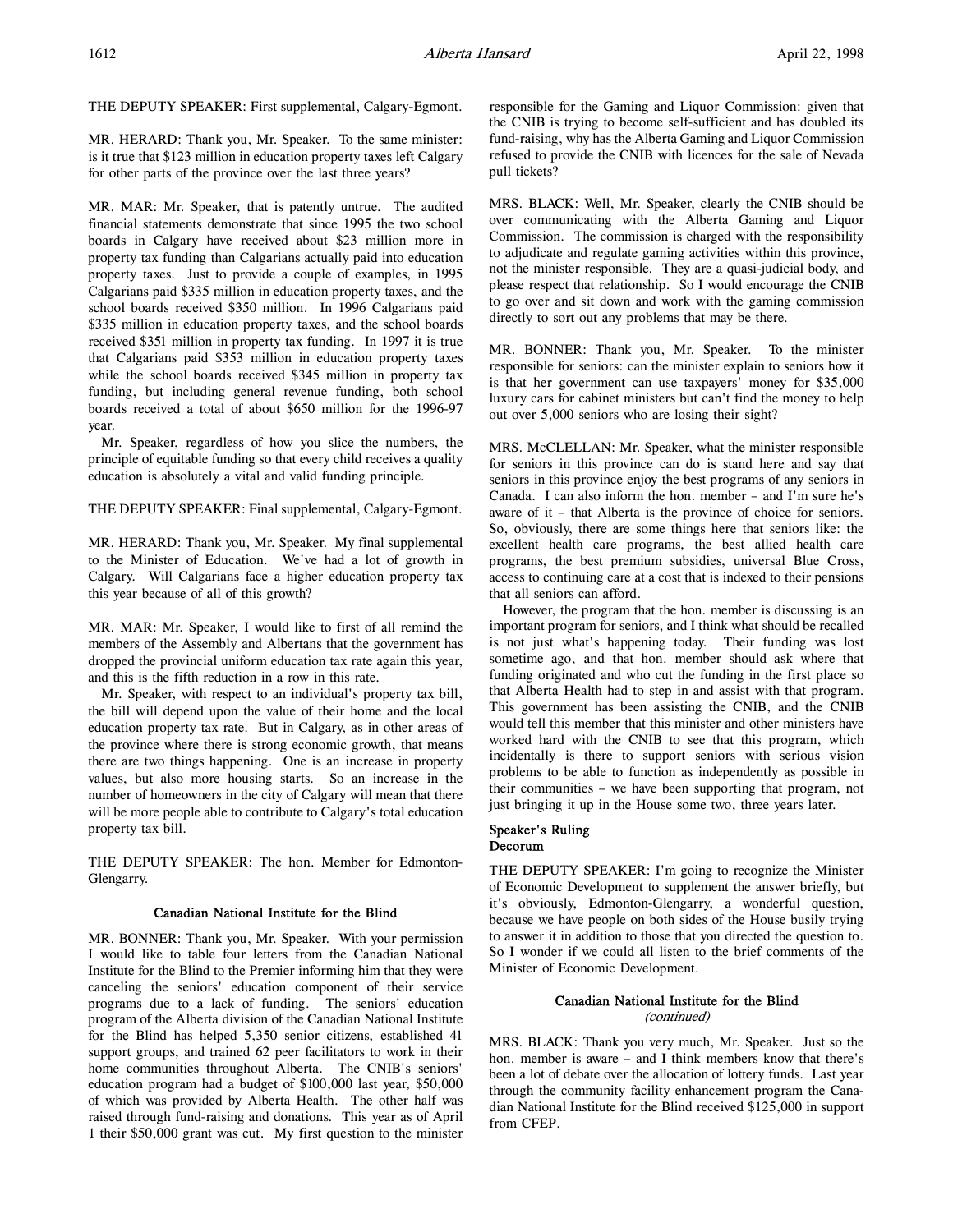THE DEPUTY SPEAKER: First supplemental, Calgary-Egmont.

MR. HERARD: Thank you, Mr. Speaker. To the same minister: is it true that \$123 million in education property taxes left Calgary for other parts of the province over the last three years?

MR. MAR: Mr. Speaker, that is patently untrue. The audited financial statements demonstrate that since 1995 the two school boards in Calgary have received about \$23 million more in property tax funding than Calgarians actually paid into education property taxes. Just to provide a couple of examples, in 1995 Calgarians paid \$335 million in education property taxes, and the school boards received \$350 million. In 1996 Calgarians paid \$335 million in education property taxes, and the school boards received \$351 million in property tax funding. In 1997 it is true that Calgarians paid \$353 million in education property taxes while the school boards received \$345 million in property tax funding, but including general revenue funding, both school boards received a total of about \$650 million for the 1996-97 year.

Mr. Speaker, regardless of how you slice the numbers, the principle of equitable funding so that every child receives a quality education is absolutely a vital and valid funding principle.

THE DEPUTY SPEAKER: Final supplemental, Calgary-Egmont.

MR. HERARD: Thank you, Mr. Speaker. My final supplemental to the Minister of Education. We've had a lot of growth in Calgary. Will Calgarians face a higher education property tax this year because of all of this growth?

MR. MAR: Mr. Speaker, I would like to first of all remind the members of the Assembly and Albertans that the government has dropped the provincial uniform education tax rate again this year, and this is the fifth reduction in a row in this rate.

Mr. Speaker, with respect to an individual's property tax bill, the bill will depend upon the value of their home and the local education property tax rate. But in Calgary, as in other areas of the province where there is strong economic growth, that means there are two things happening. One is an increase in property values, but also more housing starts. So an increase in the number of homeowners in the city of Calgary will mean that there will be more people able to contribute to Calgary's total education property tax bill.

THE DEPUTY SPEAKER: The hon. Member for Edmonton-Glengarry.

# Canadian National Institute for the Blind

MR. BONNER: Thank you, Mr. Speaker. With your permission I would like to table four letters from the Canadian National Institute for the Blind to the Premier informing him that they were canceling the seniors' education component of their service programs due to a lack of funding. The seniors' education program of the Alberta division of the Canadian National Institute for the Blind has helped 5,350 senior citizens, established 41 support groups, and trained 62 peer facilitators to work in their home communities throughout Alberta. The CNIB's seniors' education program had a budget of \$100,000 last year, \$50,000 of which was provided by Alberta Health. The other half was raised through fund-raising and donations. This year as of April 1 their \$50,000 grant was cut. My first question to the minister responsible for the Gaming and Liquor Commission: given that the CNIB is trying to become self-sufficient and has doubled its fund-raising, why has the Alberta Gaming and Liquor Commission refused to provide the CNIB with licences for the sale of Nevada pull tickets?

MRS. BLACK: Well, Mr. Speaker, clearly the CNIB should be over communicating with the Alberta Gaming and Liquor Commission. The commission is charged with the responsibility to adjudicate and regulate gaming activities within this province, not the minister responsible. They are a quasi-judicial body, and please respect that relationship. So I would encourage the CNIB to go over and sit down and work with the gaming commission directly to sort out any problems that may be there.

MR. BONNER: Thank you, Mr. Speaker. To the minister responsible for seniors: can the minister explain to seniors how it is that her government can use taxpayers' money for \$35,000 luxury cars for cabinet ministers but can't find the money to help out over 5,000 seniors who are losing their sight?

MRS. McCLELLAN: Mr. Speaker, what the minister responsible for seniors in this province can do is stand here and say that seniors in this province enjoy the best programs of any seniors in Canada. I can also inform the hon. member – and I'm sure he's aware of it – that Alberta is the province of choice for seniors. So, obviously, there are some things here that seniors like: the excellent health care programs, the best allied health care programs, the best premium subsidies, universal Blue Cross, access to continuing care at a cost that is indexed to their pensions that all seniors can afford.

However, the program that the hon. member is discussing is an important program for seniors, and I think what should be recalled is not just what's happening today. Their funding was lost sometime ago, and that hon. member should ask where that funding originated and who cut the funding in the first place so that Alberta Health had to step in and assist with that program. This government has been assisting the CNIB, and the CNIB would tell this member that this minister and other ministers have worked hard with the CNIB to see that this program, which incidentally is there to support seniors with serious vision problems to be able to function as independently as possible in their communities – we have been supporting that program, not just bringing it up in the House some two, three years later.

# Speaker's Ruling Decorum

THE DEPUTY SPEAKER: I'm going to recognize the Minister of Economic Development to supplement the answer briefly, but it's obviously, Edmonton-Glengarry, a wonderful question, because we have people on both sides of the House busily trying to answer it in addition to those that you directed the question to. So I wonder if we could all listen to the brief comments of the Minister of Economic Development.

# Canadian National Institute for the Blind (continued)

MRS. BLACK: Thank you very much, Mr. Speaker. Just so the hon. member is aware – and I think members know that there's been a lot of debate over the allocation of lottery funds. Last year through the community facility enhancement program the Canadian National Institute for the Blind received \$125,000 in support from CFEP.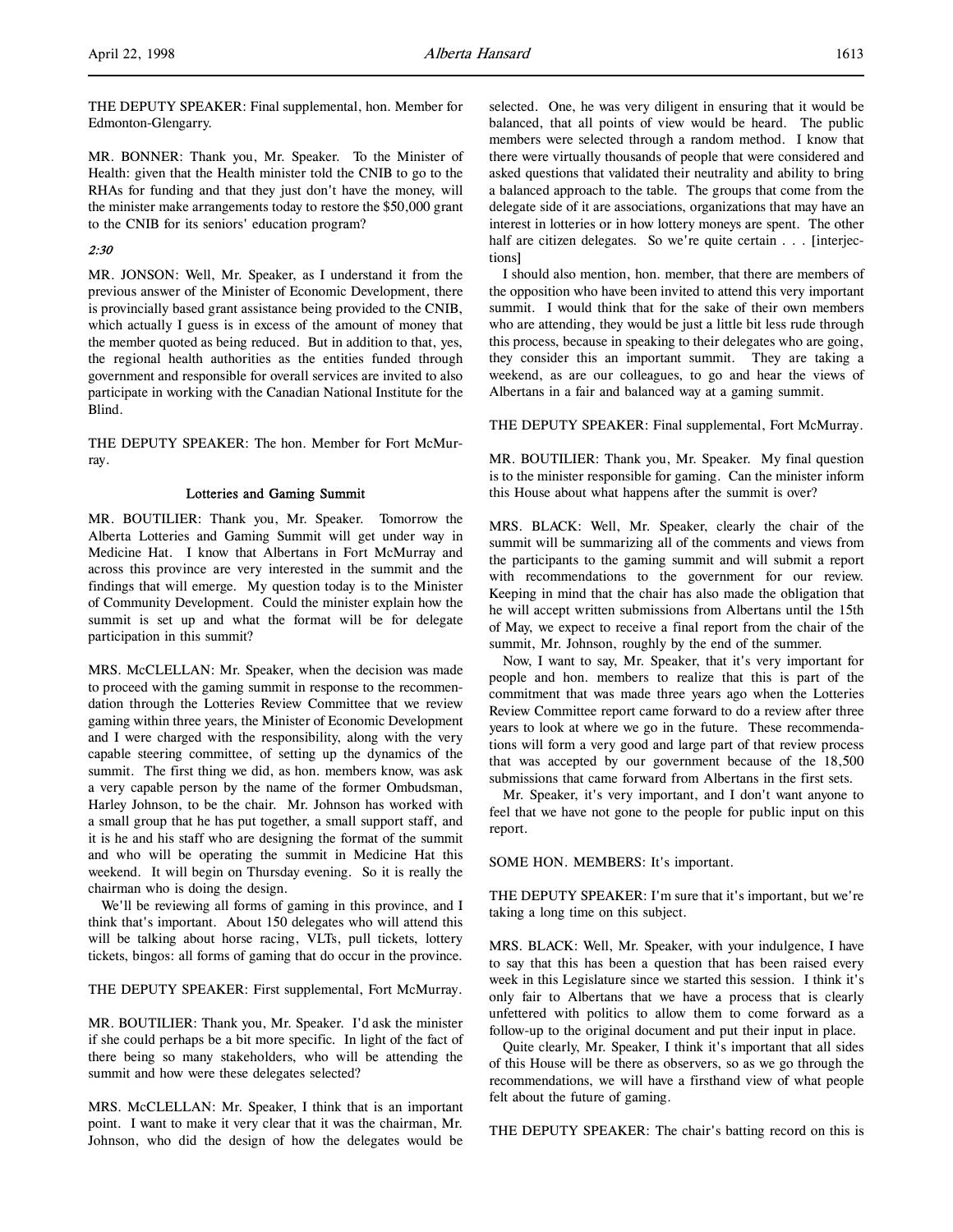THE DEPUTY SPEAKER: Final supplemental, hon. Member for Edmonton-Glengarry.

MR. BONNER: Thank you, Mr. Speaker. To the Minister of Health: given that the Health minister told the CNIB to go to the RHAs for funding and that they just don't have the money, will the minister make arrangements today to restore the \$50,000 grant to the CNIB for its seniors' education program?

# 2:30

MR. JONSON: Well, Mr. Speaker, as I understand it from the previous answer of the Minister of Economic Development, there is provincially based grant assistance being provided to the CNIB, which actually I guess is in excess of the amount of money that the member quoted as being reduced. But in addition to that, yes, the regional health authorities as the entities funded through government and responsible for overall services are invited to also participate in working with the Canadian National Institute for the Blind.

THE DEPUTY SPEAKER: The hon. Member for Fort McMurray.

## Lotteries and Gaming Summit

MR. BOUTILIER: Thank you, Mr. Speaker. Tomorrow the Alberta Lotteries and Gaming Summit will get under way in Medicine Hat. I know that Albertans in Fort McMurray and across this province are very interested in the summit and the findings that will emerge. My question today is to the Minister of Community Development. Could the minister explain how the summit is set up and what the format will be for delegate participation in this summit?

MRS. McCLELLAN: Mr. Speaker, when the decision was made to proceed with the gaming summit in response to the recommendation through the Lotteries Review Committee that we review gaming within three years, the Minister of Economic Development and I were charged with the responsibility, along with the very capable steering committee, of setting up the dynamics of the summit. The first thing we did, as hon. members know, was ask a very capable person by the name of the former Ombudsman, Harley Johnson, to be the chair. Mr. Johnson has worked with a small group that he has put together, a small support staff, and it is he and his staff who are designing the format of the summit and who will be operating the summit in Medicine Hat this weekend. It will begin on Thursday evening. So it is really the chairman who is doing the design.

We'll be reviewing all forms of gaming in this province, and I think that's important. About 150 delegates who will attend this will be talking about horse racing, VLTs, pull tickets, lottery tickets, bingos: all forms of gaming that do occur in the province.

THE DEPUTY SPEAKER: First supplemental, Fort McMurray.

MR. BOUTILIER: Thank you, Mr. Speaker. I'd ask the minister if she could perhaps be a bit more specific. In light of the fact of there being so many stakeholders, who will be attending the summit and how were these delegates selected?

MRS. McCLELLAN: Mr. Speaker, I think that is an important point. I want to make it very clear that it was the chairman, Mr. Johnson, who did the design of how the delegates would be

selected. One, he was very diligent in ensuring that it would be balanced, that all points of view would be heard. The public members were selected through a random method. I know that there were virtually thousands of people that were considered and asked questions that validated their neutrality and ability to bring a balanced approach to the table. The groups that come from the delegate side of it are associations, organizations that may have an interest in lotteries or in how lottery moneys are spent. The other half are citizen delegates. So we're quite certain . . . [interjections]

I should also mention, hon. member, that there are members of the opposition who have been invited to attend this very important summit. I would think that for the sake of their own members who are attending, they would be just a little bit less rude through this process, because in speaking to their delegates who are going, they consider this an important summit. They are taking a weekend, as are our colleagues, to go and hear the views of Albertans in a fair and balanced way at a gaming summit.

THE DEPUTY SPEAKER: Final supplemental, Fort McMurray.

MR. BOUTILIER: Thank you, Mr. Speaker. My final question is to the minister responsible for gaming. Can the minister inform this House about what happens after the summit is over?

MRS. BLACK: Well, Mr. Speaker, clearly the chair of the summit will be summarizing all of the comments and views from the participants to the gaming summit and will submit a report with recommendations to the government for our review. Keeping in mind that the chair has also made the obligation that he will accept written submissions from Albertans until the 15th of May, we expect to receive a final report from the chair of the summit, Mr. Johnson, roughly by the end of the summer.

Now, I want to say, Mr. Speaker, that it's very important for people and hon. members to realize that this is part of the commitment that was made three years ago when the Lotteries Review Committee report came forward to do a review after three years to look at where we go in the future. These recommendations will form a very good and large part of that review process that was accepted by our government because of the 18,500 submissions that came forward from Albertans in the first sets.

Mr. Speaker, it's very important, and I don't want anyone to feel that we have not gone to the people for public input on this report.

SOME HON. MEMBERS: It's important.

THE DEPUTY SPEAKER: I'm sure that it's important, but we're taking a long time on this subject.

MRS. BLACK: Well, Mr. Speaker, with your indulgence, I have to say that this has been a question that has been raised every week in this Legislature since we started this session. I think it's only fair to Albertans that we have a process that is clearly unfettered with politics to allow them to come forward as a follow-up to the original document and put their input in place.

Quite clearly, Mr. Speaker, I think it's important that all sides of this House will be there as observers, so as we go through the recommendations, we will have a firsthand view of what people felt about the future of gaming.

THE DEPUTY SPEAKER: The chair's batting record on this is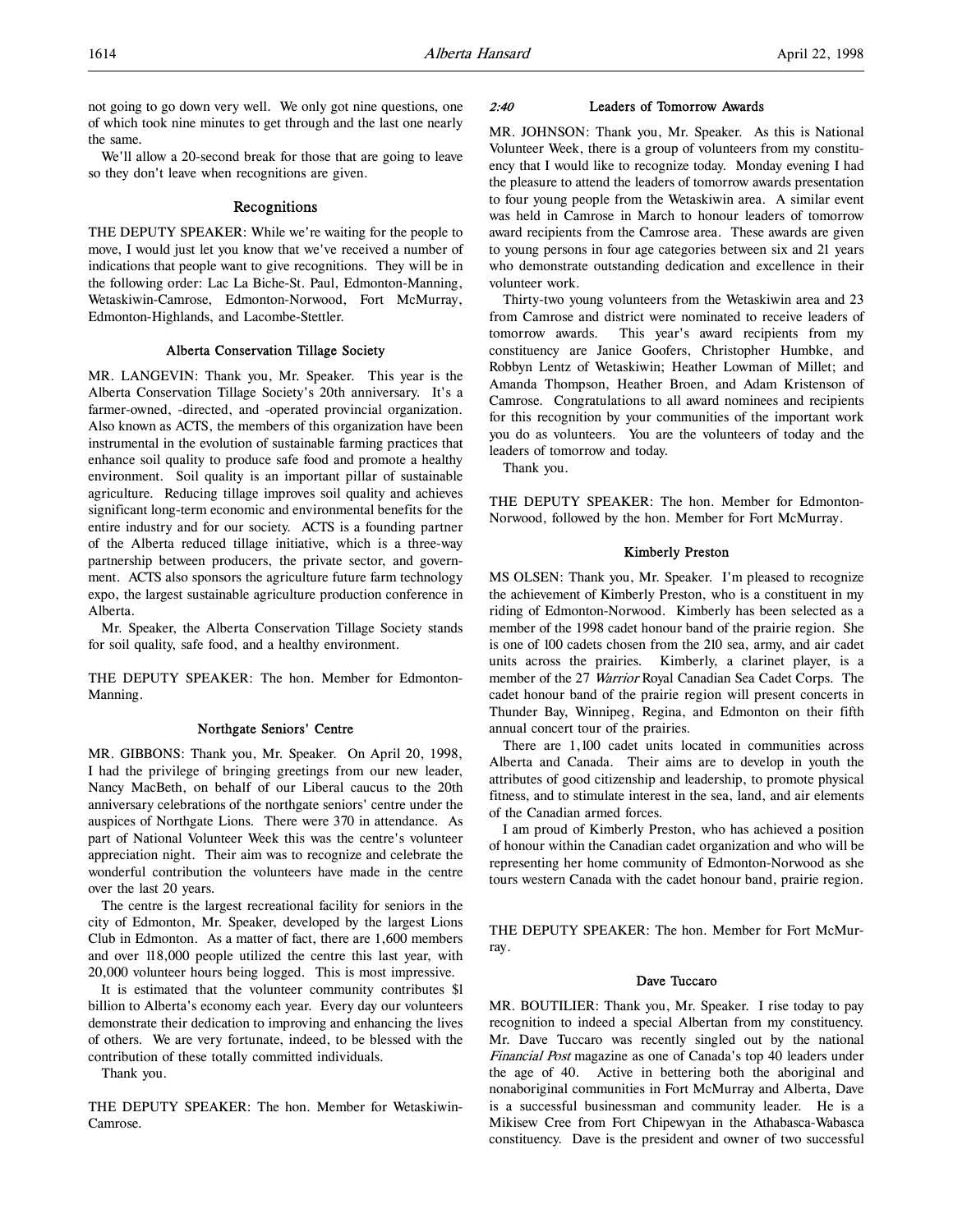not going to go down very well. We only got nine questions, one of which took nine minutes to get through and the last one nearly the same.

We'll allow a 20-second break for those that are going to leave so they don't leave when recognitions are given.

# Recognitions

THE DEPUTY SPEAKER: While we're waiting for the people to move, I would just let you know that we've received a number of indications that people want to give recognitions. They will be in the following order: Lac La Biche-St. Paul, Edmonton-Manning, Wetaskiwin-Camrose, Edmonton-Norwood, Fort McMurray, Edmonton-Highlands, and Lacombe-Stettler.

# Alberta Conservation Tillage Society

MR. LANGEVIN: Thank you, Mr. Speaker. This year is the Alberta Conservation Tillage Society's 20th anniversary. It's a farmer-owned, -directed, and -operated provincial organization. Also known as ACTS, the members of this organization have been instrumental in the evolution of sustainable farming practices that enhance soil quality to produce safe food and promote a healthy environment. Soil quality is an important pillar of sustainable agriculture. Reducing tillage improves soil quality and achieves significant long-term economic and environmental benefits for the entire industry and for our society. ACTS is a founding partner of the Alberta reduced tillage initiative, which is a three-way partnership between producers, the private sector, and government. ACTS also sponsors the agriculture future farm technology expo, the largest sustainable agriculture production conference in Alberta.

Mr. Speaker, the Alberta Conservation Tillage Society stands for soil quality, safe food, and a healthy environment.

THE DEPUTY SPEAKER: The hon. Member for Edmonton-Manning.

#### Northgate Seniors' Centre

MR. GIBBONS: Thank you, Mr. Speaker. On April 20, 1998, I had the privilege of bringing greetings from our new leader, Nancy MacBeth, on behalf of our Liberal caucus to the 20th anniversary celebrations of the northgate seniors' centre under the auspices of Northgate Lions. There were 370 in attendance. As part of National Volunteer Week this was the centre's volunteer appreciation night. Their aim was to recognize and celebrate the wonderful contribution the volunteers have made in the centre over the last 20 years.

The centre is the largest recreational facility for seniors in the city of Edmonton, Mr. Speaker, developed by the largest Lions Club in Edmonton. As a matter of fact, there are 1,600 members and over 118,000 people utilized the centre this last year, with 20,000 volunteer hours being logged. This is most impressive.

It is estimated that the volunteer community contributes \$l billion to Alberta's economy each year. Every day our volunteers demonstrate their dedication to improving and enhancing the lives of others. We are very fortunate, indeed, to be blessed with the contribution of these totally committed individuals.

Thank you.

THE DEPUTY SPEAKER: The hon. Member for Wetaskiwin-Camrose.

## 2:40 Leaders of Tomorrow Awards

MR. JOHNSON: Thank you, Mr. Speaker. As this is National Volunteer Week, there is a group of volunteers from my constituency that I would like to recognize today. Monday evening I had the pleasure to attend the leaders of tomorrow awards presentation to four young people from the Wetaskiwin area. A similar event was held in Camrose in March to honour leaders of tomorrow award recipients from the Camrose area. These awards are given to young persons in four age categories between six and 21 years who demonstrate outstanding dedication and excellence in their volunteer work.

Thirty-two young volunteers from the Wetaskiwin area and 23 from Camrose and district were nominated to receive leaders of tomorrow awards. This year's award recipients from my constituency are Janice Goofers, Christopher Humbke, and Robbyn Lentz of Wetaskiwin; Heather Lowman of Millet; and Amanda Thompson, Heather Broen, and Adam Kristenson of Camrose. Congratulations to all award nominees and recipients for this recognition by your communities of the important work you do as volunteers. You are the volunteers of today and the leaders of tomorrow and today.

Thank you.

THE DEPUTY SPEAKER: The hon. Member for Edmonton-Norwood, followed by the hon. Member for Fort McMurray.

## Kimberly Preston

MS OLSEN: Thank you, Mr. Speaker. I'm pleased to recognize the achievement of Kimberly Preston, who is a constituent in my riding of Edmonton-Norwood. Kimberly has been selected as a member of the 1998 cadet honour band of the prairie region. She is one of 100 cadets chosen from the 210 sea, army, and air cadet units across the prairies. Kimberly, a clarinet player, is a member of the 27 Warrior Royal Canadian Sea Cadet Corps. The cadet honour band of the prairie region will present concerts in Thunder Bay, Winnipeg, Regina, and Edmonton on their fifth annual concert tour of the prairies.

There are 1,100 cadet units located in communities across Alberta and Canada. Their aims are to develop in youth the attributes of good citizenship and leadership, to promote physical fitness, and to stimulate interest in the sea, land, and air elements of the Canadian armed forces.

I am proud of Kimberly Preston, who has achieved a position of honour within the Canadian cadet organization and who will be representing her home community of Edmonton-Norwood as she tours western Canada with the cadet honour band, prairie region.

THE DEPUTY SPEAKER: The hon. Member for Fort McMurray.

#### Dave Tuccaro

MR. BOUTILIER: Thank you, Mr. Speaker. I rise today to pay recognition to indeed a special Albertan from my constituency. Mr. Dave Tuccaro was recently singled out by the national Financial Post magazine as one of Canada's top 40 leaders under the age of 40. Active in bettering both the aboriginal and nonaboriginal communities in Fort McMurray and Alberta, Dave is a successful businessman and community leader. He is a Mikisew Cree from Fort Chipewyan in the Athabasca-Wabasca constituency. Dave is the president and owner of two successful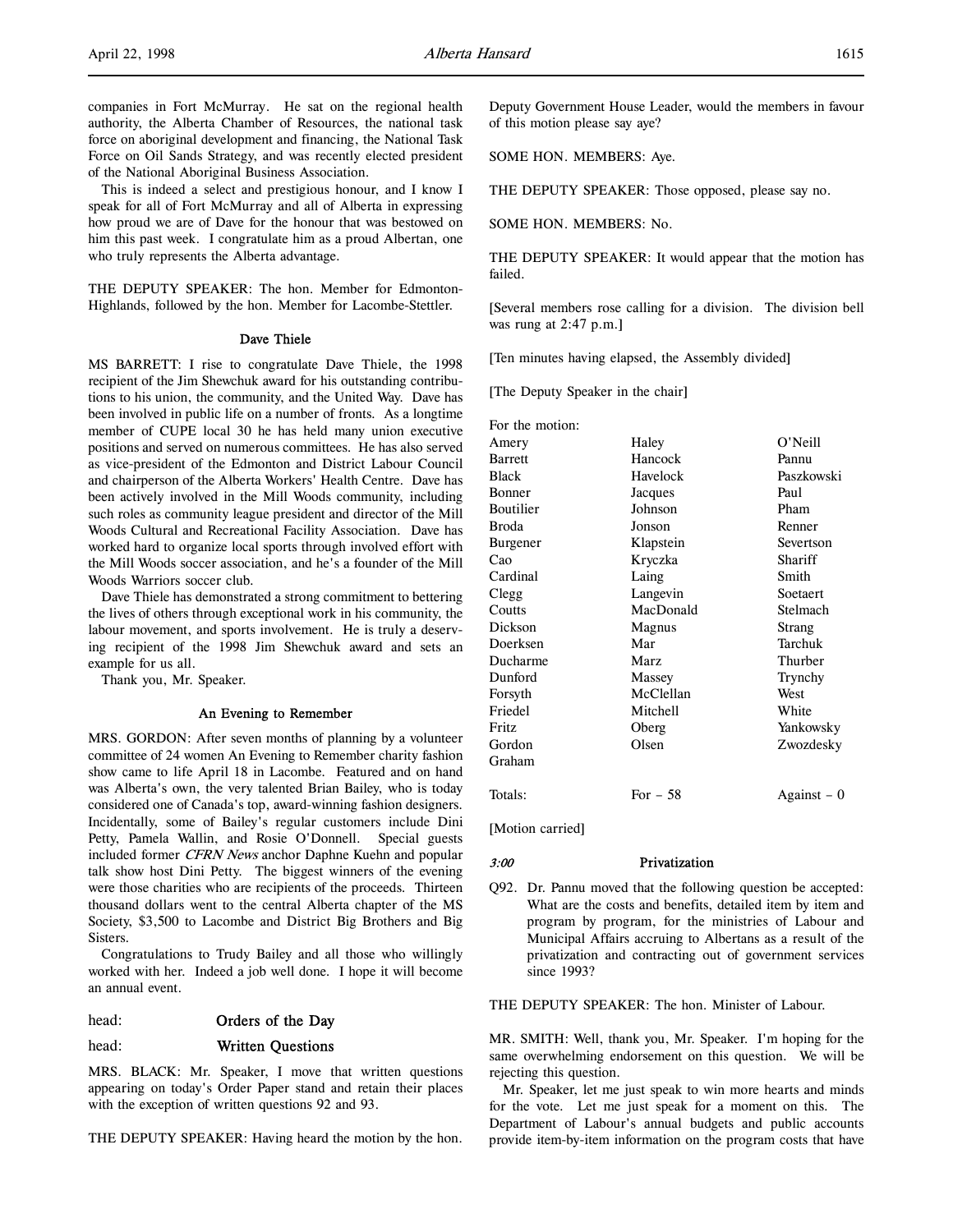companies in Fort McMurray. He sat on the regional health authority, the Alberta Chamber of Resources, the national task force on aboriginal development and financing, the National Task Force on Oil Sands Strategy, and was recently elected president of the National Aboriginal Business Association.

This is indeed a select and prestigious honour, and I know I speak for all of Fort McMurray and all of Alberta in expressing how proud we are of Dave for the honour that was bestowed on him this past week. I congratulate him as a proud Albertan, one who truly represents the Alberta advantage.

THE DEPUTY SPEAKER: The hon. Member for Edmonton-Highlands, followed by the hon. Member for Lacombe-Stettler.

#### Dave Thiele

MS BARRETT: I rise to congratulate Dave Thiele, the 1998 recipient of the Jim Shewchuk award for his outstanding contributions to his union, the community, and the United Way. Dave has been involved in public life on a number of fronts. As a longtime member of CUPE local 30 he has held many union executive positions and served on numerous committees. He has also served as vice-president of the Edmonton and District Labour Council and chairperson of the Alberta Workers' Health Centre. Dave has been actively involved in the Mill Woods community, including such roles as community league president and director of the Mill Woods Cultural and Recreational Facility Association. Dave has worked hard to organize local sports through involved effort with the Mill Woods soccer association, and he's a founder of the Mill Woods Warriors soccer club.

Dave Thiele has demonstrated a strong commitment to bettering the lives of others through exceptional work in his community, the labour movement, and sports involvement. He is truly a deserving recipient of the 1998 Jim Shewchuk award and sets an example for us all.

Thank you, Mr. Speaker.

#### An Evening to Remember

MRS. GORDON: After seven months of planning by a volunteer committee of 24 women An Evening to Remember charity fashion show came to life April 18 in Lacombe. Featured and on hand was Alberta's own, the very talented Brian Bailey, who is today considered one of Canada's top, award-winning fashion designers. Incidentally, some of Bailey's regular customers include Dini Petty, Pamela Wallin, and Rosie O'Donnell. Special guests included former CFRN News anchor Daphne Kuehn and popular talk show host Dini Petty. The biggest winners of the evening were those charities who are recipients of the proceeds. Thirteen thousand dollars went to the central Alberta chapter of the MS Society, \$3,500 to Lacombe and District Big Brothers and Big Sisters.

Congratulations to Trudy Bailey and all those who willingly worked with her. Indeed a job well done. I hope it will become an annual event.

# head: **Orders of the Day**

## head: Written Questions

MRS. BLACK: Mr. Speaker, I move that written questions appearing on today's Order Paper stand and retain their places with the exception of written questions 92 and 93.

THE DEPUTY SPEAKER: Having heard the motion by the hon.

Deputy Government House Leader, would the members in favour of this motion please say aye?

SOME HON. MEMBERS: Aye.

THE DEPUTY SPEAKER: Those opposed, please say no.

SOME HON. MEMBERS: No.

THE DEPUTY SPEAKER: It would appear that the motion has failed.

[Several members rose calling for a division. The division bell was rung at 2:47 p.m.]

[Ten minutes having elapsed, the Assembly divided]

[The Deputy Speaker in the chair]

| For the motion: |           |               |
|-----------------|-----------|---------------|
| Amery           | Haley     | O'Neill       |
| <b>Barrett</b>  | Hancock   | Pannu         |
| Black           | Havelock  | Paszkowski    |
| Bonner          | Jacques   | Paul          |
| Boutilier       | Johnson   | Pham          |
| Broda           | Jonson    | Renner        |
| Burgener        | Klapstein | Severtson     |
| Cao             | Kryczka   | Shariff       |
| Cardinal        | Laing     | Smith         |
| Clegg           | Langevin  | Soetaert      |
| Coutts          | MacDonald | Stelmach      |
| Dickson         | Magnus    | Strang        |
| Doerksen        | Mar       | Tarchuk       |
| Ducharme        | Marz      | Thurber       |
| Dunford         | Massey    | Trynchy       |
| Forsyth         | McClellan | West          |
| Friedel         | Mitchell  | White         |
| Fritz           | Oberg     | Yankowsky     |
| Gordon          | Olsen     | Zwozdesky     |
| Graham          |           |               |
| Totals:         | For $-58$ | $Against - 0$ |
|                 |           |               |

[Motion carried]

# 3:00 Privatization

Q92. Dr. Pannu moved that the following question be accepted: What are the costs and benefits, detailed item by item and program by program, for the ministries of Labour and Municipal Affairs accruing to Albertans as a result of the privatization and contracting out of government services since 1993?

THE DEPUTY SPEAKER: The hon. Minister of Labour.

MR. SMITH: Well, thank you, Mr. Speaker. I'm hoping for the same overwhelming endorsement on this question. We will be rejecting this question.

Mr. Speaker, let me just speak to win more hearts and minds for the vote. Let me just speak for a moment on this. The Department of Labour's annual budgets and public accounts provide item-by-item information on the program costs that have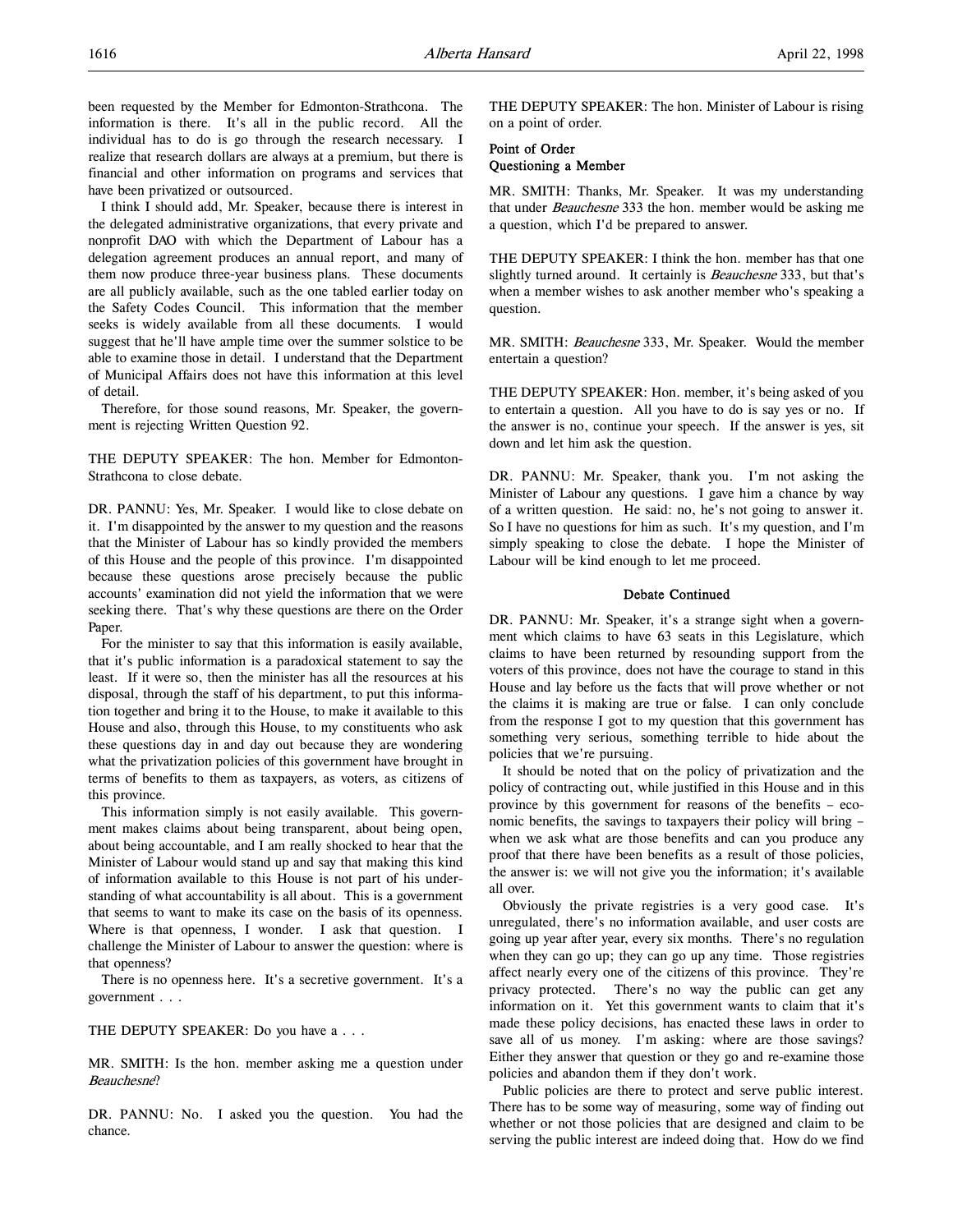I think I should add, Mr. Speaker, because there is interest in the delegated administrative organizations, that every private and nonprofit DAO with which the Department of Labour has a delegation agreement produces an annual report, and many of them now produce three-year business plans. These documents are all publicly available, such as the one tabled earlier today on the Safety Codes Council. This information that the member seeks is widely available from all these documents. I would suggest that he'll have ample time over the summer solstice to be able to examine those in detail. I understand that the Department of Municipal Affairs does not have this information at this level of detail.

Therefore, for those sound reasons, Mr. Speaker, the government is rejecting Written Question 92.

THE DEPUTY SPEAKER: The hon. Member for Edmonton-Strathcona to close debate.

DR. PANNU: Yes, Mr. Speaker. I would like to close debate on it. I'm disappointed by the answer to my question and the reasons that the Minister of Labour has so kindly provided the members of this House and the people of this province. I'm disappointed because these questions arose precisely because the public accounts' examination did not yield the information that we were seeking there. That's why these questions are there on the Order Paper.

For the minister to say that this information is easily available, that it's public information is a paradoxical statement to say the least. If it were so, then the minister has all the resources at his disposal, through the staff of his department, to put this information together and bring it to the House, to make it available to this House and also, through this House, to my constituents who ask these questions day in and day out because they are wondering what the privatization policies of this government have brought in terms of benefits to them as taxpayers, as voters, as citizens of this province.

This information simply is not easily available. This government makes claims about being transparent, about being open, about being accountable, and I am really shocked to hear that the Minister of Labour would stand up and say that making this kind of information available to this House is not part of his understanding of what accountability is all about. This is a government that seems to want to make its case on the basis of its openness. Where is that openness, I wonder. I ask that question. I challenge the Minister of Labour to answer the question: where is that openness?

There is no openness here. It's a secretive government. It's a government . . .

THE DEPUTY SPEAKER: Do you have a . . .

MR. SMITH: Is the hon. member asking me a question under Beauchesne?

DR. PANNU: No. I asked you the question. You had the chance.

THE DEPUTY SPEAKER: The hon. Minister of Labour is rising on a point of order.

# Point of Order Questioning a Member

MR. SMITH: Thanks, Mr. Speaker. It was my understanding that under *Beauchesne* 333 the hon. member would be asking me a question, which I'd be prepared to answer.

THE DEPUTY SPEAKER: I think the hon. member has that one slightly turned around. It certainly is *Beauchesne* 333, but that's when a member wishes to ask another member who's speaking a question.

MR. SMITH: Beauchesne 333, Mr. Speaker. Would the member entertain a question?

THE DEPUTY SPEAKER: Hon. member, it's being asked of you to entertain a question. All you have to do is say yes or no. If the answer is no, continue your speech. If the answer is yes, sit down and let him ask the question.

DR. PANNU: Mr. Speaker, thank you. I'm not asking the Minister of Labour any questions. I gave him a chance by way of a written question. He said: no, he's not going to answer it. So I have no questions for him as such. It's my question, and I'm simply speaking to close the debate. I hope the Minister of Labour will be kind enough to let me proceed.

#### Debate Continued

DR. PANNU: Mr. Speaker, it's a strange sight when a government which claims to have 63 seats in this Legislature, which claims to have been returned by resounding support from the voters of this province, does not have the courage to stand in this House and lay before us the facts that will prove whether or not the claims it is making are true or false. I can only conclude from the response I got to my question that this government has something very serious, something terrible to hide about the policies that we're pursuing.

It should be noted that on the policy of privatization and the policy of contracting out, while justified in this House and in this province by this government for reasons of the benefits – economic benefits, the savings to taxpayers their policy will bring – when we ask what are those benefits and can you produce any proof that there have been benefits as a result of those policies, the answer is: we will not give you the information; it's available all over.

Obviously the private registries is a very good case. It's unregulated, there's no information available, and user costs are going up year after year, every six months. There's no regulation when they can go up; they can go up any time. Those registries affect nearly every one of the citizens of this province. They're privacy protected. There's no way the public can get any information on it. Yet this government wants to claim that it's made these policy decisions, has enacted these laws in order to save all of us money. I'm asking: where are those savings? Either they answer that question or they go and re-examine those policies and abandon them if they don't work.

Public policies are there to protect and serve public interest. There has to be some way of measuring, some way of finding out whether or not those policies that are designed and claim to be serving the public interest are indeed doing that. How do we find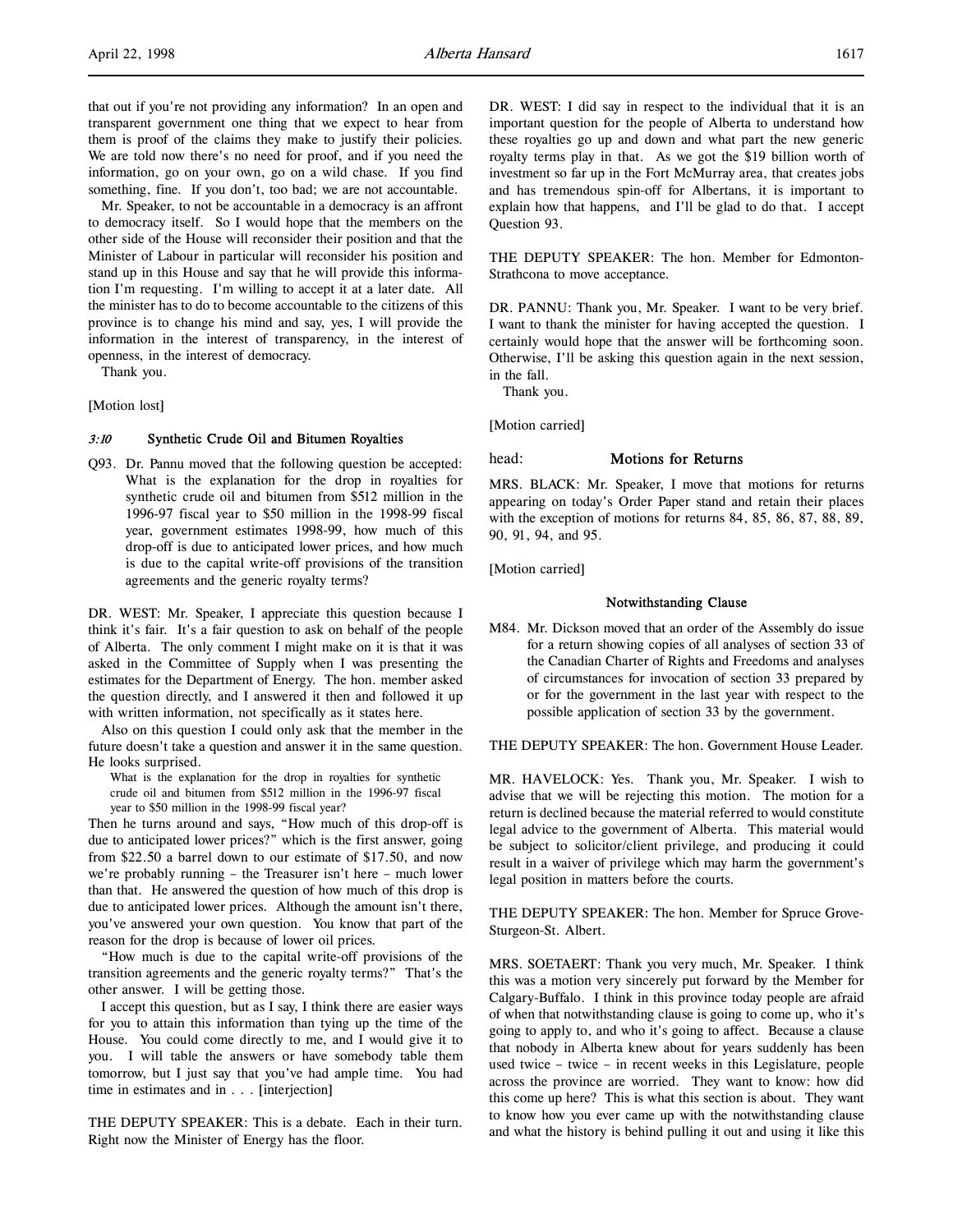that out if you're not providing any information? In an open and transparent government one thing that we expect to hear from them is proof of the claims they make to justify their policies. We are told now there's no need for proof, and if you need the information, go on your own, go on a wild chase. If you find something, fine. If you don't, too bad; we are not accountable.

Mr. Speaker, to not be accountable in a democracy is an affront to democracy itself. So I would hope that the members on the other side of the House will reconsider their position and that the Minister of Labour in particular will reconsider his position and stand up in this House and say that he will provide this information I'm requesting. I'm willing to accept it at a later date. All the minister has to do to become accountable to the citizens of this province is to change his mind and say, yes, I will provide the information in the interest of transparency, in the interest of openness, in the interest of democracy.

Thank you.

[Motion lost]

## 3:10 Synthetic Crude Oil and Bitumen Royalties

Q93. Dr. Pannu moved that the following question be accepted: What is the explanation for the drop in royalties for synthetic crude oil and bitumen from \$512 million in the 1996-97 fiscal year to \$50 million in the 1998-99 fiscal year, government estimates 1998-99, how much of this drop-off is due to anticipated lower prices, and how much is due to the capital write-off provisions of the transition agreements and the generic royalty terms?

DR. WEST: Mr. Speaker, I appreciate this question because I think it's fair. It's a fair question to ask on behalf of the people of Alberta. The only comment I might make on it is that it was asked in the Committee of Supply when I was presenting the estimates for the Department of Energy. The hon. member asked the question directly, and I answered it then and followed it up with written information, not specifically as it states here.

Also on this question I could only ask that the member in the future doesn't take a question and answer it in the same question. He looks surprised.

What is the explanation for the drop in royalties for synthetic crude oil and bitumen from \$512 million in the 1996-97 fiscal year to \$50 million in the 1998-99 fiscal year?

Then he turns around and says, "How much of this drop-off is due to anticipated lower prices?" which is the first answer, going from \$22.50 a barrel down to our estimate of \$17.50, and now we're probably running – the Treasurer isn't here – much lower than that. He answered the question of how much of this drop is due to anticipated lower prices. Although the amount isn't there, you've answered your own question. You know that part of the reason for the drop is because of lower oil prices.

"How much is due to the capital write-off provisions of the transition agreements and the generic royalty terms?" That's the other answer. I will be getting those.

I accept this question, but as I say, I think there are easier ways for you to attain this information than tying up the time of the House. You could come directly to me, and I would give it to you. I will table the answers or have somebody table them tomorrow, but I just say that you've had ample time. You had time in estimates and in . . . [interjection]

THE DEPUTY SPEAKER: This is a debate. Each in their turn. Right now the Minister of Energy has the floor.

DR. WEST: I did say in respect to the individual that it is an important question for the people of Alberta to understand how these royalties go up and down and what part the new generic royalty terms play in that. As we got the \$19 billion worth of investment so far up in the Fort McMurray area, that creates jobs and has tremendous spin-off for Albertans, it is important to explain how that happens, and I'll be glad to do that. I accept Question 93.

THE DEPUTY SPEAKER: The hon. Member for Edmonton-Strathcona to move acceptance.

DR. PANNU: Thank you, Mr. Speaker. I want to be very brief. I want to thank the minister for having accepted the question. I certainly would hope that the answer will be forthcoming soon. Otherwise, I'll be asking this question again in the next session, in the fall.

Thank you.

[Motion carried]

## head: **Motions for Returns**

MRS. BLACK: Mr. Speaker, I move that motions for returns appearing on today's Order Paper stand and retain their places with the exception of motions for returns 84, 85, 86, 87, 88, 89, 90, 91, 94, and 95.

[Motion carried]

## Notwithstanding Clause

M84. Mr. Dickson moved that an order of the Assembly do issue for a return showing copies of all analyses of section 33 of the Canadian Charter of Rights and Freedoms and analyses of circumstances for invocation of section 33 prepared by or for the government in the last year with respect to the possible application of section 33 by the government.

THE DEPUTY SPEAKER: The hon. Government House Leader.

MR. HAVELOCK: Yes. Thank you, Mr. Speaker. I wish to advise that we will be rejecting this motion. The motion for a return is declined because the material referred to would constitute legal advice to the government of Alberta. This material would be subject to solicitor/client privilege, and producing it could result in a waiver of privilege which may harm the government's legal position in matters before the courts.

THE DEPUTY SPEAKER: The hon. Member for Spruce Grove-Sturgeon-St. Albert.

MRS. SOETAERT: Thank you very much, Mr. Speaker. I think this was a motion very sincerely put forward by the Member for Calgary-Buffalo. I think in this province today people are afraid of when that notwithstanding clause is going to come up, who it's going to apply to, and who it's going to affect. Because a clause that nobody in Alberta knew about for years suddenly has been used twice – twice – in recent weeks in this Legislature, people across the province are worried. They want to know: how did this come up here? This is what this section is about. They want to know how you ever came up with the notwithstanding clause and what the history is behind pulling it out and using it like this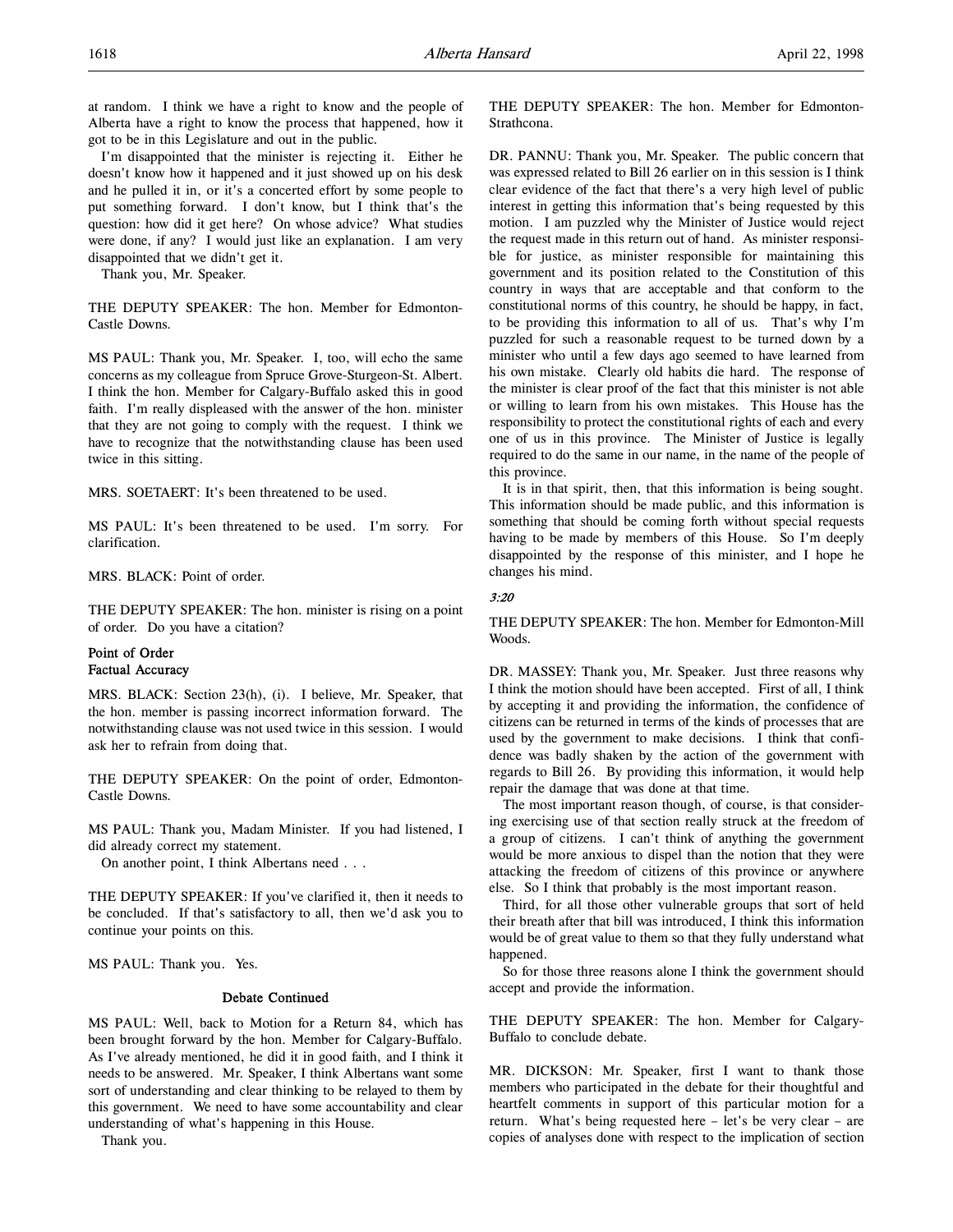at random. I think we have a right to know and the people of Alberta have a right to know the process that happened, how it got to be in this Legislature and out in the public.

I'm disappointed that the minister is rejecting it. Either he doesn't know how it happened and it just showed up on his desk and he pulled it in, or it's a concerted effort by some people to put something forward. I don't know, but I think that's the question: how did it get here? On whose advice? What studies were done, if any? I would just like an explanation. I am very disappointed that we didn't get it.

Thank you, Mr. Speaker.

THE DEPUTY SPEAKER: The hon. Member for Edmonton-Castle Downs.

MS PAUL: Thank you, Mr. Speaker. I, too, will echo the same concerns as my colleague from Spruce Grove-Sturgeon-St. Albert. I think the hon. Member for Calgary-Buffalo asked this in good faith. I'm really displeased with the answer of the hon. minister that they are not going to comply with the request. I think we have to recognize that the notwithstanding clause has been used twice in this sitting.

MRS. SOETAERT: It's been threatened to be used.

MS PAUL: It's been threatened to be used. I'm sorry. For clarification.

MRS. BLACK: Point of order.

THE DEPUTY SPEAKER: The hon. minister is rising on a point of order. Do you have a citation?

# Point of Order Factual Accuracy

MRS. BLACK: Section 23(h), (i). I believe, Mr. Speaker, that the hon. member is passing incorrect information forward. The notwithstanding clause was not used twice in this session. I would ask her to refrain from doing that.

THE DEPUTY SPEAKER: On the point of order, Edmonton-Castle Downs.

MS PAUL: Thank you, Madam Minister. If you had listened, I did already correct my statement.

On another point, I think Albertans need . . .

THE DEPUTY SPEAKER: If you've clarified it, then it needs to be concluded. If that's satisfactory to all, then we'd ask you to continue your points on this.

MS PAUL: Thank you. Yes.

## Debate Continued

MS PAUL: Well, back to Motion for a Return 84, which has been brought forward by the hon. Member for Calgary-Buffalo. As I've already mentioned, he did it in good faith, and I think it needs to be answered. Mr. Speaker, I think Albertans want some sort of understanding and clear thinking to be relayed to them by this government. We need to have some accountability and clear understanding of what's happening in this House.

Thank you.

THE DEPUTY SPEAKER: The hon. Member for Edmonton-Strathcona.

DR. PANNU: Thank you, Mr. Speaker. The public concern that was expressed related to Bill 26 earlier on in this session is I think clear evidence of the fact that there's a very high level of public interest in getting this information that's being requested by this motion. I am puzzled why the Minister of Justice would reject the request made in this return out of hand. As minister responsible for justice, as minister responsible for maintaining this government and its position related to the Constitution of this country in ways that are acceptable and that conform to the constitutional norms of this country, he should be happy, in fact, to be providing this information to all of us. That's why I'm puzzled for such a reasonable request to be turned down by a minister who until a few days ago seemed to have learned from his own mistake. Clearly old habits die hard. The response of the minister is clear proof of the fact that this minister is not able or willing to learn from his own mistakes. This House has the responsibility to protect the constitutional rights of each and every one of us in this province. The Minister of Justice is legally required to do the same in our name, in the name of the people of this province.

It is in that spirit, then, that this information is being sought. This information should be made public, and this information is something that should be coming forth without special requests having to be made by members of this House. So I'm deeply disappointed by the response of this minister, and I hope he changes his mind.

### 3:20

THE DEPUTY SPEAKER: The hon. Member for Edmonton-Mill Woods.

DR. MASSEY: Thank you, Mr. Speaker. Just three reasons why I think the motion should have been accepted. First of all, I think by accepting it and providing the information, the confidence of citizens can be returned in terms of the kinds of processes that are used by the government to make decisions. I think that confidence was badly shaken by the action of the government with regards to Bill 26. By providing this information, it would help repair the damage that was done at that time.

The most important reason though, of course, is that considering exercising use of that section really struck at the freedom of a group of citizens. I can't think of anything the government would be more anxious to dispel than the notion that they were attacking the freedom of citizens of this province or anywhere else. So I think that probably is the most important reason.

Third, for all those other vulnerable groups that sort of held their breath after that bill was introduced, I think this information would be of great value to them so that they fully understand what happened.

So for those three reasons alone I think the government should accept and provide the information.

THE DEPUTY SPEAKER: The hon. Member for Calgary-Buffalo to conclude debate.

MR. DICKSON: Mr. Speaker, first I want to thank those members who participated in the debate for their thoughtful and heartfelt comments in support of this particular motion for a return. What's being requested here – let's be very clear – are copies of analyses done with respect to the implication of section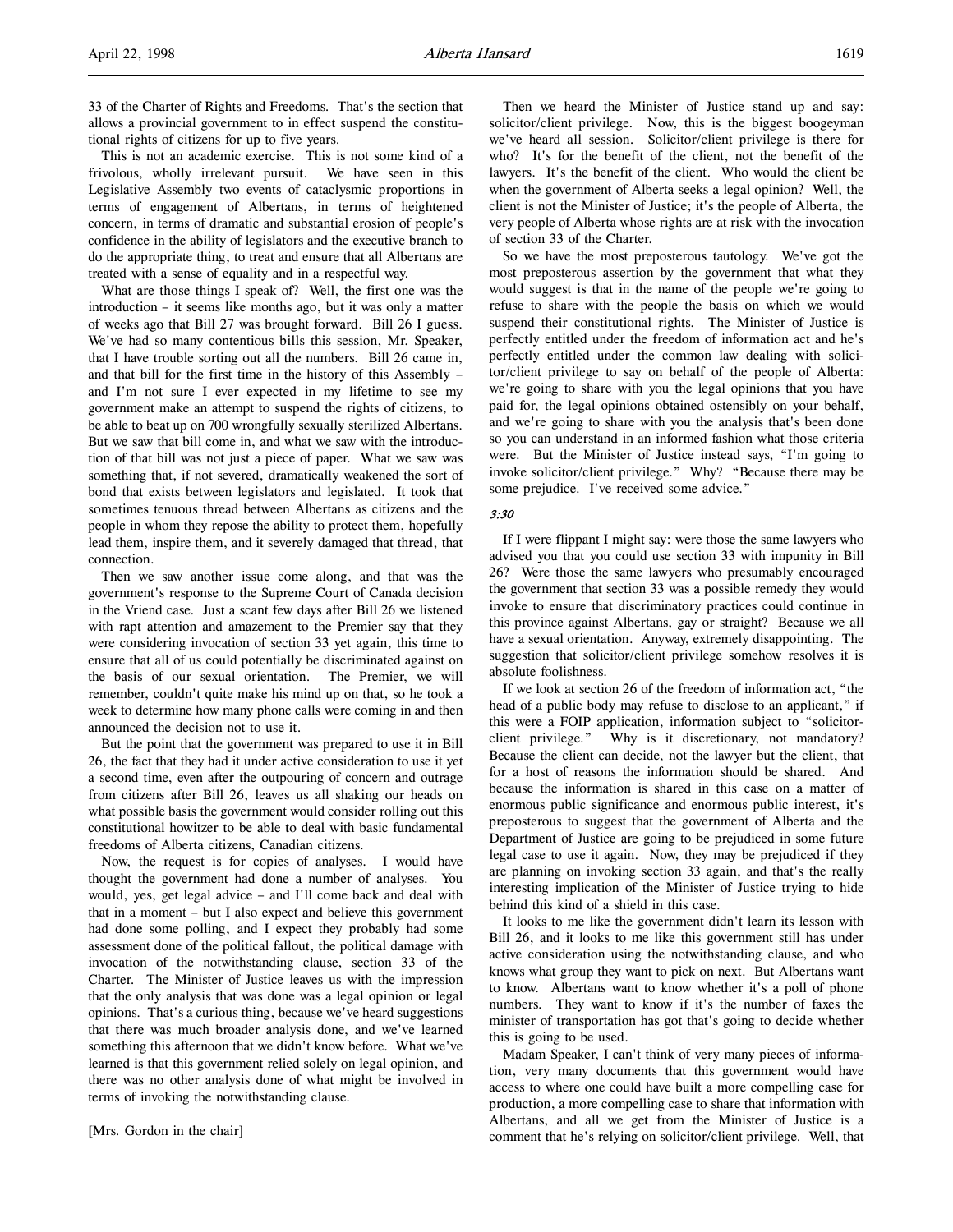33 of the Charter of Rights and Freedoms. That's the section that allows a provincial government to in effect suspend the constitutional rights of citizens for up to five years.

This is not an academic exercise. This is not some kind of a frivolous, wholly irrelevant pursuit. We have seen in this Legislative Assembly two events of cataclysmic proportions in terms of engagement of Albertans, in terms of heightened concern, in terms of dramatic and substantial erosion of people's confidence in the ability of legislators and the executive branch to do the appropriate thing, to treat and ensure that all Albertans are treated with a sense of equality and in a respectful way.

What are those things I speak of? Well, the first one was the introduction – it seems like months ago, but it was only a matter of weeks ago that Bill 27 was brought forward. Bill 26 I guess. We've had so many contentious bills this session, Mr. Speaker, that I have trouble sorting out all the numbers. Bill 26 came in, and that bill for the first time in the history of this Assembly – and I'm not sure I ever expected in my lifetime to see my government make an attempt to suspend the rights of citizens, to be able to beat up on 700 wrongfully sexually sterilized Albertans. But we saw that bill come in, and what we saw with the introduction of that bill was not just a piece of paper. What we saw was something that, if not severed, dramatically weakened the sort of bond that exists between legislators and legislated. It took that sometimes tenuous thread between Albertans as citizens and the people in whom they repose the ability to protect them, hopefully lead them, inspire them, and it severely damaged that thread, that connection.

Then we saw another issue come along, and that was the government's response to the Supreme Court of Canada decision in the Vriend case. Just a scant few days after Bill 26 we listened with rapt attention and amazement to the Premier say that they were considering invocation of section 33 yet again, this time to ensure that all of us could potentially be discriminated against on the basis of our sexual orientation. The Premier, we will remember, couldn't quite make his mind up on that, so he took a week to determine how many phone calls were coming in and then announced the decision not to use it.

But the point that the government was prepared to use it in Bill 26, the fact that they had it under active consideration to use it yet a second time, even after the outpouring of concern and outrage from citizens after Bill 26, leaves us all shaking our heads on what possible basis the government would consider rolling out this constitutional howitzer to be able to deal with basic fundamental freedoms of Alberta citizens, Canadian citizens.

Now, the request is for copies of analyses. I would have thought the government had done a number of analyses. You would, yes, get legal advice – and I'll come back and deal with that in a moment – but I also expect and believe this government had done some polling, and I expect they probably had some assessment done of the political fallout, the political damage with invocation of the notwithstanding clause, section 33 of the Charter. The Minister of Justice leaves us with the impression that the only analysis that was done was a legal opinion or legal opinions. That's a curious thing, because we've heard suggestions that there was much broader analysis done, and we've learned something this afternoon that we didn't know before. What we've learned is that this government relied solely on legal opinion, and there was no other analysis done of what might be involved in terms of invoking the notwithstanding clause.

[Mrs. Gordon in the chair]

Then we heard the Minister of Justice stand up and say: solicitor/client privilege. Now, this is the biggest boogeyman we've heard all session. Solicitor/client privilege is there for who? It's for the benefit of the client, not the benefit of the lawyers. It's the benefit of the client. Who would the client be when the government of Alberta seeks a legal opinion? Well, the client is not the Minister of Justice; it's the people of Alberta, the very people of Alberta whose rights are at risk with the invocation of section 33 of the Charter.

So we have the most preposterous tautology. We've got the most preposterous assertion by the government that what they would suggest is that in the name of the people we're going to refuse to share with the people the basis on which we would suspend their constitutional rights. The Minister of Justice is perfectly entitled under the freedom of information act and he's perfectly entitled under the common law dealing with solicitor/client privilege to say on behalf of the people of Alberta: we're going to share with you the legal opinions that you have paid for, the legal opinions obtained ostensibly on your behalf, and we're going to share with you the analysis that's been done so you can understand in an informed fashion what those criteria were. But the Minister of Justice instead says, "I'm going to invoke solicitor/client privilege." Why? "Because there may be some prejudice. I've received some advice."

# 3:30

If I were flippant I might say: were those the same lawyers who advised you that you could use section 33 with impunity in Bill 26? Were those the same lawyers who presumably encouraged the government that section 33 was a possible remedy they would invoke to ensure that discriminatory practices could continue in this province against Albertans, gay or straight? Because we all have a sexual orientation. Anyway, extremely disappointing. The suggestion that solicitor/client privilege somehow resolves it is absolute foolishness.

If we look at section 26 of the freedom of information act, "the head of a public body may refuse to disclose to an applicant," if this were a FOIP application, information subject to "solicitorclient privilege." Why is it discretionary, not mandatory? Because the client can decide, not the lawyer but the client, that for a host of reasons the information should be shared. And because the information is shared in this case on a matter of enormous public significance and enormous public interest, it's preposterous to suggest that the government of Alberta and the Department of Justice are going to be prejudiced in some future legal case to use it again. Now, they may be prejudiced if they are planning on invoking section 33 again, and that's the really interesting implication of the Minister of Justice trying to hide behind this kind of a shield in this case.

It looks to me like the government didn't learn its lesson with Bill 26, and it looks to me like this government still has under active consideration using the notwithstanding clause, and who knows what group they want to pick on next. But Albertans want to know. Albertans want to know whether it's a poll of phone numbers. They want to know if it's the number of faxes the minister of transportation has got that's going to decide whether this is going to be used.

Madam Speaker, I can't think of very many pieces of information, very many documents that this government would have access to where one could have built a more compelling case for production, a more compelling case to share that information with Albertans, and all we get from the Minister of Justice is a comment that he's relying on solicitor/client privilege. Well, that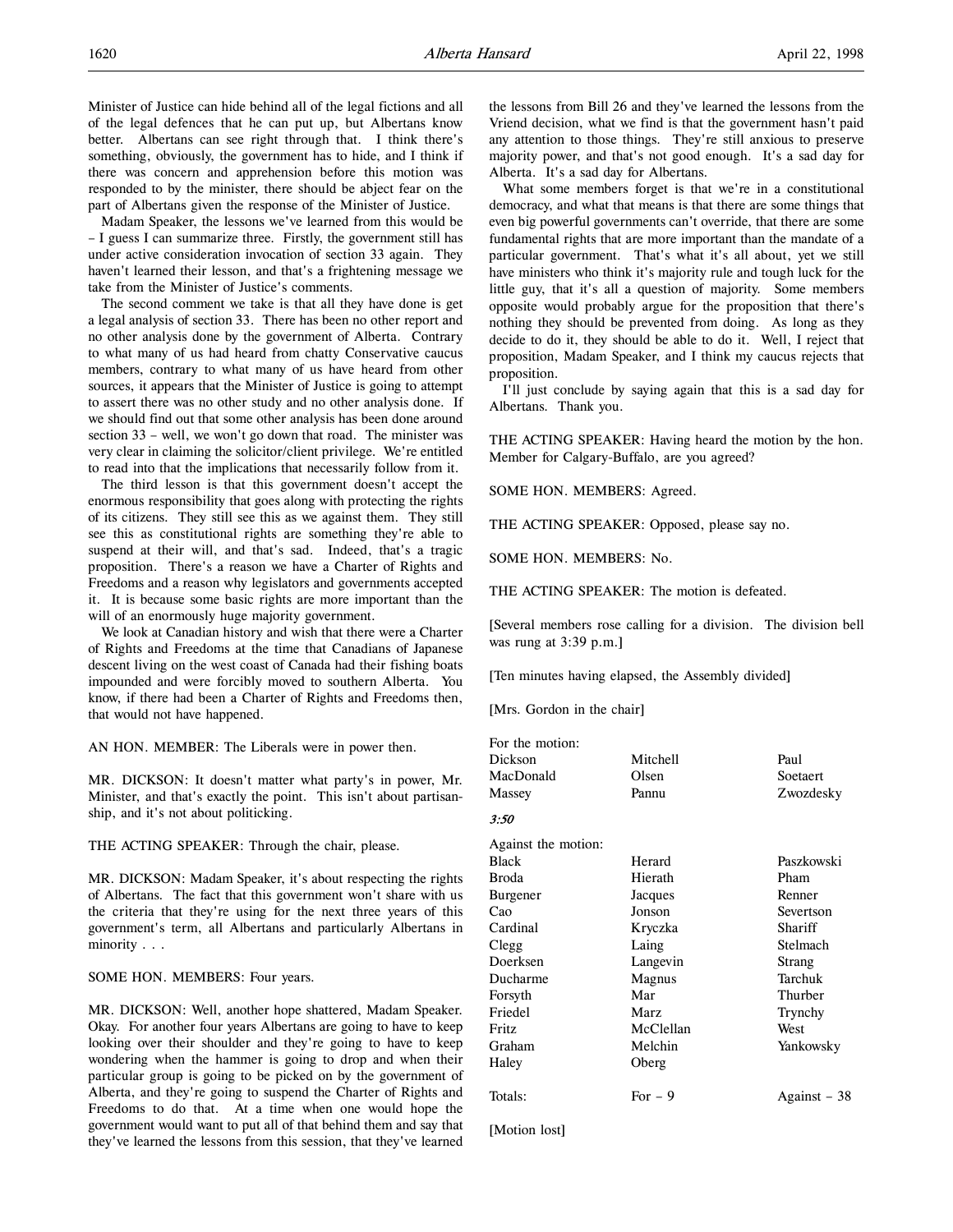Minister of Justice can hide behind all of the legal fictions and all of the legal defences that he can put up, but Albertans know better. Albertans can see right through that. I think there's something, obviously, the government has to hide, and I think if there was concern and apprehension before this motion was responded to by the minister, there should be abject fear on the part of Albertans given the response of the Minister of Justice.

Madam Speaker, the lessons we've learned from this would be – I guess I can summarize three. Firstly, the government still has under active consideration invocation of section 33 again. They haven't learned their lesson, and that's a frightening message we take from the Minister of Justice's comments.

The second comment we take is that all they have done is get a legal analysis of section 33. There has been no other report and no other analysis done by the government of Alberta. Contrary to what many of us had heard from chatty Conservative caucus members, contrary to what many of us have heard from other sources, it appears that the Minister of Justice is going to attempt to assert there was no other study and no other analysis done. If we should find out that some other analysis has been done around section 33 – well, we won't go down that road. The minister was very clear in claiming the solicitor/client privilege. We're entitled to read into that the implications that necessarily follow from it.

The third lesson is that this government doesn't accept the enormous responsibility that goes along with protecting the rights of its citizens. They still see this as we against them. They still see this as constitutional rights are something they're able to suspend at their will, and that's sad. Indeed, that's a tragic proposition. There's a reason we have a Charter of Rights and Freedoms and a reason why legislators and governments accepted it. It is because some basic rights are more important than the will of an enormously huge majority government.

We look at Canadian history and wish that there were a Charter of Rights and Freedoms at the time that Canadians of Japanese descent living on the west coast of Canada had their fishing boats impounded and were forcibly moved to southern Alberta. You know, if there had been a Charter of Rights and Freedoms then, that would not have happened.

AN HON. MEMBER: The Liberals were in power then.

MR. DICKSON: It doesn't matter what party's in power, Mr. Minister, and that's exactly the point. This isn't about partisanship, and it's not about politicking.

THE ACTING SPEAKER: Through the chair, please.

MR. DICKSON: Madam Speaker, it's about respecting the rights of Albertans. The fact that this government won't share with us the criteria that they're using for the next three years of this government's term, all Albertans and particularly Albertans in minority . . .

SOME HON. MEMBERS: Four years.

MR. DICKSON: Well, another hope shattered, Madam Speaker. Okay. For another four years Albertans are going to have to keep looking over their shoulder and they're going to have to keep wondering when the hammer is going to drop and when their particular group is going to be picked on by the government of Alberta, and they're going to suspend the Charter of Rights and Freedoms to do that. At a time when one would hope the government would want to put all of that behind them and say that they've learned the lessons from this session, that they've learned

the lessons from Bill 26 and they've learned the lessons from the Vriend decision, what we find is that the government hasn't paid any attention to those things. They're still anxious to preserve majority power, and that's not good enough. It's a sad day for Alberta. It's a sad day for Albertans.

What some members forget is that we're in a constitutional democracy, and what that means is that there are some things that even big powerful governments can't override, that there are some fundamental rights that are more important than the mandate of a particular government. That's what it's all about, yet we still have ministers who think it's majority rule and tough luck for the little guy, that it's all a question of majority. Some members opposite would probably argue for the proposition that there's nothing they should be prevented from doing. As long as they decide to do it, they should be able to do it. Well, I reject that proposition, Madam Speaker, and I think my caucus rejects that proposition.

I'll just conclude by saying again that this is a sad day for Albertans. Thank you.

THE ACTING SPEAKER: Having heard the motion by the hon. Member for Calgary-Buffalo, are you agreed?

SOME HON. MEMBERS: Agreed.

THE ACTING SPEAKER: Opposed, please say no.

SOME HON. MEMBERS: No.

THE ACTING SPEAKER: The motion is defeated.

[Several members rose calling for a division. The division bell was rung at 3:39 p.m.]

[Ten minutes having elapsed, the Assembly divided]

[Mrs. Gordon in the chair]

| For the motion: |          |           |
|-----------------|----------|-----------|
| Dickson         | Mitchell | Paul      |
| MacDonald       | Olsen    | Soetaert  |
| Massey          | Pannu    | Zwozdesky |

3:50

| Against the motion: |           |              |
|---------------------|-----------|--------------|
| Black               | Herard    | Paszkowski   |
| Broda               | Hierath   | Pham         |
| Burgener            | Jacques   | Renner       |
| Cao                 | Jonson    | Severtson    |
| Cardinal            | Kryczka   | Shariff      |
| Clegg               | Laing     | Stelmach     |
| Doerksen            | Langevin  | Strang       |
| Ducharme            | Magnus    | Tarchuk      |
| Forsyth             | Mar       | Thurber      |
| Friedel             | Marz      | Trynchy      |
| Fritz               | McClellan | West         |
| Graham              | Melchin   | Yankowsky    |
| Haley               | Oberg     |              |
| Totals:             | $For - 9$ | Against – 38 |
|                     |           |              |

[Motion lost]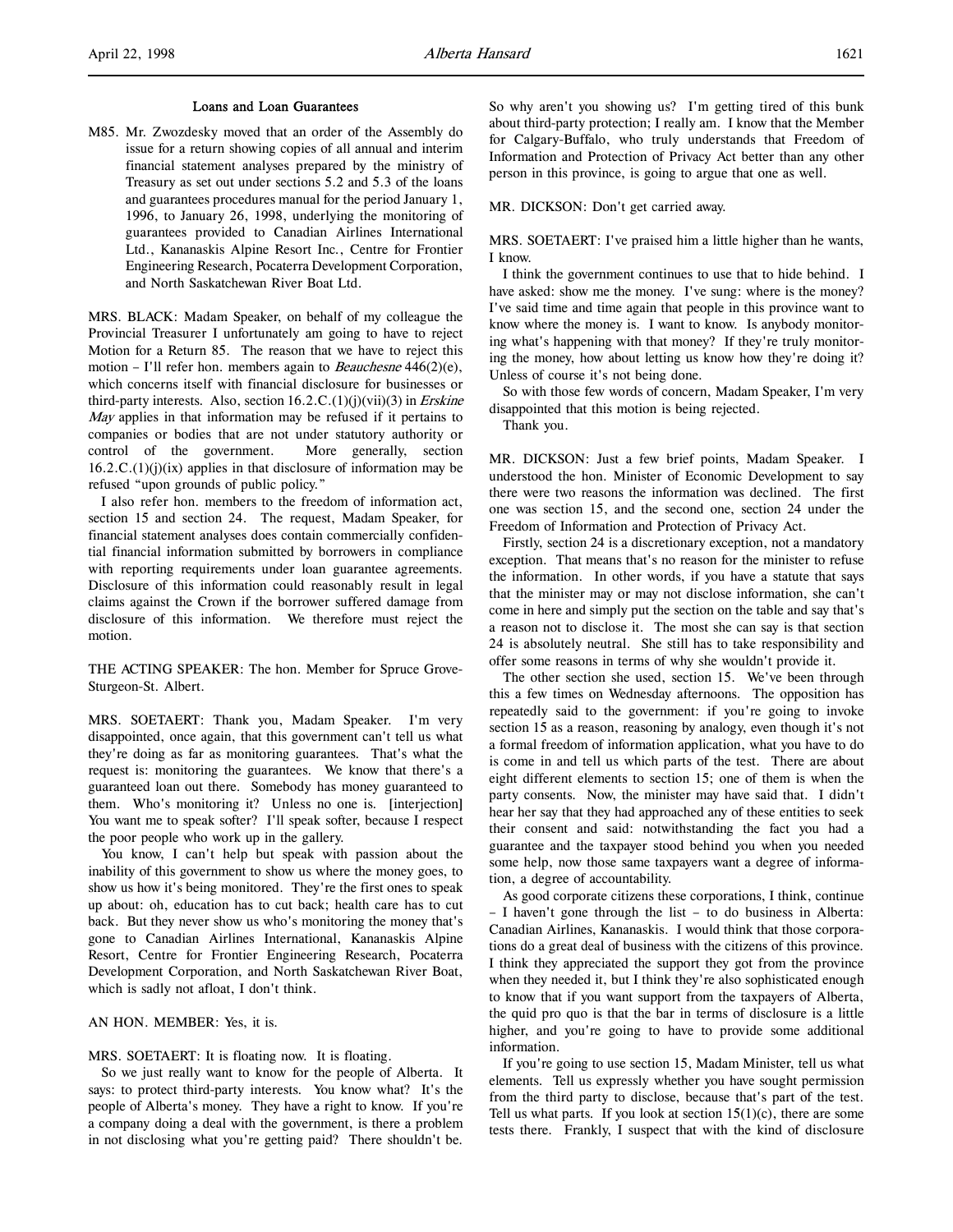M85. Mr. Zwozdesky moved that an order of the Assembly do issue for a return showing copies of all annual and interim financial statement analyses prepared by the ministry of Treasury as set out under sections 5.2 and 5.3 of the loans and guarantees procedures manual for the period January 1, 1996, to January 26, 1998, underlying the monitoring of guarantees provided to Canadian Airlines International Ltd., Kananaskis Alpine Resort Inc., Centre for Frontier Engineering Research, Pocaterra Development Corporation, and North Saskatchewan River Boat Ltd.

MRS. BLACK: Madam Speaker, on behalf of my colleague the Provincial Treasurer I unfortunately am going to have to reject Motion for a Return 85. The reason that we have to reject this motion – I'll refer hon. members again to *Beauchesne* 446(2)(e), which concerns itself with financial disclosure for businesses or third-party interests. Also, section  $16.2.C.(1)(j)(vii)(3)$  in *Erskine* May applies in that information may be refused if it pertains to companies or bodies that are not under statutory authority or control of the government. More generally, section  $16.2.C.(1)(j)(ix)$  applies in that disclosure of information may be refused "upon grounds of public policy."

I also refer hon. members to the freedom of information act, section 15 and section 24. The request, Madam Speaker, for financial statement analyses does contain commercially confidential financial information submitted by borrowers in compliance with reporting requirements under loan guarantee agreements. Disclosure of this information could reasonably result in legal claims against the Crown if the borrower suffered damage from disclosure of this information. We therefore must reject the motion.

THE ACTING SPEAKER: The hon. Member for Spruce Grove-Sturgeon-St. Albert.

MRS. SOETAERT: Thank you, Madam Speaker. I'm very disappointed, once again, that this government can't tell us what they're doing as far as monitoring guarantees. That's what the request is: monitoring the guarantees. We know that there's a guaranteed loan out there. Somebody has money guaranteed to them. Who's monitoring it? Unless no one is. [interjection] You want me to speak softer? I'll speak softer, because I respect the poor people who work up in the gallery.

You know, I can't help but speak with passion about the inability of this government to show us where the money goes, to show us how it's being monitored. They're the first ones to speak up about: oh, education has to cut back; health care has to cut back. But they never show us who's monitoring the money that's gone to Canadian Airlines International, Kananaskis Alpine Resort, Centre for Frontier Engineering Research, Pocaterra Development Corporation, and North Saskatchewan River Boat, which is sadly not afloat, I don't think.

AN HON. MEMBER: Yes, it is.

MRS. SOETAERT: It is floating now. It is floating.

So we just really want to know for the people of Alberta. It says: to protect third-party interests. You know what? It's the people of Alberta's money. They have a right to know. If you're a company doing a deal with the government, is there a problem in not disclosing what you're getting paid? There shouldn't be.

So why aren't you showing us? I'm getting tired of this bunk about third-party protection; I really am. I know that the Member for Calgary-Buffalo, who truly understands that Freedom of Information and Protection of Privacy Act better than any other person in this province, is going to argue that one as well.

## MR. DICKSON: Don't get carried away.

MRS. SOETAERT: I've praised him a little higher than he wants, I know.

I think the government continues to use that to hide behind. I have asked: show me the money. I've sung: where is the money? I've said time and time again that people in this province want to know where the money is. I want to know. Is anybody monitoring what's happening with that money? If they're truly monitoring the money, how about letting us know how they're doing it? Unless of course it's not being done.

So with those few words of concern, Madam Speaker, I'm very disappointed that this motion is being rejected.

Thank you.

MR. DICKSON: Just a few brief points, Madam Speaker. I understood the hon. Minister of Economic Development to say there were two reasons the information was declined. The first one was section 15, and the second one, section 24 under the Freedom of Information and Protection of Privacy Act.

Firstly, section 24 is a discretionary exception, not a mandatory exception. That means that's no reason for the minister to refuse the information. In other words, if you have a statute that says that the minister may or may not disclose information, she can't come in here and simply put the section on the table and say that's a reason not to disclose it. The most she can say is that section 24 is absolutely neutral. She still has to take responsibility and offer some reasons in terms of why she wouldn't provide it.

The other section she used, section 15. We've been through this a few times on Wednesday afternoons. The opposition has repeatedly said to the government: if you're going to invoke section 15 as a reason, reasoning by analogy, even though it's not a formal freedom of information application, what you have to do is come in and tell us which parts of the test. There are about eight different elements to section 15; one of them is when the party consents. Now, the minister may have said that. I didn't hear her say that they had approached any of these entities to seek their consent and said: notwithstanding the fact you had a guarantee and the taxpayer stood behind you when you needed some help, now those same taxpayers want a degree of information, a degree of accountability.

As good corporate citizens these corporations, I think, continue – I haven't gone through the list – to do business in Alberta: Canadian Airlines, Kananaskis. I would think that those corporations do a great deal of business with the citizens of this province. I think they appreciated the support they got from the province when they needed it, but I think they're also sophisticated enough to know that if you want support from the taxpayers of Alberta, the quid pro quo is that the bar in terms of disclosure is a little higher, and you're going to have to provide some additional information.

If you're going to use section 15, Madam Minister, tell us what elements. Tell us expressly whether you have sought permission from the third party to disclose, because that's part of the test. Tell us what parts. If you look at section  $15(1)(c)$ , there are some tests there. Frankly, I suspect that with the kind of disclosure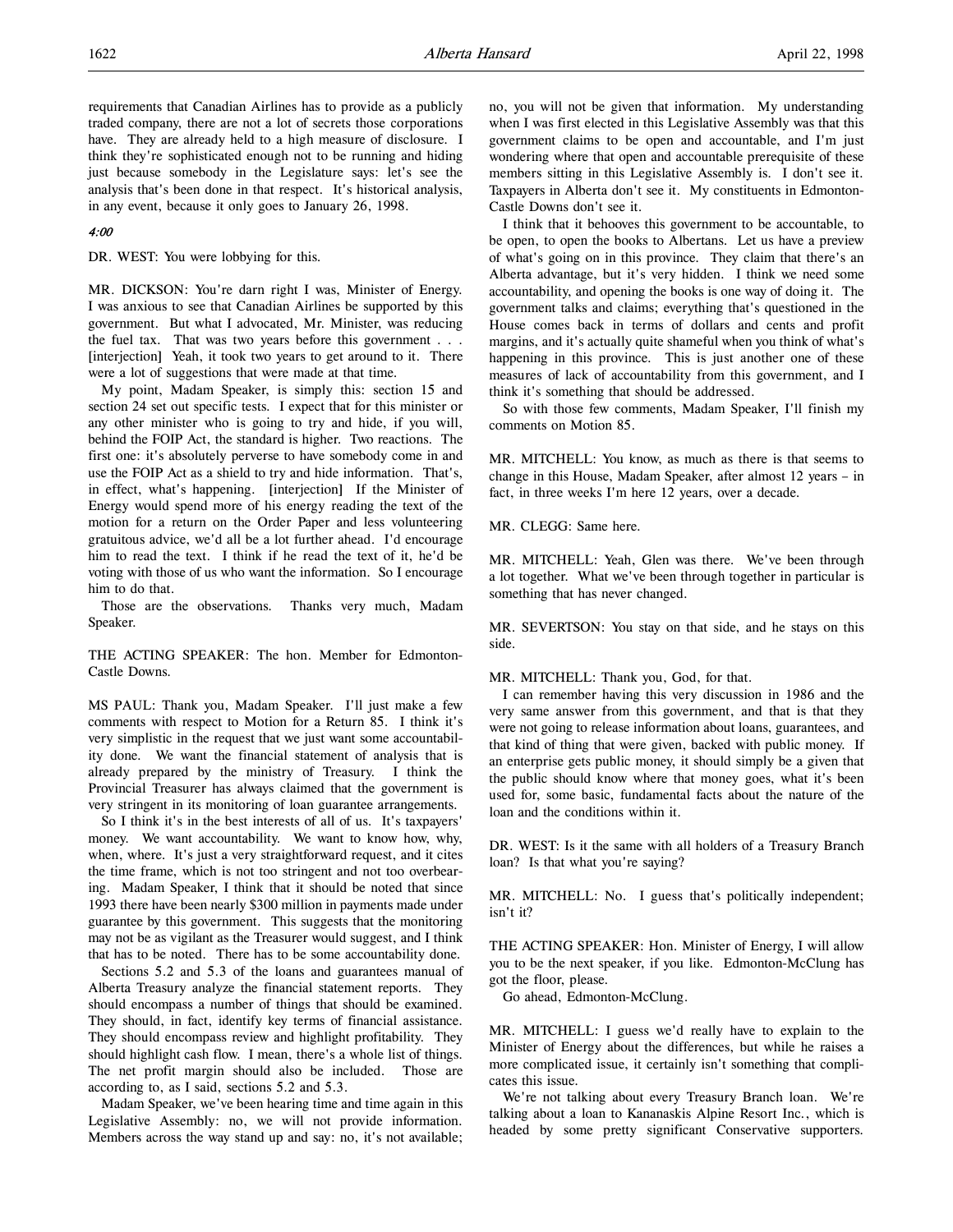requirements that Canadian Airlines has to provide as a publicly traded company, there are not a lot of secrets those corporations have. They are already held to a high measure of disclosure. I think they're sophisticated enough not to be running and hiding just because somebody in the Legislature says: let's see the analysis that's been done in that respect. It's historical analysis, in any event, because it only goes to January 26, 1998.

# 4:00

DR. WEST: You were lobbying for this.

MR. DICKSON: You're darn right I was, Minister of Energy. I was anxious to see that Canadian Airlines be supported by this government. But what I advocated, Mr. Minister, was reducing the fuel tax. That was two years before this government . . . [interjection] Yeah, it took two years to get around to it. There were a lot of suggestions that were made at that time.

My point, Madam Speaker, is simply this: section 15 and section 24 set out specific tests. I expect that for this minister or any other minister who is going to try and hide, if you will, behind the FOIP Act, the standard is higher. Two reactions. The first one: it's absolutely perverse to have somebody come in and use the FOIP Act as a shield to try and hide information. That's, in effect, what's happening. [interjection] If the Minister of Energy would spend more of his energy reading the text of the motion for a return on the Order Paper and less volunteering gratuitous advice, we'd all be a lot further ahead. I'd encourage him to read the text. I think if he read the text of it, he'd be voting with those of us who want the information. So I encourage him to do that.

Those are the observations. Thanks very much, Madam Speaker.

THE ACTING SPEAKER: The hon. Member for Edmonton-Castle Downs.

MS PAUL: Thank you, Madam Speaker. I'll just make a few comments with respect to Motion for a Return 85. I think it's very simplistic in the request that we just want some accountability done. We want the financial statement of analysis that is already prepared by the ministry of Treasury. I think the Provincial Treasurer has always claimed that the government is very stringent in its monitoring of loan guarantee arrangements.

So I think it's in the best interests of all of us. It's taxpayers' money. We want accountability. We want to know how, why, when, where. It's just a very straightforward request, and it cites the time frame, which is not too stringent and not too overbearing. Madam Speaker, I think that it should be noted that since 1993 there have been nearly \$300 million in payments made under guarantee by this government. This suggests that the monitoring may not be as vigilant as the Treasurer would suggest, and I think that has to be noted. There has to be some accountability done.

Sections 5.2 and 5.3 of the loans and guarantees manual of Alberta Treasury analyze the financial statement reports. They should encompass a number of things that should be examined. They should, in fact, identify key terms of financial assistance. They should encompass review and highlight profitability. They should highlight cash flow. I mean, there's a whole list of things. The net profit margin should also be included. Those are according to, as I said, sections 5.2 and 5.3.

Madam Speaker, we've been hearing time and time again in this Legislative Assembly: no, we will not provide information. Members across the way stand up and say: no, it's not available;

no, you will not be given that information. My understanding when I was first elected in this Legislative Assembly was that this government claims to be open and accountable, and I'm just wondering where that open and accountable prerequisite of these members sitting in this Legislative Assembly is. I don't see it. Taxpayers in Alberta don't see it. My constituents in Edmonton-Castle Downs don't see it.

I think that it behooves this government to be accountable, to be open, to open the books to Albertans. Let us have a preview of what's going on in this province. They claim that there's an Alberta advantage, but it's very hidden. I think we need some accountability, and opening the books is one way of doing it. The government talks and claims; everything that's questioned in the House comes back in terms of dollars and cents and profit margins, and it's actually quite shameful when you think of what's happening in this province. This is just another one of these measures of lack of accountability from this government, and I think it's something that should be addressed.

So with those few comments, Madam Speaker, I'll finish my comments on Motion 85.

MR. MITCHELL: You know, as much as there is that seems to change in this House, Madam Speaker, after almost 12 years – in fact, in three weeks I'm here 12 years, over a decade.

MR. CLEGG: Same here.

MR. MITCHELL: Yeah, Glen was there. We've been through a lot together. What we've been through together in particular is something that has never changed.

MR. SEVERTSON: You stay on that side, and he stays on this side.

## MR. MITCHELL: Thank you, God, for that.

I can remember having this very discussion in 1986 and the very same answer from this government, and that is that they were not going to release information about loans, guarantees, and that kind of thing that were given, backed with public money. If an enterprise gets public money, it should simply be a given that the public should know where that money goes, what it's been used for, some basic, fundamental facts about the nature of the loan and the conditions within it.

DR. WEST: Is it the same with all holders of a Treasury Branch loan? Is that what you're saying?

MR. MITCHELL: No. I guess that's politically independent; isn't it?

THE ACTING SPEAKER: Hon. Minister of Energy, I will allow you to be the next speaker, if you like. Edmonton-McClung has got the floor, please.

Go ahead, Edmonton-McClung.

MR. MITCHELL: I guess we'd really have to explain to the Minister of Energy about the differences, but while he raises a more complicated issue, it certainly isn't something that complicates this issue.

We're not talking about every Treasury Branch loan. We're talking about a loan to Kananaskis Alpine Resort Inc., which is headed by some pretty significant Conservative supporters.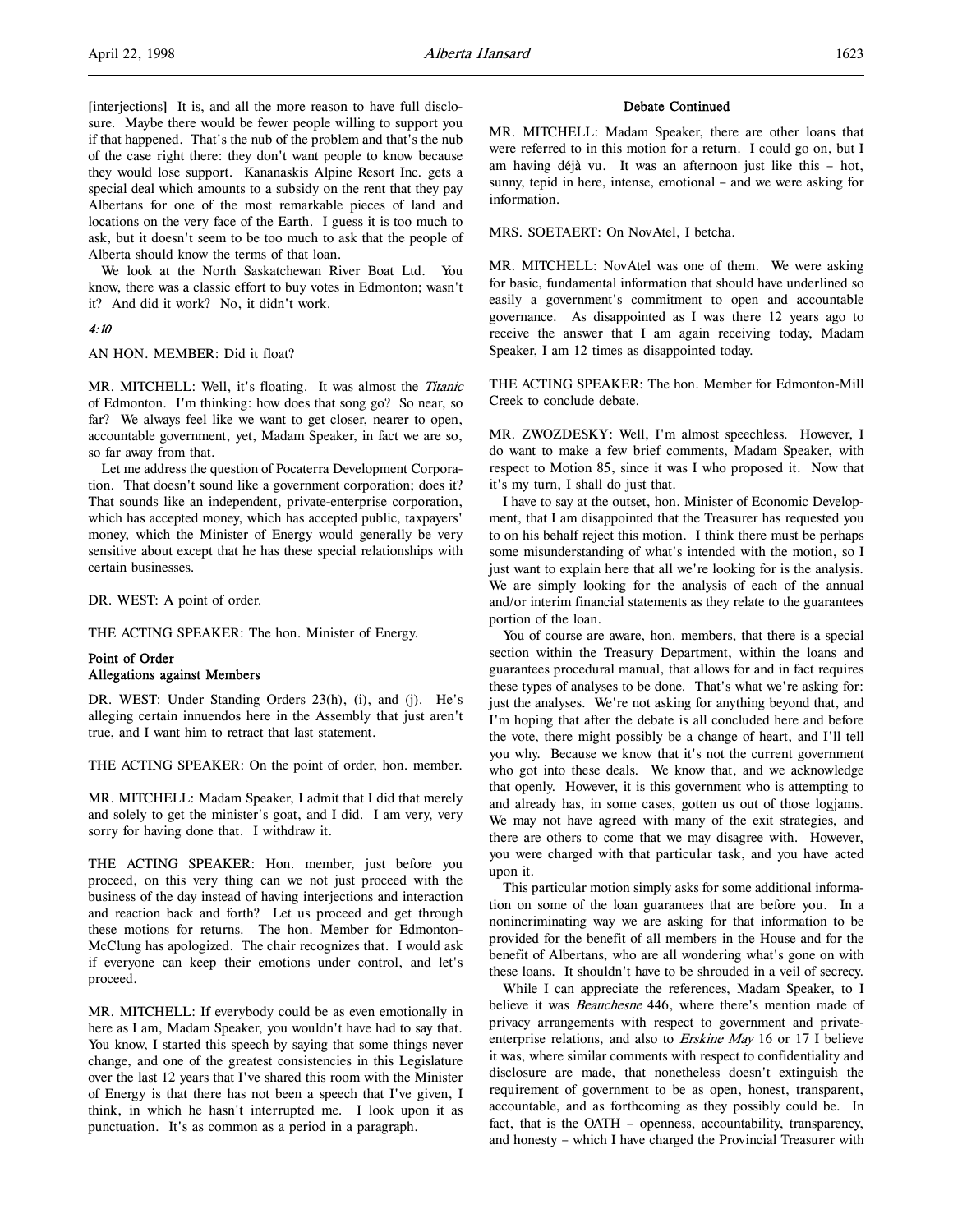[interjections] It is, and all the more reason to have full disclosure. Maybe there would be fewer people willing to support you if that happened. That's the nub of the problem and that's the nub of the case right there: they don't want people to know because they would lose support. Kananaskis Alpine Resort Inc. gets a special deal which amounts to a subsidy on the rent that they pay Albertans for one of the most remarkable pieces of land and locations on the very face of the Earth. I guess it is too much to ask, but it doesn't seem to be too much to ask that the people of Alberta should know the terms of that loan.

We look at the North Saskatchewan River Boat Ltd. You know, there was a classic effort to buy votes in Edmonton; wasn't it? And did it work? No, it didn't work.

## 4:10

AN HON. MEMBER: Did it float?

MR. MITCHELL: Well, it's floating. It was almost the Titanic of Edmonton. I'm thinking: how does that song go? So near, so far? We always feel like we want to get closer, nearer to open, accountable government, yet, Madam Speaker, in fact we are so, so far away from that.

Let me address the question of Pocaterra Development Corporation. That doesn't sound like a government corporation; does it? That sounds like an independent, private-enterprise corporation, which has accepted money, which has accepted public, taxpayers' money, which the Minister of Energy would generally be very sensitive about except that he has these special relationships with certain businesses.

DR. WEST: A point of order.

THE ACTING SPEAKER: The hon. Minister of Energy.

# Point of Order Allegations against Members

DR. WEST: Under Standing Orders 23(h), (i), and (j). He's alleging certain innuendos here in the Assembly that just aren't true, and I want him to retract that last statement.

THE ACTING SPEAKER: On the point of order, hon. member.

MR. MITCHELL: Madam Speaker, I admit that I did that merely and solely to get the minister's goat, and I did. I am very, very sorry for having done that. I withdraw it.

THE ACTING SPEAKER: Hon. member, just before you proceed, on this very thing can we not just proceed with the business of the day instead of having interjections and interaction and reaction back and forth? Let us proceed and get through these motions for returns. The hon. Member for Edmonton-McClung has apologized. The chair recognizes that. I would ask if everyone can keep their emotions under control, and let's proceed.

MR. MITCHELL: If everybody could be as even emotionally in here as I am, Madam Speaker, you wouldn't have had to say that. You know, I started this speech by saying that some things never change, and one of the greatest consistencies in this Legislature over the last 12 years that I've shared this room with the Minister of Energy is that there has not been a speech that I've given, I think, in which he hasn't interrupted me. I look upon it as punctuation. It's as common as a period in a paragraph.

#### Debate Continued

MR. MITCHELL: Madam Speaker, there are other loans that were referred to in this motion for a return. I could go on, but I am having déjà vu. It was an afternoon just like this – hot, sunny, tepid in here, intense, emotional – and we were asking for information.

MRS. SOETAERT: On NovAtel, I betcha.

MR. MITCHELL: NovAtel was one of them. We were asking for basic, fundamental information that should have underlined so easily a government's commitment to open and accountable governance. As disappointed as I was there 12 years ago to receive the answer that I am again receiving today, Madam Speaker, I am 12 times as disappointed today.

THE ACTING SPEAKER: The hon. Member for Edmonton-Mill Creek to conclude debate.

MR. ZWOZDESKY: Well, I'm almost speechless. However, I do want to make a few brief comments, Madam Speaker, with respect to Motion 85, since it was I who proposed it. Now that it's my turn, I shall do just that.

I have to say at the outset, hon. Minister of Economic Development, that I am disappointed that the Treasurer has requested you to on his behalf reject this motion. I think there must be perhaps some misunderstanding of what's intended with the motion, so I just want to explain here that all we're looking for is the analysis. We are simply looking for the analysis of each of the annual and/or interim financial statements as they relate to the guarantees portion of the loan.

You of course are aware, hon. members, that there is a special section within the Treasury Department, within the loans and guarantees procedural manual, that allows for and in fact requires these types of analyses to be done. That's what we're asking for: just the analyses. We're not asking for anything beyond that, and I'm hoping that after the debate is all concluded here and before the vote, there might possibly be a change of heart, and I'll tell you why. Because we know that it's not the current government who got into these deals. We know that, and we acknowledge that openly. However, it is this government who is attempting to and already has, in some cases, gotten us out of those logjams. We may not have agreed with many of the exit strategies, and there are others to come that we may disagree with. However, you were charged with that particular task, and you have acted upon it.

This particular motion simply asks for some additional information on some of the loan guarantees that are before you. In a nonincriminating way we are asking for that information to be provided for the benefit of all members in the House and for the benefit of Albertans, who are all wondering what's gone on with these loans. It shouldn't have to be shrouded in a veil of secrecy.

While I can appreciate the references, Madam Speaker, to I believe it was *Beauchesne* 446, where there's mention made of privacy arrangements with respect to government and privateenterprise relations, and also to *Erskine May* 16 or 17 I believe it was, where similar comments with respect to confidentiality and disclosure are made, that nonetheless doesn't extinguish the requirement of government to be as open, honest, transparent, accountable, and as forthcoming as they possibly could be. In fact, that is the OATH – openness, accountability, transparency, and honesty – which I have charged the Provincial Treasurer with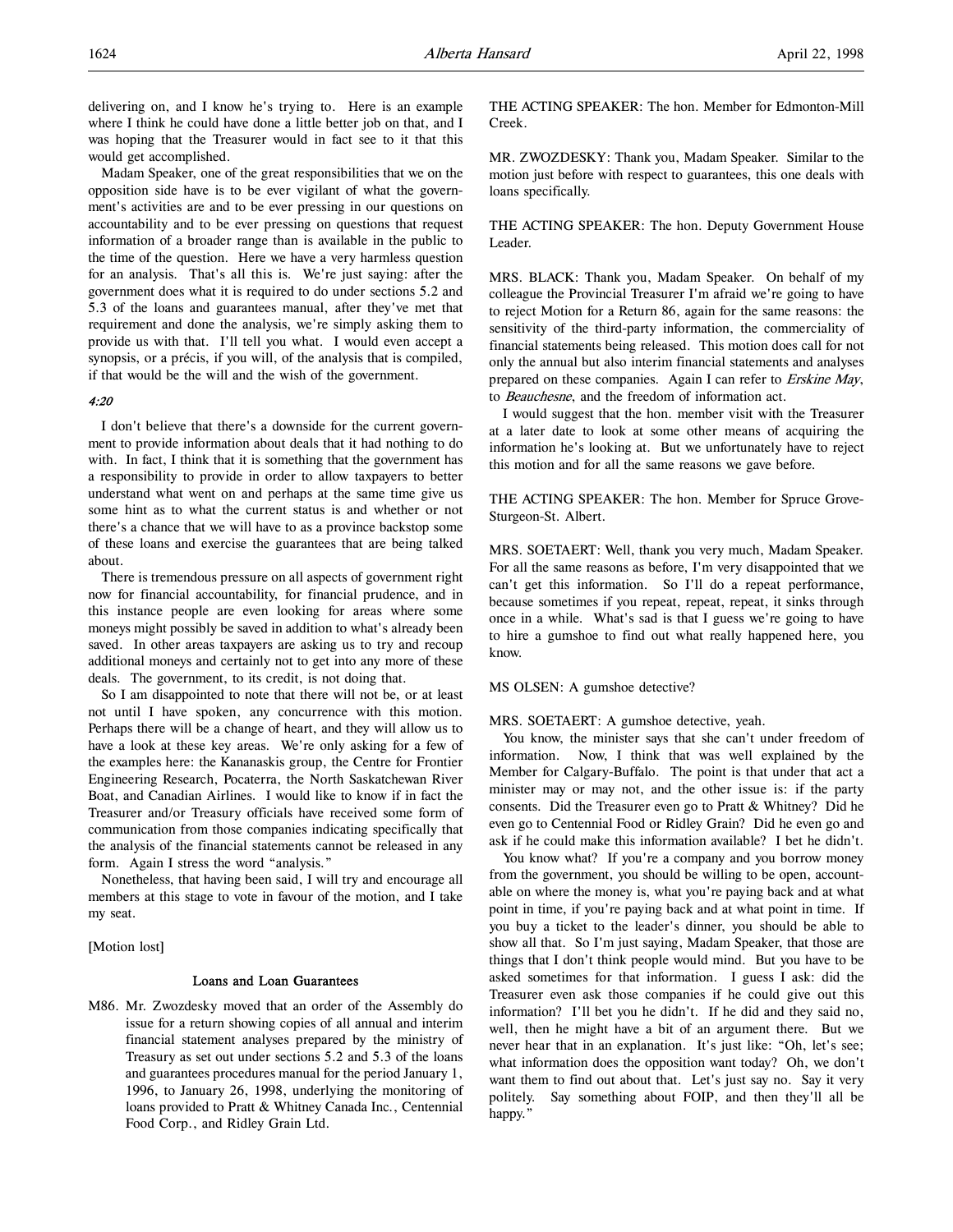delivering on, and I know he's trying to. Here is an example where I think he could have done a little better job on that, and I was hoping that the Treasurer would in fact see to it that this would get accomplished.

Madam Speaker, one of the great responsibilities that we on the opposition side have is to be ever vigilant of what the government's activities are and to be ever pressing in our questions on accountability and to be ever pressing on questions that request information of a broader range than is available in the public to the time of the question. Here we have a very harmless question for an analysis. That's all this is. We're just saying: after the government does what it is required to do under sections 5.2 and 5.3 of the loans and guarantees manual, after they've met that requirement and done the analysis, we're simply asking them to provide us with that. I'll tell you what. I would even accept a synopsis, or a précis, if you will, of the analysis that is compiled, if that would be the will and the wish of the government.

## $4.20$

I don't believe that there's a downside for the current government to provide information about deals that it had nothing to do with. In fact, I think that it is something that the government has a responsibility to provide in order to allow taxpayers to better understand what went on and perhaps at the same time give us some hint as to what the current status is and whether or not there's a chance that we will have to as a province backstop some of these loans and exercise the guarantees that are being talked about.

There is tremendous pressure on all aspects of government right now for financial accountability, for financial prudence, and in this instance people are even looking for areas where some moneys might possibly be saved in addition to what's already been saved. In other areas taxpayers are asking us to try and recoup additional moneys and certainly not to get into any more of these deals. The government, to its credit, is not doing that.

So I am disappointed to note that there will not be, or at least not until I have spoken, any concurrence with this motion. Perhaps there will be a change of heart, and they will allow us to have a look at these key areas. We're only asking for a few of the examples here: the Kananaskis group, the Centre for Frontier Engineering Research, Pocaterra, the North Saskatchewan River Boat, and Canadian Airlines. I would like to know if in fact the Treasurer and/or Treasury officials have received some form of communication from those companies indicating specifically that the analysis of the financial statements cannot be released in any form. Again I stress the word "analysis."

Nonetheless, that having been said, I will try and encourage all members at this stage to vote in favour of the motion, and I take my seat.

# [Motion lost]

#### Loans and Loan Guarantees

M86. Mr. Zwozdesky moved that an order of the Assembly do issue for a return showing copies of all annual and interim financial statement analyses prepared by the ministry of Treasury as set out under sections 5.2 and 5.3 of the loans and guarantees procedures manual for the period January 1, 1996, to January 26, 1998, underlying the monitoring of loans provided to Pratt & Whitney Canada Inc., Centennial Food Corp., and Ridley Grain Ltd.

THE ACTING SPEAKER: The hon. Member for Edmonton-Mill Creek.

MR. ZWOZDESKY: Thank you, Madam Speaker. Similar to the motion just before with respect to guarantees, this one deals with loans specifically.

THE ACTING SPEAKER: The hon. Deputy Government House Leader.

MRS. BLACK: Thank you, Madam Speaker. On behalf of my colleague the Provincial Treasurer I'm afraid we're going to have to reject Motion for a Return 86, again for the same reasons: the sensitivity of the third-party information, the commerciality of financial statements being released. This motion does call for not only the annual but also interim financial statements and analyses prepared on these companies. Again I can refer to Erskine May, to Beauchesne, and the freedom of information act.

I would suggest that the hon. member visit with the Treasurer at a later date to look at some other means of acquiring the information he's looking at. But we unfortunately have to reject this motion and for all the same reasons we gave before.

THE ACTING SPEAKER: The hon. Member for Spruce Grove-Sturgeon-St. Albert.

MRS. SOETAERT: Well, thank you very much, Madam Speaker. For all the same reasons as before, I'm very disappointed that we can't get this information. So I'll do a repeat performance, because sometimes if you repeat, repeat, repeat, it sinks through once in a while. What's sad is that I guess we're going to have to hire a gumshoe to find out what really happened here, you know.

MS OLSEN: A gumshoe detective?

MRS. SOETAERT: A gumshoe detective, yeah.

You know, the minister says that she can't under freedom of information. Now, I think that was well explained by the Member for Calgary-Buffalo. The point is that under that act a minister may or may not, and the other issue is: if the party consents. Did the Treasurer even go to Pratt & Whitney? Did he even go to Centennial Food or Ridley Grain? Did he even go and ask if he could make this information available? I bet he didn't.

You know what? If you're a company and you borrow money from the government, you should be willing to be open, accountable on where the money is, what you're paying back and at what point in time, if you're paying back and at what point in time. If you buy a ticket to the leader's dinner, you should be able to show all that. So I'm just saying, Madam Speaker, that those are things that I don't think people would mind. But you have to be asked sometimes for that information. I guess I ask: did the Treasurer even ask those companies if he could give out this information? I'll bet you he didn't. If he did and they said no, well, then he might have a bit of an argument there. But we never hear that in an explanation. It's just like: "Oh, let's see; what information does the opposition want today? Oh, we don't want them to find out about that. Let's just say no. Say it very politely. Say something about FOIP, and then they'll all be happy."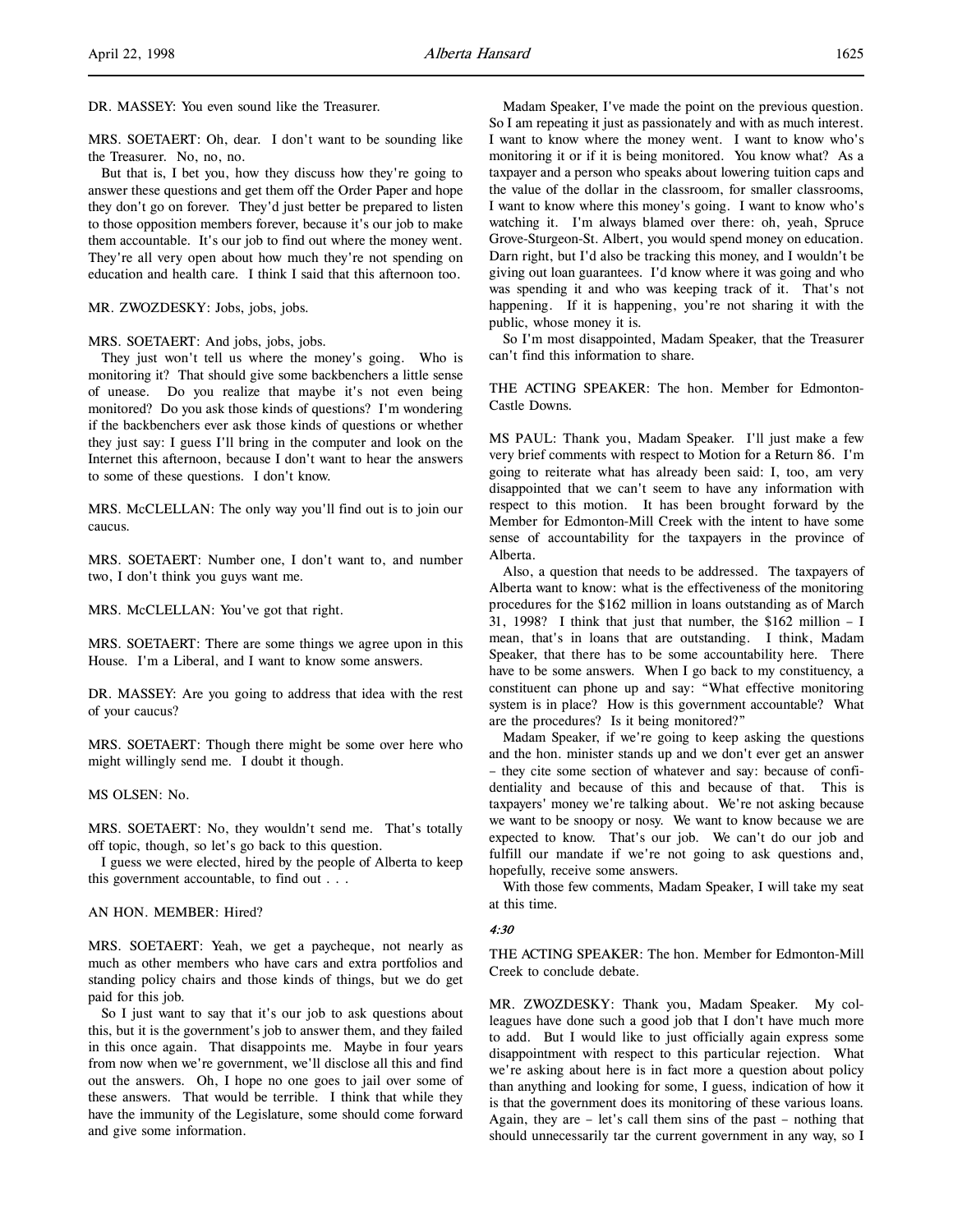MRS. SOETAERT: Oh, dear. I don't want to be sounding like the Treasurer. No, no, no.

But that is, I bet you, how they discuss how they're going to answer these questions and get them off the Order Paper and hope they don't go on forever. They'd just better be prepared to listen to those opposition members forever, because it's our job to make them accountable. It's our job to find out where the money went. They're all very open about how much they're not spending on education and health care. I think I said that this afternoon too.

MR. ZWOZDESKY: Jobs, jobs, jobs.

MRS. SOETAERT: And jobs, jobs, jobs.

They just won't tell us where the money's going. Who is monitoring it? That should give some backbenchers a little sense of unease. Do you realize that maybe it's not even being monitored? Do you ask those kinds of questions? I'm wondering if the backbenchers ever ask those kinds of questions or whether they just say: I guess I'll bring in the computer and look on the Internet this afternoon, because I don't want to hear the answers to some of these questions. I don't know.

MRS. McCLELLAN: The only way you'll find out is to join our caucus.

MRS. SOETAERT: Number one, I don't want to, and number two, I don't think you guys want me.

MRS. McCLELLAN: You've got that right.

MRS. SOETAERT: There are some things we agree upon in this House. I'm a Liberal, and I want to know some answers.

DR. MASSEY: Are you going to address that idea with the rest of your caucus?

MRS. SOETAERT: Though there might be some over here who might willingly send me. I doubt it though.

MS OLSEN: No.

MRS. SOETAERT: No, they wouldn't send me. That's totally off topic, though, so let's go back to this question.

I guess we were elected, hired by the people of Alberta to keep this government accountable, to find out . . .

## AN HON. MEMBER: Hired?

MRS. SOETAERT: Yeah, we get a paycheque, not nearly as much as other members who have cars and extra portfolios and standing policy chairs and those kinds of things, but we do get paid for this job.

So I just want to say that it's our job to ask questions about this, but it is the government's job to answer them, and they failed in this once again. That disappoints me. Maybe in four years from now when we're government, we'll disclose all this and find out the answers. Oh, I hope no one goes to jail over some of these answers. That would be terrible. I think that while they have the immunity of the Legislature, some should come forward and give some information.

Madam Speaker, I've made the point on the previous question. So I am repeating it just as passionately and with as much interest. I want to know where the money went. I want to know who's monitoring it or if it is being monitored. You know what? As a taxpayer and a person who speaks about lowering tuition caps and the value of the dollar in the classroom, for smaller classrooms, I want to know where this money's going. I want to know who's watching it. I'm always blamed over there: oh, yeah, Spruce Grove-Sturgeon-St. Albert, you would spend money on education. Darn right, but I'd also be tracking this money, and I wouldn't be giving out loan guarantees. I'd know where it was going and who was spending it and who was keeping track of it. That's not happening. If it is happening, you're not sharing it with the public, whose money it is.

So I'm most disappointed, Madam Speaker, that the Treasurer can't find this information to share.

THE ACTING SPEAKER: The hon. Member for Edmonton-Castle Downs.

MS PAUL: Thank you, Madam Speaker. I'll just make a few very brief comments with respect to Motion for a Return 86. I'm going to reiterate what has already been said: I, too, am very disappointed that we can't seem to have any information with respect to this motion. It has been brought forward by the Member for Edmonton-Mill Creek with the intent to have some sense of accountability for the taxpayers in the province of Alberta.

Also, a question that needs to be addressed. The taxpayers of Alberta want to know: what is the effectiveness of the monitoring procedures for the \$162 million in loans outstanding as of March 31, 1998? I think that just that number, the \$162 million – I mean, that's in loans that are outstanding. I think, Madam Speaker, that there has to be some accountability here. There have to be some answers. When I go back to my constituency, a constituent can phone up and say: "What effective monitoring system is in place? How is this government accountable? What are the procedures? Is it being monitored?"

Madam Speaker, if we're going to keep asking the questions and the hon. minister stands up and we don't ever get an answer – they cite some section of whatever and say: because of confidentiality and because of this and because of that. This is taxpayers' money we're talking about. We're not asking because we want to be snoopy or nosy. We want to know because we are expected to know. That's our job. We can't do our job and fulfill our mandate if we're not going to ask questions and, hopefully, receive some answers.

With those few comments, Madam Speaker, I will take my seat at this time.

## 4:30

THE ACTING SPEAKER: The hon. Member for Edmonton-Mill Creek to conclude debate.

MR. ZWOZDESKY: Thank you, Madam Speaker. My colleagues have done such a good job that I don't have much more to add. But I would like to just officially again express some disappointment with respect to this particular rejection. What we're asking about here is in fact more a question about policy than anything and looking for some, I guess, indication of how it is that the government does its monitoring of these various loans. Again, they are – let's call them sins of the past – nothing that should unnecessarily tar the current government in any way, so I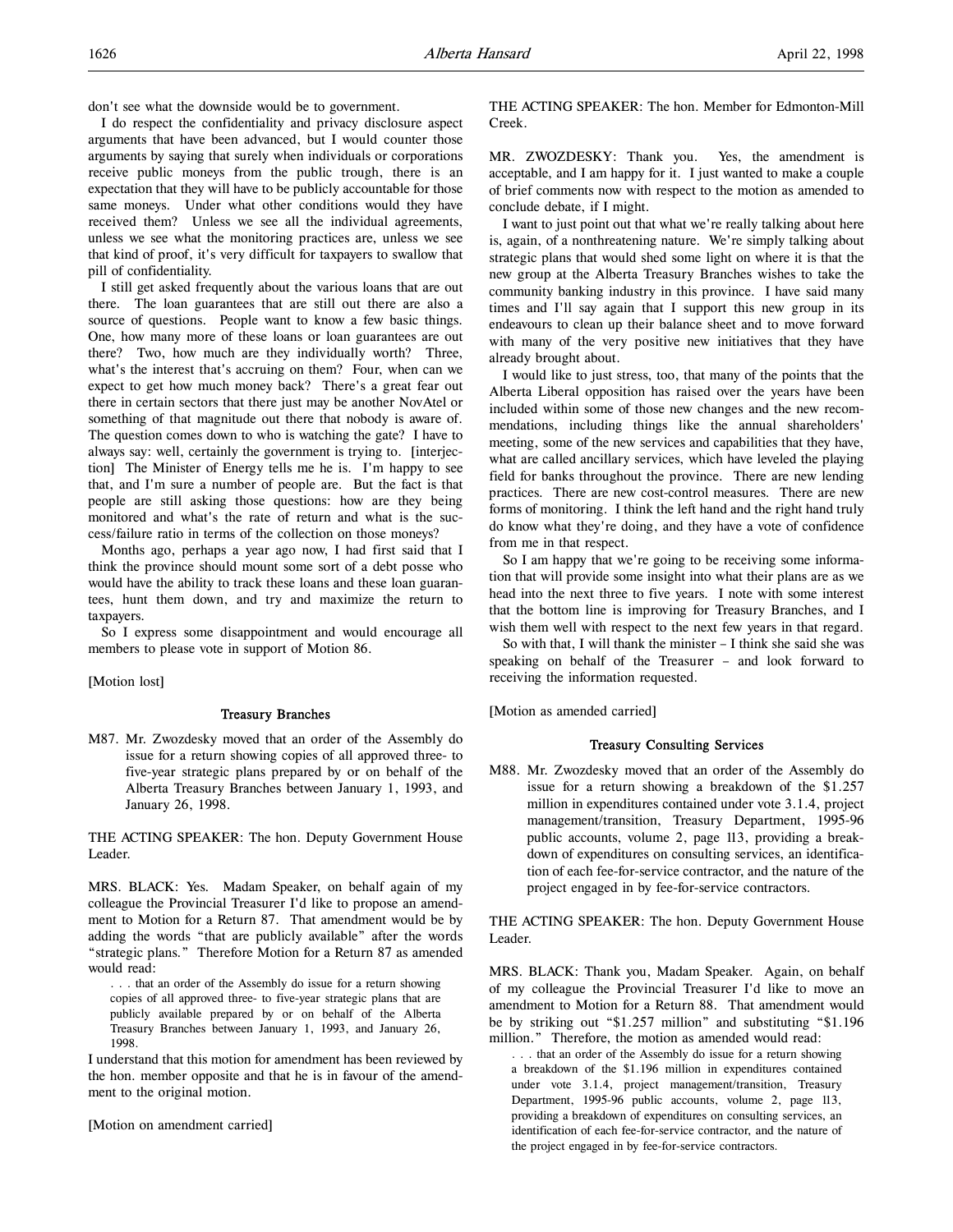don't see what the downside would be to government.

I do respect the confidentiality and privacy disclosure aspect arguments that have been advanced, but I would counter those arguments by saying that surely when individuals or corporations receive public moneys from the public trough, there is an expectation that they will have to be publicly accountable for those same moneys. Under what other conditions would they have received them? Unless we see all the individual agreements, unless we see what the monitoring practices are, unless we see that kind of proof, it's very difficult for taxpayers to swallow that pill of confidentiality.

I still get asked frequently about the various loans that are out there. The loan guarantees that are still out there are also a source of questions. People want to know a few basic things. One, how many more of these loans or loan guarantees are out there? Two, how much are they individually worth? Three, what's the interest that's accruing on them? Four, when can we expect to get how much money back? There's a great fear out there in certain sectors that there just may be another NovAtel or something of that magnitude out there that nobody is aware of. The question comes down to who is watching the gate? I have to always say: well, certainly the government is trying to. [interjection] The Minister of Energy tells me he is. I'm happy to see that, and I'm sure a number of people are. But the fact is that people are still asking those questions: how are they being monitored and what's the rate of return and what is the success/failure ratio in terms of the collection on those moneys?

Months ago, perhaps a year ago now, I had first said that I think the province should mount some sort of a debt posse who would have the ability to track these loans and these loan guarantees, hunt them down, and try and maximize the return to taxpayers.

So I express some disappointment and would encourage all members to please vote in support of Motion 86.

[Motion lost]

## Treasury Branches

M87. Mr. Zwozdesky moved that an order of the Assembly do issue for a return showing copies of all approved three- to five-year strategic plans prepared by or on behalf of the Alberta Treasury Branches between January 1, 1993, and January 26, 1998.

THE ACTING SPEAKER: The hon. Deputy Government House Leader.

MRS. BLACK: Yes. Madam Speaker, on behalf again of my colleague the Provincial Treasurer I'd like to propose an amendment to Motion for a Return 87. That amendment would be by adding the words "that are publicly available" after the words "strategic plans." Therefore Motion for a Return 87 as amended would read:

. . . that an order of the Assembly do issue for a return showing copies of all approved three- to five-year strategic plans that are publicly available prepared by or on behalf of the Alberta Treasury Branches between January 1, 1993, and January 26, 1998.

I understand that this motion for amendment has been reviewed by the hon. member opposite and that he is in favour of the amendment to the original motion.

[Motion on amendment carried]

THE ACTING SPEAKER: The hon. Member for Edmonton-Mill Creek.

MR. ZWOZDESKY: Thank you. Yes, the amendment is acceptable, and I am happy for it. I just wanted to make a couple of brief comments now with respect to the motion as amended to conclude debate, if I might.

I want to just point out that what we're really talking about here is, again, of a nonthreatening nature. We're simply talking about strategic plans that would shed some light on where it is that the new group at the Alberta Treasury Branches wishes to take the community banking industry in this province. I have said many times and I'll say again that I support this new group in its endeavours to clean up their balance sheet and to move forward with many of the very positive new initiatives that they have already brought about.

I would like to just stress, too, that many of the points that the Alberta Liberal opposition has raised over the years have been included within some of those new changes and the new recommendations, including things like the annual shareholders' meeting, some of the new services and capabilities that they have, what are called ancillary services, which have leveled the playing field for banks throughout the province. There are new lending practices. There are new cost-control measures. There are new forms of monitoring. I think the left hand and the right hand truly do know what they're doing, and they have a vote of confidence from me in that respect.

So I am happy that we're going to be receiving some information that will provide some insight into what their plans are as we head into the next three to five years. I note with some interest that the bottom line is improving for Treasury Branches, and I wish them well with respect to the next few years in that regard.

So with that, I will thank the minister – I think she said she was speaking on behalf of the Treasurer – and look forward to receiving the information requested.

[Motion as amended carried]

# Treasury Consulting Services

M88. Mr. Zwozdesky moved that an order of the Assembly do issue for a return showing a breakdown of the \$1.257 million in expenditures contained under vote 3.1.4, project management/transition, Treasury Department, 1995-96 public accounts, volume 2, page 113, providing a breakdown of expenditures on consulting services, an identification of each fee-for-service contractor, and the nature of the project engaged in by fee-for-service contractors.

THE ACTING SPEAKER: The hon. Deputy Government House Leader.

MRS. BLACK: Thank you, Madam Speaker. Again, on behalf of my colleague the Provincial Treasurer I'd like to move an amendment to Motion for a Return 88. That amendment would be by striking out "\$1.257 million" and substituting "\$1.196 million." Therefore, the motion as amended would read:

. . . that an order of the Assembly do issue for a return showing a breakdown of the \$1.196 million in expenditures contained under vote 3.1.4, project management/transition, Treasury Department, 1995-96 public accounts, volume 2, page 113, providing a breakdown of expenditures on consulting services, an identification of each fee-for-service contractor, and the nature of the project engaged in by fee-for-service contractors.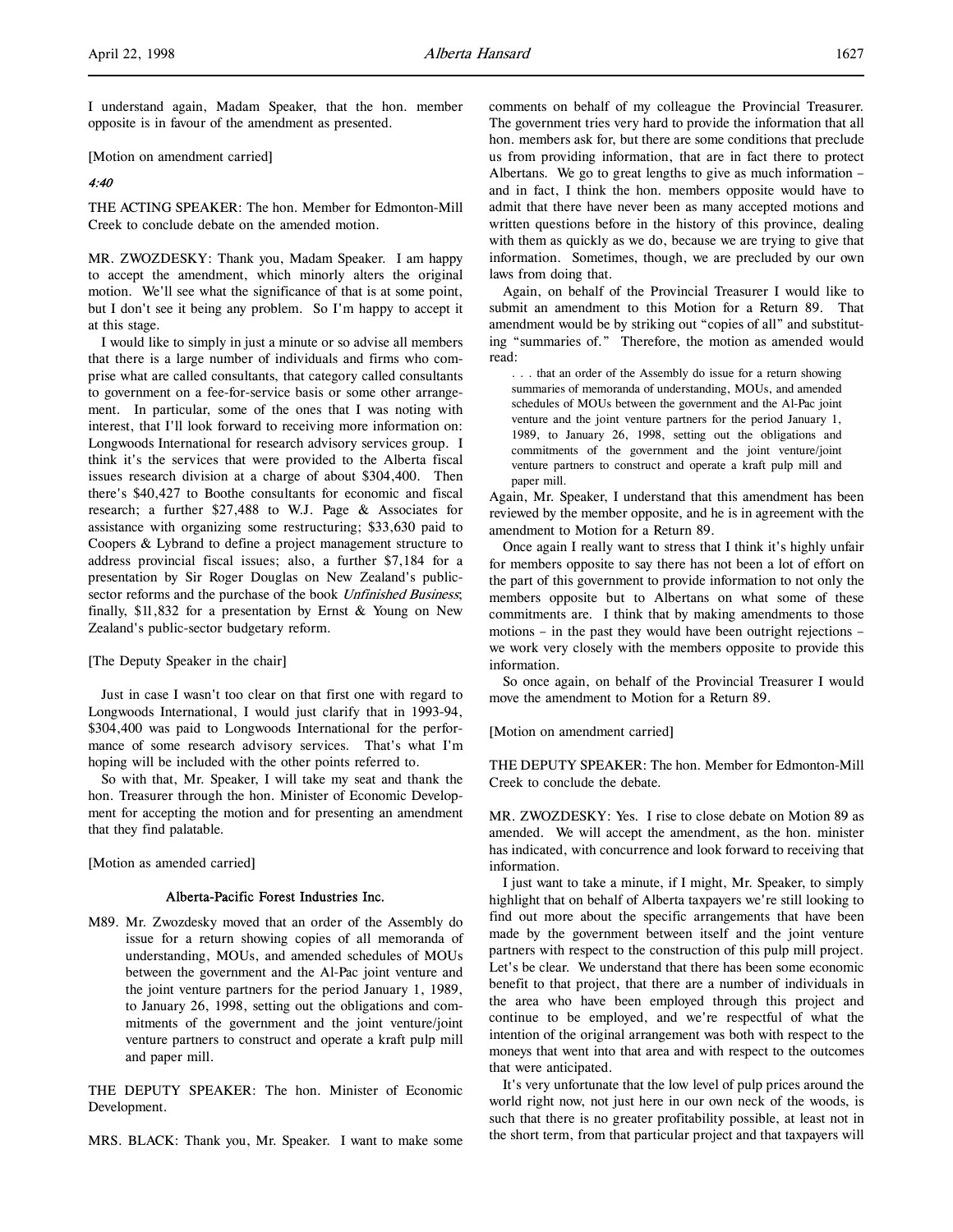I understand again, Madam Speaker, that the hon. member opposite is in favour of the amendment as presented.

[Motion on amendment carried]

## 4:40

THE ACTING SPEAKER: The hon. Member for Edmonton-Mill Creek to conclude debate on the amended motion.

MR. ZWOZDESKY: Thank you, Madam Speaker. I am happy to accept the amendment, which minorly alters the original motion. We'll see what the significance of that is at some point, but I don't see it being any problem. So I'm happy to accept it at this stage.

I would like to simply in just a minute or so advise all members that there is a large number of individuals and firms who comprise what are called consultants, that category called consultants to government on a fee-for-service basis or some other arrangement. In particular, some of the ones that I was noting with interest, that I'll look forward to receiving more information on: Longwoods International for research advisory services group. I think it's the services that were provided to the Alberta fiscal issues research division at a charge of about \$304,400. Then there's \$40,427 to Boothe consultants for economic and fiscal research; a further \$27,488 to W.J. Page & Associates for assistance with organizing some restructuring; \$33,630 paid to Coopers & Lybrand to define a project management structure to address provincial fiscal issues; also, a further \$7,184 for a presentation by Sir Roger Douglas on New Zealand's publicsector reforms and the purchase of the book Unfinished Business; finally, \$11,832 for a presentation by Ernst & Young on New Zealand's public-sector budgetary reform.

[The Deputy Speaker in the chair]

Just in case I wasn't too clear on that first one with regard to Longwoods International, I would just clarify that in 1993-94, \$304,400 was paid to Longwoods International for the performance of some research advisory services. That's what I'm hoping will be included with the other points referred to.

So with that, Mr. Speaker, I will take my seat and thank the hon. Treasurer through the hon. Minister of Economic Development for accepting the motion and for presenting an amendment that they find palatable.

[Motion as amended carried]

# Alberta-Pacific Forest Industries Inc.

M89. Mr. Zwozdesky moved that an order of the Assembly do issue for a return showing copies of all memoranda of understanding, MOUs, and amended schedules of MOUs between the government and the Al-Pac joint venture and the joint venture partners for the period January 1, 1989, to January 26, 1998, setting out the obligations and commitments of the government and the joint venture/joint venture partners to construct and operate a kraft pulp mill and paper mill.

THE DEPUTY SPEAKER: The hon. Minister of Economic Development.

MRS. BLACK: Thank you, Mr. Speaker. I want to make some

comments on behalf of my colleague the Provincial Treasurer. The government tries very hard to provide the information that all hon. members ask for, but there are some conditions that preclude us from providing information, that are in fact there to protect Albertans. We go to great lengths to give as much information – and in fact, I think the hon. members opposite would have to admit that there have never been as many accepted motions and written questions before in the history of this province, dealing with them as quickly as we do, because we are trying to give that information. Sometimes, though, we are precluded by our own laws from doing that.

Again, on behalf of the Provincial Treasurer I would like to submit an amendment to this Motion for a Return 89. That amendment would be by striking out "copies of all" and substituting "summaries of." Therefore, the motion as amended would read:

. . . that an order of the Assembly do issue for a return showing summaries of memoranda of understanding, MOUs, and amended schedules of MOUs between the government and the Al-Pac joint venture and the joint venture partners for the period January 1, 1989, to January 26, 1998, setting out the obligations and commitments of the government and the joint venture/joint venture partners to construct and operate a kraft pulp mill and paper mill.

Again, Mr. Speaker, I understand that this amendment has been reviewed by the member opposite, and he is in agreement with the amendment to Motion for a Return 89.

Once again I really want to stress that I think it's highly unfair for members opposite to say there has not been a lot of effort on the part of this government to provide information to not only the members opposite but to Albertans on what some of these commitments are. I think that by making amendments to those motions – in the past they would have been outright rejections – we work very closely with the members opposite to provide this information.

So once again, on behalf of the Provincial Treasurer I would move the amendment to Motion for a Return 89.

[Motion on amendment carried]

THE DEPUTY SPEAKER: The hon. Member for Edmonton-Mill Creek to conclude the debate.

MR. ZWOZDESKY: Yes. I rise to close debate on Motion 89 as amended. We will accept the amendment, as the hon. minister has indicated, with concurrence and look forward to receiving that information.

I just want to take a minute, if I might, Mr. Speaker, to simply highlight that on behalf of Alberta taxpayers we're still looking to find out more about the specific arrangements that have been made by the government between itself and the joint venture partners with respect to the construction of this pulp mill project. Let's be clear. We understand that there has been some economic benefit to that project, that there are a number of individuals in the area who have been employed through this project and continue to be employed, and we're respectful of what the intention of the original arrangement was both with respect to the moneys that went into that area and with respect to the outcomes that were anticipated.

It's very unfortunate that the low level of pulp prices around the world right now, not just here in our own neck of the woods, is such that there is no greater profitability possible, at least not in the short term, from that particular project and that taxpayers will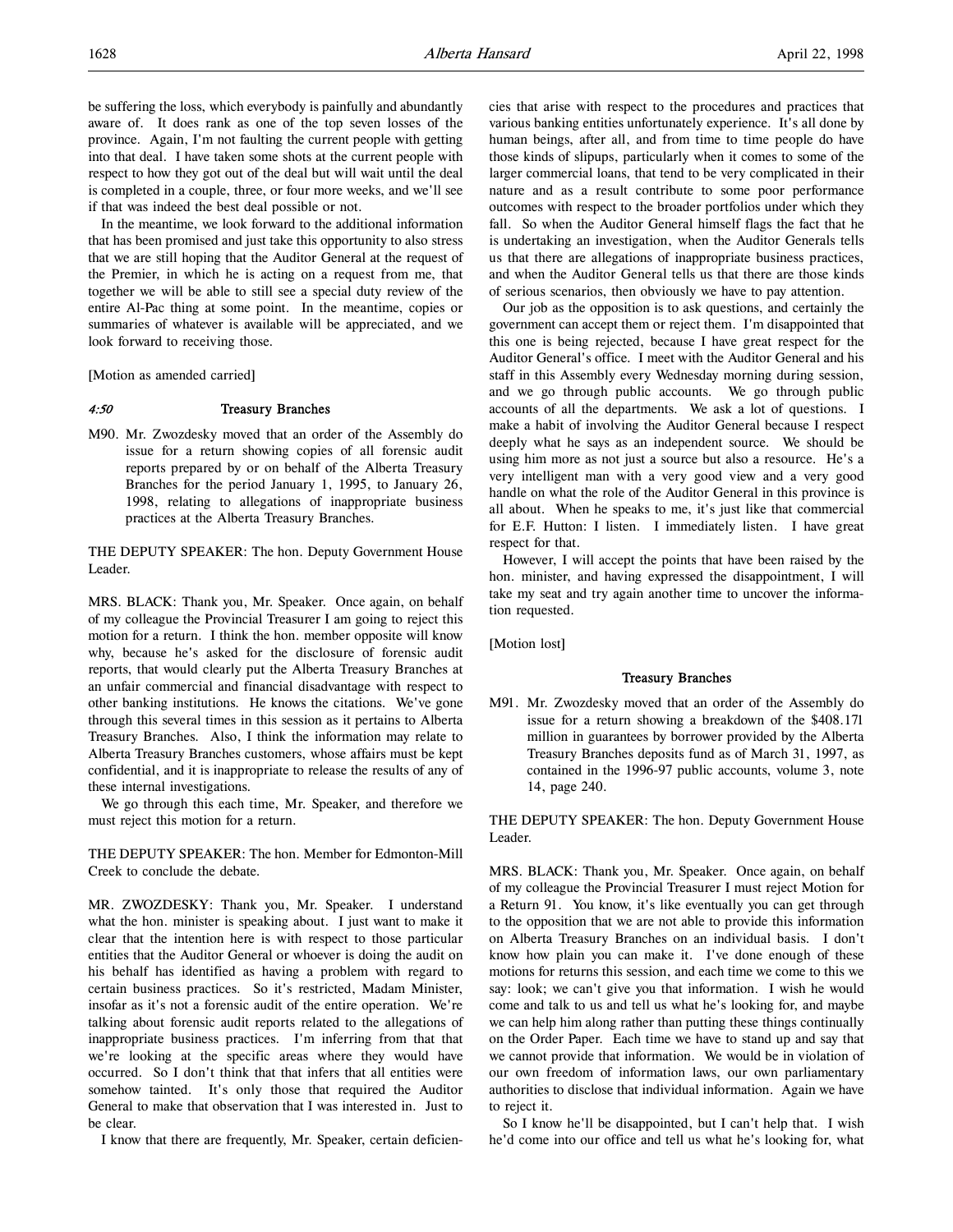be suffering the loss, which everybody is painfully and abundantly aware of. It does rank as one of the top seven losses of the province. Again, I'm not faulting the current people with getting into that deal. I have taken some shots at the current people with respect to how they got out of the deal but will wait until the deal is completed in a couple, three, or four more weeks, and we'll see if that was indeed the best deal possible or not.

In the meantime, we look forward to the additional information that has been promised and just take this opportunity to also stress that we are still hoping that the Auditor General at the request of the Premier, in which he is acting on a request from me, that together we will be able to still see a special duty review of the entire Al-Pac thing at some point. In the meantime, copies or summaries of whatever is available will be appreciated, and we look forward to receiving those.

[Motion as amended carried]

## 4:50 Treasury Branches

M90. Mr. Zwozdesky moved that an order of the Assembly do issue for a return showing copies of all forensic audit reports prepared by or on behalf of the Alberta Treasury Branches for the period January 1, 1995, to January 26, 1998, relating to allegations of inappropriate business practices at the Alberta Treasury Branches.

THE DEPUTY SPEAKER: The hon. Deputy Government House Leader.

MRS. BLACK: Thank you, Mr. Speaker. Once again, on behalf of my colleague the Provincial Treasurer I am going to reject this motion for a return. I think the hon. member opposite will know why, because he's asked for the disclosure of forensic audit reports, that would clearly put the Alberta Treasury Branches at an unfair commercial and financial disadvantage with respect to other banking institutions. He knows the citations. We've gone through this several times in this session as it pertains to Alberta Treasury Branches. Also, I think the information may relate to Alberta Treasury Branches customers, whose affairs must be kept confidential, and it is inappropriate to release the results of any of these internal investigations.

We go through this each time, Mr. Speaker, and therefore we must reject this motion for a return.

THE DEPUTY SPEAKER: The hon. Member for Edmonton-Mill Creek to conclude the debate.

MR. ZWOZDESKY: Thank you, Mr. Speaker. I understand what the hon. minister is speaking about. I just want to make it clear that the intention here is with respect to those particular entities that the Auditor General or whoever is doing the audit on his behalf has identified as having a problem with regard to certain business practices. So it's restricted, Madam Minister, insofar as it's not a forensic audit of the entire operation. We're talking about forensic audit reports related to the allegations of inappropriate business practices. I'm inferring from that that we're looking at the specific areas where they would have occurred. So I don't think that that infers that all entities were somehow tainted. It's only those that required the Auditor General to make that observation that I was interested in. Just to be clear.

I know that there are frequently, Mr. Speaker, certain deficien-

cies that arise with respect to the procedures and practices that various banking entities unfortunately experience. It's all done by human beings, after all, and from time to time people do have those kinds of slipups, particularly when it comes to some of the larger commercial loans, that tend to be very complicated in their nature and as a result contribute to some poor performance outcomes with respect to the broader portfolios under which they fall. So when the Auditor General himself flags the fact that he is undertaking an investigation, when the Auditor Generals tells us that there are allegations of inappropriate business practices, and when the Auditor General tells us that there are those kinds of serious scenarios, then obviously we have to pay attention.

Our job as the opposition is to ask questions, and certainly the government can accept them or reject them. I'm disappointed that this one is being rejected, because I have great respect for the Auditor General's office. I meet with the Auditor General and his staff in this Assembly every Wednesday morning during session, and we go through public accounts. We go through public accounts of all the departments. We ask a lot of questions. I make a habit of involving the Auditor General because I respect deeply what he says as an independent source. We should be using him more as not just a source but also a resource. He's a very intelligent man with a very good view and a very good handle on what the role of the Auditor General in this province is all about. When he speaks to me, it's just like that commercial for E.F. Hutton: I listen. I immediately listen. I have great respect for that.

However, I will accept the points that have been raised by the hon. minister, and having expressed the disappointment, I will take my seat and try again another time to uncover the information requested.

[Motion lost]

# Treasury Branches

M91. Mr. Zwozdesky moved that an order of the Assembly do issue for a return showing a breakdown of the \$408.171 million in guarantees by borrower provided by the Alberta Treasury Branches deposits fund as of March 31, 1997, as contained in the 1996-97 public accounts, volume 3, note 14, page 240.

THE DEPUTY SPEAKER: The hon. Deputy Government House Leader.

MRS. BLACK: Thank you, Mr. Speaker. Once again, on behalf of my colleague the Provincial Treasurer I must reject Motion for a Return 91. You know, it's like eventually you can get through to the opposition that we are not able to provide this information on Alberta Treasury Branches on an individual basis. I don't know how plain you can make it. I've done enough of these motions for returns this session, and each time we come to this we say: look; we can't give you that information. I wish he would come and talk to us and tell us what he's looking for, and maybe we can help him along rather than putting these things continually on the Order Paper. Each time we have to stand up and say that we cannot provide that information. We would be in violation of our own freedom of information laws, our own parliamentary authorities to disclose that individual information. Again we have to reject it.

So I know he'll be disappointed, but I can't help that. I wish he'd come into our office and tell us what he's looking for, what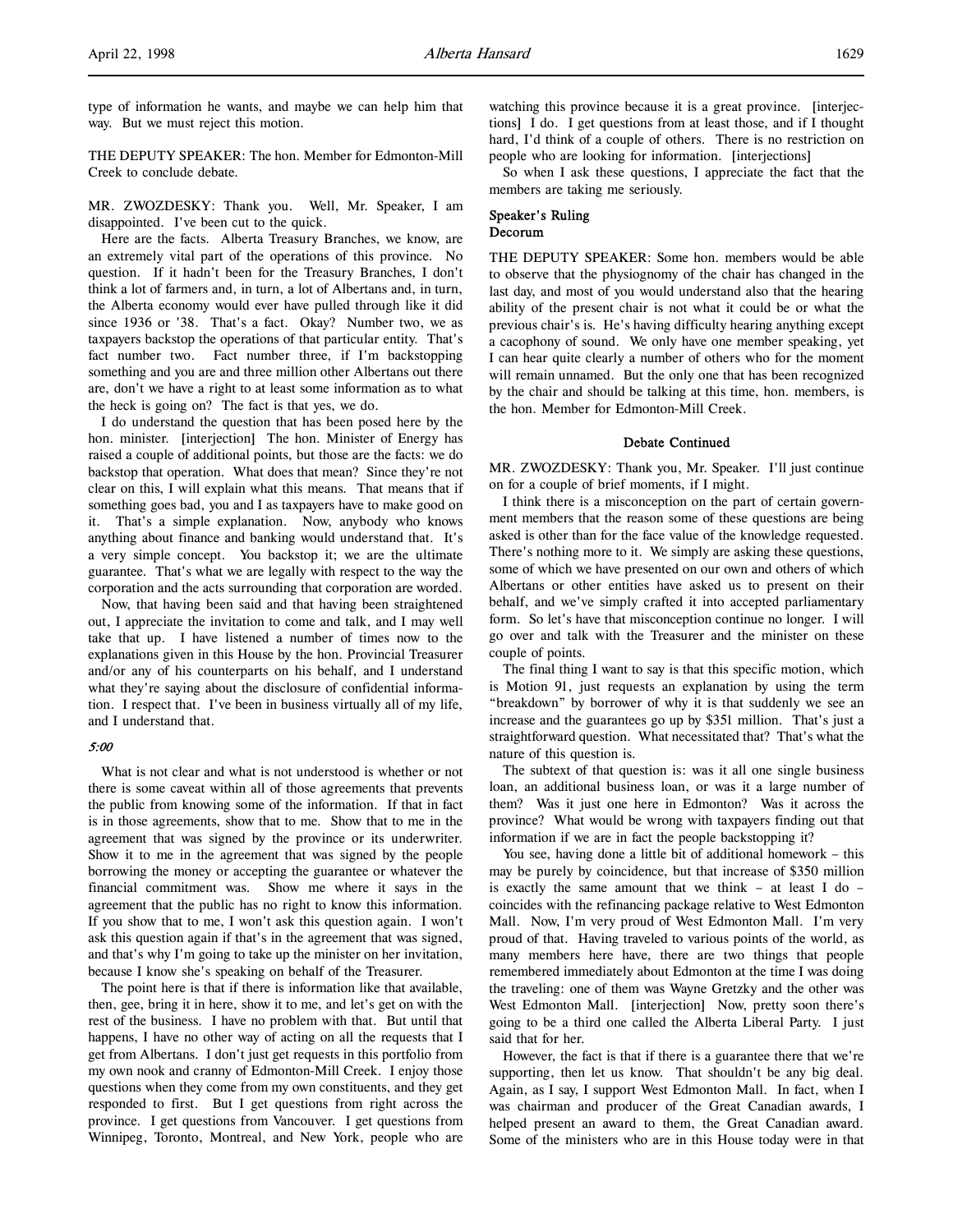type of information he wants, and maybe we can help him that way. But we must reject this motion.

THE DEPUTY SPEAKER: The hon. Member for Edmonton-Mill Creek to conclude debate.

MR. ZWOZDESKY: Thank you. Well, Mr. Speaker, I am disappointed. I've been cut to the quick.

Here are the facts. Alberta Treasury Branches, we know, are an extremely vital part of the operations of this province. No question. If it hadn't been for the Treasury Branches, I don't think a lot of farmers and, in turn, a lot of Albertans and, in turn, the Alberta economy would ever have pulled through like it did since 1936 or '38. That's a fact. Okay? Number two, we as taxpayers backstop the operations of that particular entity. That's fact number two. Fact number three, if I'm backstopping something and you are and three million other Albertans out there are, don't we have a right to at least some information as to what the heck is going on? The fact is that yes, we do.

I do understand the question that has been posed here by the hon. minister. [interjection] The hon. Minister of Energy has raised a couple of additional points, but those are the facts: we do backstop that operation. What does that mean? Since they're not clear on this, I will explain what this means. That means that if something goes bad, you and I as taxpayers have to make good on it. That's a simple explanation. Now, anybody who knows anything about finance and banking would understand that. It's a very simple concept. You backstop it; we are the ultimate guarantee. That's what we are legally with respect to the way the corporation and the acts surrounding that corporation are worded.

Now, that having been said and that having been straightened out, I appreciate the invitation to come and talk, and I may well take that up. I have listened a number of times now to the explanations given in this House by the hon. Provincial Treasurer and/or any of his counterparts on his behalf, and I understand what they're saying about the disclosure of confidential information. I respect that. I've been in business virtually all of my life, and I understand that.

# 5:00

What is not clear and what is not understood is whether or not there is some caveat within all of those agreements that prevents the public from knowing some of the information. If that in fact is in those agreements, show that to me. Show that to me in the agreement that was signed by the province or its underwriter. Show it to me in the agreement that was signed by the people borrowing the money or accepting the guarantee or whatever the financial commitment was. Show me where it says in the agreement that the public has no right to know this information. If you show that to me, I won't ask this question again. I won't ask this question again if that's in the agreement that was signed, and that's why I'm going to take up the minister on her invitation, because I know she's speaking on behalf of the Treasurer.

The point here is that if there is information like that available, then, gee, bring it in here, show it to me, and let's get on with the rest of the business. I have no problem with that. But until that happens, I have no other way of acting on all the requests that I get from Albertans. I don't just get requests in this portfolio from my own nook and cranny of Edmonton-Mill Creek. I enjoy those questions when they come from my own constituents, and they get responded to first. But I get questions from right across the province. I get questions from Vancouver. I get questions from Winnipeg, Toronto, Montreal, and New York, people who are

watching this province because it is a great province. [interjections] I do. I get questions from at least those, and if I thought hard, I'd think of a couple of others. There is no restriction on people who are looking for information. [interjections]

So when I ask these questions, I appreciate the fact that the members are taking me seriously.

## Speaker's Ruling Decorum

THE DEPUTY SPEAKER: Some hon. members would be able to observe that the physiognomy of the chair has changed in the last day, and most of you would understand also that the hearing ability of the present chair is not what it could be or what the previous chair's is. He's having difficulty hearing anything except a cacophony of sound. We only have one member speaking, yet I can hear quite clearly a number of others who for the moment will remain unnamed. But the only one that has been recognized by the chair and should be talking at this time, hon. members, is the hon. Member for Edmonton-Mill Creek.

# Debate Continued

MR. ZWOZDESKY: Thank you, Mr. Speaker. I'll just continue on for a couple of brief moments, if I might.

I think there is a misconception on the part of certain government members that the reason some of these questions are being asked is other than for the face value of the knowledge requested. There's nothing more to it. We simply are asking these questions, some of which we have presented on our own and others of which Albertans or other entities have asked us to present on their behalf, and we've simply crafted it into accepted parliamentary form. So let's have that misconception continue no longer. I will go over and talk with the Treasurer and the minister on these couple of points.

The final thing I want to say is that this specific motion, which is Motion 91, just requests an explanation by using the term "breakdown" by borrower of why it is that suddenly we see an increase and the guarantees go up by \$351 million. That's just a straightforward question. What necessitated that? That's what the nature of this question is.

The subtext of that question is: was it all one single business loan, an additional business loan, or was it a large number of them? Was it just one here in Edmonton? Was it across the province? What would be wrong with taxpayers finding out that information if we are in fact the people backstopping it?

You see, having done a little bit of additional homework – this may be purely by coincidence, but that increase of \$350 million is exactly the same amount that we think – at least I do – coincides with the refinancing package relative to West Edmonton Mall. Now, I'm very proud of West Edmonton Mall. I'm very proud of that. Having traveled to various points of the world, as many members here have, there are two things that people remembered immediately about Edmonton at the time I was doing the traveling: one of them was Wayne Gretzky and the other was West Edmonton Mall. [interjection] Now, pretty soon there's going to be a third one called the Alberta Liberal Party. I just said that for her.

However, the fact is that if there is a guarantee there that we're supporting, then let us know. That shouldn't be any big deal. Again, as I say, I support West Edmonton Mall. In fact, when I was chairman and producer of the Great Canadian awards, I helped present an award to them, the Great Canadian award. Some of the ministers who are in this House today were in that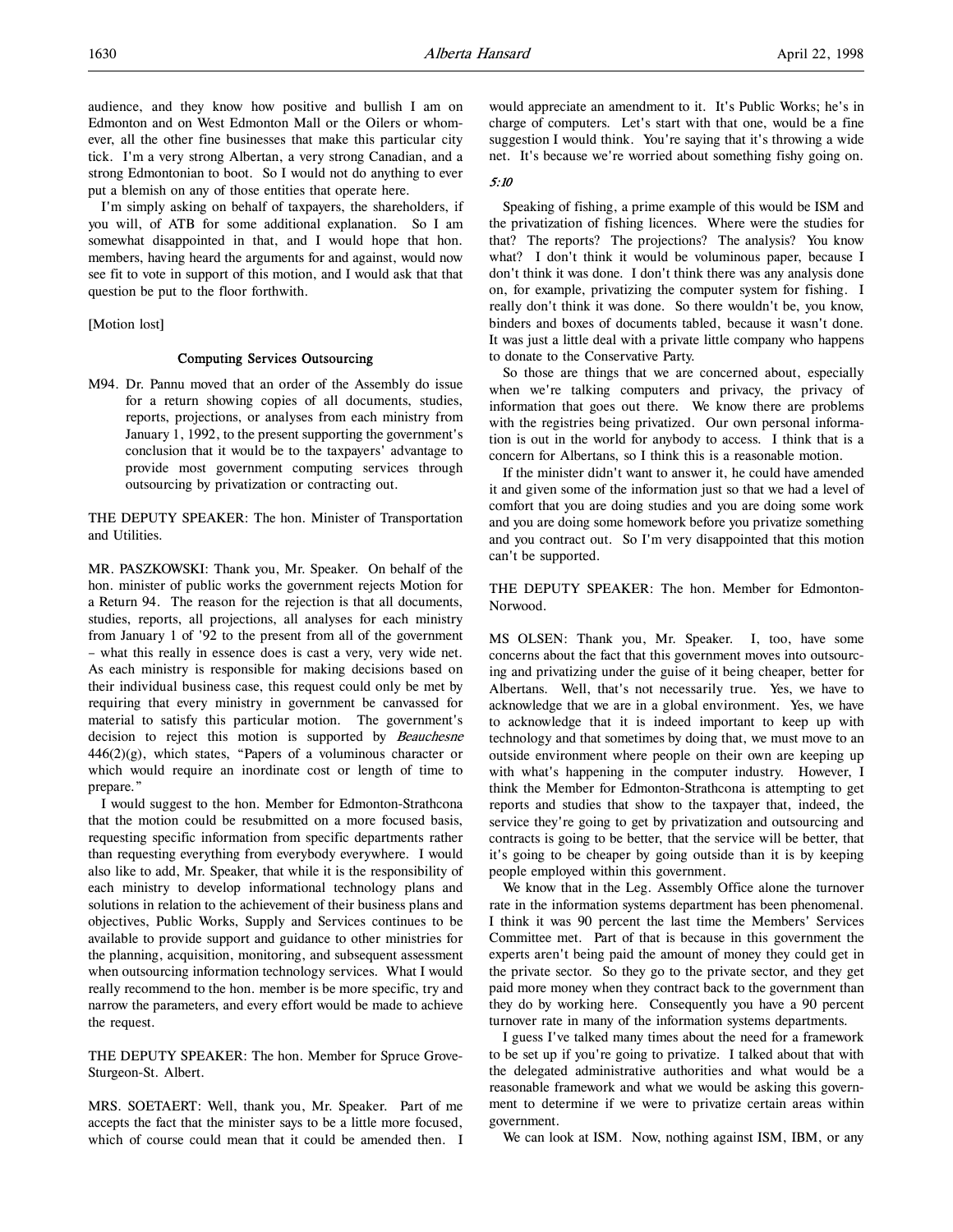audience, and they know how positive and bullish I am on Edmonton and on West Edmonton Mall or the Oilers or whomever, all the other fine businesses that make this particular city tick. I'm a very strong Albertan, a very strong Canadian, and a strong Edmontonian to boot. So I would not do anything to ever put a blemish on any of those entities that operate here.

I'm simply asking on behalf of taxpayers, the shareholders, if you will, of ATB for some additional explanation. So I am somewhat disappointed in that, and I would hope that hon. members, having heard the arguments for and against, would now see fit to vote in support of this motion, and I would ask that that question be put to the floor forthwith.

[Motion lost]

# Computing Services Outsourcing

M94. Dr. Pannu moved that an order of the Assembly do issue for a return showing copies of all documents, studies, reports, projections, or analyses from each ministry from January 1, 1992, to the present supporting the government's conclusion that it would be to the taxpayers' advantage to provide most government computing services through outsourcing by privatization or contracting out.

THE DEPUTY SPEAKER: The hon. Minister of Transportation and Utilities.

MR. PASZKOWSKI: Thank you, Mr. Speaker. On behalf of the hon. minister of public works the government rejects Motion for a Return 94. The reason for the rejection is that all documents, studies, reports, all projections, all analyses for each ministry from January 1 of '92 to the present from all of the government – what this really in essence does is cast a very, very wide net. As each ministry is responsible for making decisions based on their individual business case, this request could only be met by requiring that every ministry in government be canvassed for material to satisfy this particular motion. The government's decision to reject this motion is supported by Beauchesne 446(2)(g), which states, "Papers of a voluminous character or which would require an inordinate cost or length of time to prepare."

I would suggest to the hon. Member for Edmonton-Strathcona that the motion could be resubmitted on a more focused basis, requesting specific information from specific departments rather than requesting everything from everybody everywhere. I would also like to add, Mr. Speaker, that while it is the responsibility of each ministry to develop informational technology plans and solutions in relation to the achievement of their business plans and objectives, Public Works, Supply and Services continues to be available to provide support and guidance to other ministries for the planning, acquisition, monitoring, and subsequent assessment when outsourcing information technology services. What I would really recommend to the hon. member is be more specific, try and narrow the parameters, and every effort would be made to achieve the request.

THE DEPUTY SPEAKER: The hon. Member for Spruce Grove-Sturgeon-St. Albert.

MRS. SOETAERT: Well, thank you, Mr. Speaker. Part of me accepts the fact that the minister says to be a little more focused, which of course could mean that it could be amended then. I would appreciate an amendment to it. It's Public Works; he's in charge of computers. Let's start with that one, would be a fine suggestion I would think. You're saying that it's throwing a wide net. It's because we're worried about something fishy going on.

## 5:10

Speaking of fishing, a prime example of this would be ISM and the privatization of fishing licences. Where were the studies for that? The reports? The projections? The analysis? You know what? I don't think it would be voluminous paper, because I don't think it was done. I don't think there was any analysis done on, for example, privatizing the computer system for fishing. I really don't think it was done. So there wouldn't be, you know, binders and boxes of documents tabled, because it wasn't done. It was just a little deal with a private little company who happens to donate to the Conservative Party.

So those are things that we are concerned about, especially when we're talking computers and privacy, the privacy of information that goes out there. We know there are problems with the registries being privatized. Our own personal information is out in the world for anybody to access. I think that is a concern for Albertans, so I think this is a reasonable motion.

If the minister didn't want to answer it, he could have amended it and given some of the information just so that we had a level of comfort that you are doing studies and you are doing some work and you are doing some homework before you privatize something and you contract out. So I'm very disappointed that this motion can't be supported.

THE DEPUTY SPEAKER: The hon. Member for Edmonton-Norwood.

MS OLSEN: Thank you, Mr. Speaker. I, too, have some concerns about the fact that this government moves into outsourcing and privatizing under the guise of it being cheaper, better for Albertans. Well, that's not necessarily true. Yes, we have to acknowledge that we are in a global environment. Yes, we have to acknowledge that it is indeed important to keep up with technology and that sometimes by doing that, we must move to an outside environment where people on their own are keeping up with what's happening in the computer industry. However, I think the Member for Edmonton-Strathcona is attempting to get reports and studies that show to the taxpayer that, indeed, the service they're going to get by privatization and outsourcing and contracts is going to be better, that the service will be better, that it's going to be cheaper by going outside than it is by keeping people employed within this government.

We know that in the Leg. Assembly Office alone the turnover rate in the information systems department has been phenomenal. I think it was 90 percent the last time the Members' Services Committee met. Part of that is because in this government the experts aren't being paid the amount of money they could get in the private sector. So they go to the private sector, and they get paid more money when they contract back to the government than they do by working here. Consequently you have a 90 percent turnover rate in many of the information systems departments.

I guess I've talked many times about the need for a framework to be set up if you're going to privatize. I talked about that with the delegated administrative authorities and what would be a reasonable framework and what we would be asking this government to determine if we were to privatize certain areas within government.

We can look at ISM. Now, nothing against ISM, IBM, or any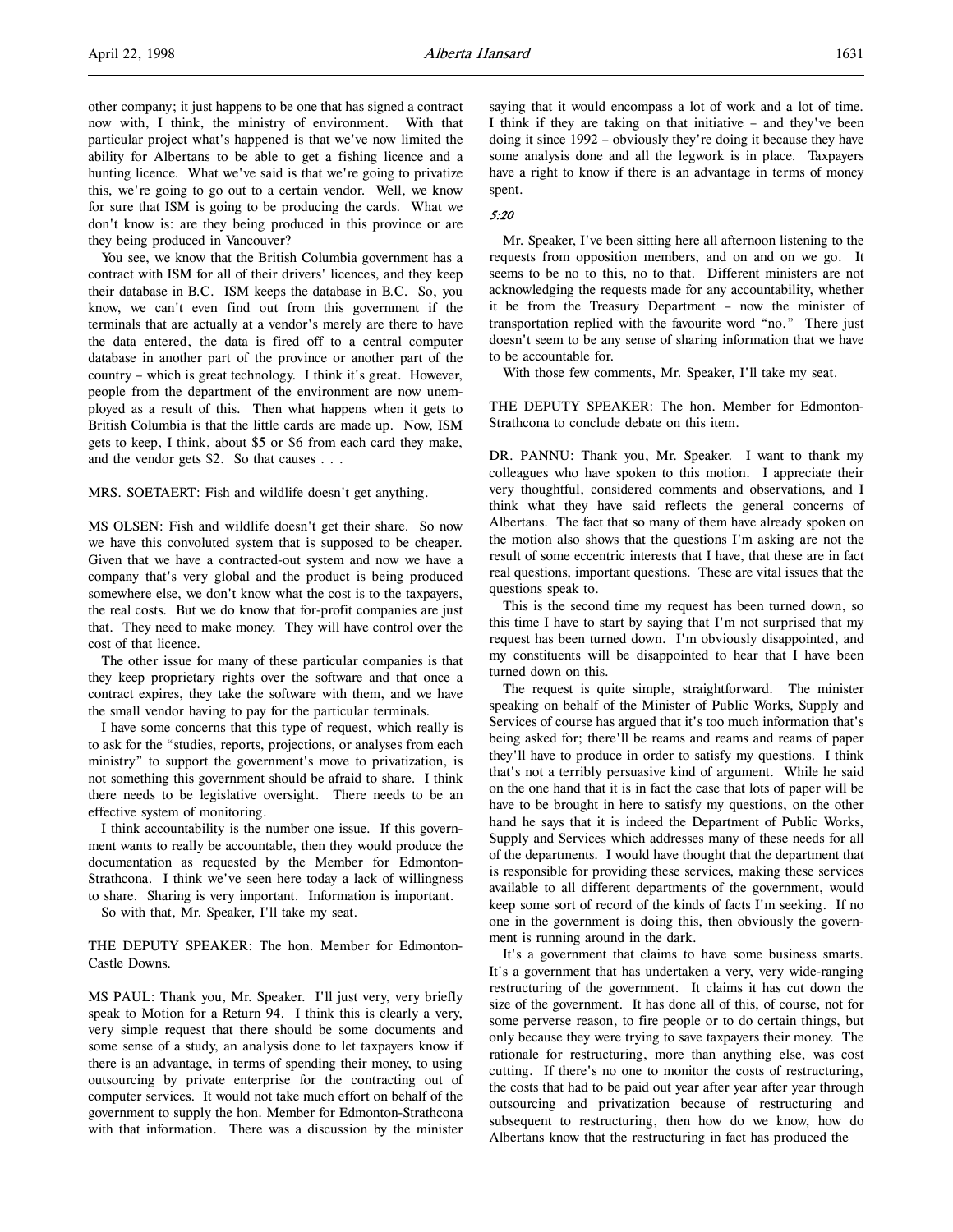other company; it just happens to be one that has signed a contract now with, I think, the ministry of environment. With that particular project what's happened is that we've now limited the ability for Albertans to be able to get a fishing licence and a hunting licence. What we've said is that we're going to privatize this, we're going to go out to a certain vendor. Well, we know for sure that ISM is going to be producing the cards. What we don't know is: are they being produced in this province or are they being produced in Vancouver?

You see, we know that the British Columbia government has a contract with ISM for all of their drivers' licences, and they keep their database in B.C. ISM keeps the database in B.C. So, you know, we can't even find out from this government if the terminals that are actually at a vendor's merely are there to have the data entered, the data is fired off to a central computer database in another part of the province or another part of the country – which is great technology. I think it's great. However, people from the department of the environment are now unemployed as a result of this. Then what happens when it gets to British Columbia is that the little cards are made up. Now, ISM gets to keep, I think, about \$5 or \$6 from each card they make, and the vendor gets \$2. So that causes . . .

MRS. SOETAERT: Fish and wildlife doesn't get anything.

MS OLSEN: Fish and wildlife doesn't get their share. So now we have this convoluted system that is supposed to be cheaper. Given that we have a contracted-out system and now we have a company that's very global and the product is being produced somewhere else, we don't know what the cost is to the taxpayers, the real costs. But we do know that for-profit companies are just that. They need to make money. They will have control over the cost of that licence.

The other issue for many of these particular companies is that they keep proprietary rights over the software and that once a contract expires, they take the software with them, and we have the small vendor having to pay for the particular terminals.

I have some concerns that this type of request, which really is to ask for the "studies, reports, projections, or analyses from each ministry" to support the government's move to privatization, is not something this government should be afraid to share. I think there needs to be legislative oversight. There needs to be an effective system of monitoring.

I think accountability is the number one issue. If this government wants to really be accountable, then they would produce the documentation as requested by the Member for Edmonton-Strathcona. I think we've seen here today a lack of willingness to share. Sharing is very important. Information is important.

So with that, Mr. Speaker, I'll take my seat.

THE DEPUTY SPEAKER: The hon. Member for Edmonton-Castle Downs.

MS PAUL: Thank you, Mr. Speaker. I'll just very, very briefly speak to Motion for a Return 94. I think this is clearly a very, very simple request that there should be some documents and some sense of a study, an analysis done to let taxpayers know if there is an advantage, in terms of spending their money, to using outsourcing by private enterprise for the contracting out of computer services. It would not take much effort on behalf of the government to supply the hon. Member for Edmonton-Strathcona with that information. There was a discussion by the minister saying that it would encompass a lot of work and a lot of time. I think if they are taking on that initiative – and they've been doing it since 1992 – obviously they're doing it because they have some analysis done and all the legwork is in place. Taxpayers have a right to know if there is an advantage in terms of money spent.

## 5:20

Mr. Speaker, I've been sitting here all afternoon listening to the requests from opposition members, and on and on we go. It seems to be no to this, no to that. Different ministers are not acknowledging the requests made for any accountability, whether it be from the Treasury Department – now the minister of transportation replied with the favourite word "no." There just doesn't seem to be any sense of sharing information that we have to be accountable for.

With those few comments, Mr. Speaker, I'll take my seat.

THE DEPUTY SPEAKER: The hon. Member for Edmonton-Strathcona to conclude debate on this item.

DR. PANNU: Thank you, Mr. Speaker. I want to thank my colleagues who have spoken to this motion. I appreciate their very thoughtful, considered comments and observations, and I think what they have said reflects the general concerns of Albertans. The fact that so many of them have already spoken on the motion also shows that the questions I'm asking are not the result of some eccentric interests that I have, that these are in fact real questions, important questions. These are vital issues that the questions speak to.

This is the second time my request has been turned down, so this time I have to start by saying that I'm not surprised that my request has been turned down. I'm obviously disappointed, and my constituents will be disappointed to hear that I have been turned down on this.

The request is quite simple, straightforward. The minister speaking on behalf of the Minister of Public Works, Supply and Services of course has argued that it's too much information that's being asked for; there'll be reams and reams and reams of paper they'll have to produce in order to satisfy my questions. I think that's not a terribly persuasive kind of argument. While he said on the one hand that it is in fact the case that lots of paper will be have to be brought in here to satisfy my questions, on the other hand he says that it is indeed the Department of Public Works, Supply and Services which addresses many of these needs for all of the departments. I would have thought that the department that is responsible for providing these services, making these services available to all different departments of the government, would keep some sort of record of the kinds of facts I'm seeking. If no one in the government is doing this, then obviously the government is running around in the dark.

It's a government that claims to have some business smarts. It's a government that has undertaken a very, very wide-ranging restructuring of the government. It claims it has cut down the size of the government. It has done all of this, of course, not for some perverse reason, to fire people or to do certain things, but only because they were trying to save taxpayers their money. The rationale for restructuring, more than anything else, was cost cutting. If there's no one to monitor the costs of restructuring, the costs that had to be paid out year after year after year through outsourcing and privatization because of restructuring and subsequent to restructuring, then how do we know, how do Albertans know that the restructuring in fact has produced the